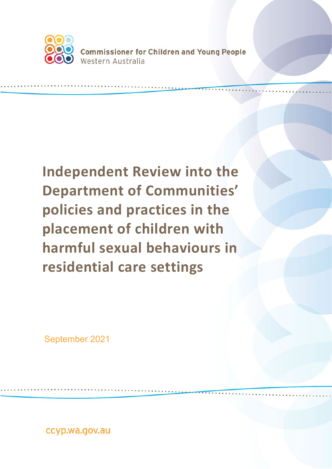

**Commissioner for Children and Young People** Western Australia

# **Independent Review into the Department of Communities' policies and practices in the placement of children with harmful sexual behaviours in residential care settings**

September 2021

ccyp.wa.gov.au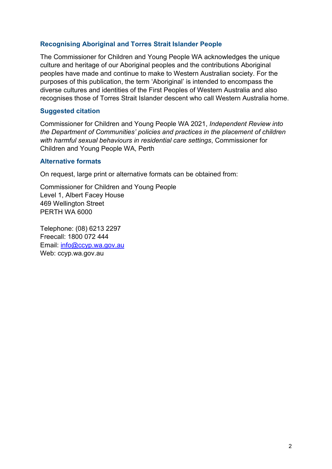#### **Recognising Aboriginal and Torres Strait Islander People**

The Commissioner for Children and Young People WA acknowledges the unique culture and heritage of our Aboriginal peoples and the contributions Aboriginal peoples have made and continue to make to Western Australian society. For the purposes of this publication, the term 'Aboriginal' is intended to encompass the diverse cultures and identities of the First Peoples of Western Australia and also recognises those of Torres Strait Islander descent who call Western Australia home.

#### **Suggested citation**

Commissioner for Children and Young People WA 2021, *Independent Review into the Department of Communities' policies and practices in the placement of children with harmful sexual behaviours in residential care settings*, Commissioner for Children and Young People WA, Perth

#### **Alternative formats**

On request, large print or alternative formats can be obtained from:

Commissioner for Children and Young People Level 1, Albert Facey House 469 Wellington Street PERTH WA 6000

Telephone: (08) 6213 2297 Freecall: 1800 072 444 Email: [info@ccyp.wa.gov.au](mailto:info@ccyp.wa.gov.au) Web: ccyp.wa.gov.au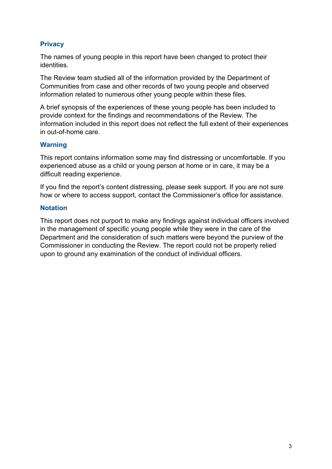#### **Privacy**

The names of young people in this report have been changed to protect their identities.

The Review team studied all of the information provided by the Department of Communities from case and other records of two young people and observed information related to numerous other young people within these files.

A brief synopsis of the experiences of these young people has been included to provide context for the findings and recommendations of the Review. The information included in this report does not reflect the full extent of their experiences in out-of-home care.

#### **Warning**

This report contains information some may find distressing or uncomfortable. If you experienced abuse as a child or young person at home or in care, it may be a difficult reading experience.

If you find the report's content distressing, please seek support. If you are not sure how or where to access support, contact the Commissioner's office for assistance.

#### **Notation**

This report does not purport to make any findings against individual officers involved in the management of specific young people while they were in the care of the Department and the consideration of such matters were beyond the purview of the Commissioner in conducting the Review. The report could not be properly relied upon to ground any examination of the conduct of individual officers.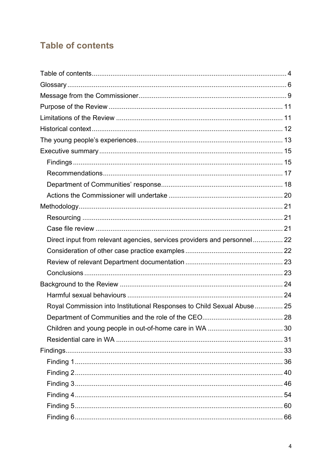# <span id="page-3-0"></span>**Table of contents**

| Direct input from relevant agencies, services providers and personnel 22 |    |
|--------------------------------------------------------------------------|----|
|                                                                          |    |
|                                                                          |    |
|                                                                          |    |
|                                                                          |    |
|                                                                          |    |
| Royal Commission into Institutional Responses to Child Sexual Abuse  25  |    |
| Department of Communities and the role of the CEO.                       | 28 |
|                                                                          |    |
|                                                                          |    |
|                                                                          |    |
|                                                                          |    |
|                                                                          |    |
|                                                                          |    |
|                                                                          |    |
|                                                                          |    |
|                                                                          |    |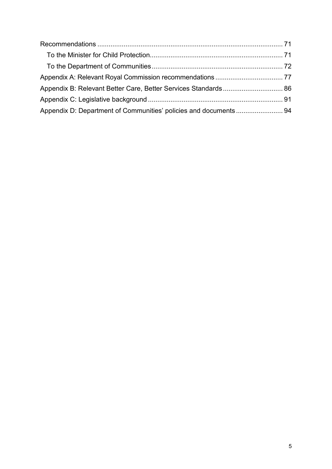| Appendix D: Department of Communities' policies and documents 94 |  |
|------------------------------------------------------------------|--|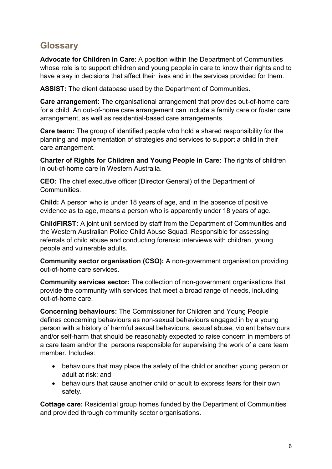# <span id="page-5-0"></span>**Glossary**

**Advocate for Children in Care**: A position within the Department of Communities whose role is to support children and young people in care to know their rights and to have a say in decisions that affect their lives and in the services provided for them.

**ASSIST:** The client database used by the Department of Communities.

**Care arrangement:** The organisational arrangement that provides out-of-home care for a child. An out-of-home care arrangement can include a family care or foster care arrangement, as well as residential-based care arrangements.

**Care team:** The group of identified people who hold a shared responsibility for the planning and implementation of strategies and services to support a child in their care arrangement.

**Charter of Rights for Children and Young People in Care:** The rights of children in out-of-home care in Western Australia.

**CEO:** The chief executive officer (Director General) of the Department of **Communities** 

**Child:** A person who is under 18 years of age, and in the absence of positive evidence as to age, means a person who is apparently under 18 years of age.

**ChildFIRST:** A joint unit serviced by staff from the Department of Communities and the Western Australian Police Child Abuse Squad. Responsible for assessing referrals of child abuse and conducting forensic interviews with children, young people and vulnerable adults.

**Community sector organisation (CSO):** A non-government organisation providing out-of-home care services.

**Community services sector:** The collection of non-government organisations that provide the community with services that meet a broad range of needs, including out-of-home care.

**Concerning behaviours:** The Commissioner for Children and Young People defines concerning behaviours as non-sexual behaviours engaged in by a young person with a history of harmful sexual behaviours, sexual abuse, violent behaviours and/or self-harm that should be reasonably expected to raise concern in members of a care team and/or the persons responsible for supervising the work of a care team member. Includes:

- behaviours that may place the safety of the child or another young person or adult at risk; and
- behaviours that cause another child or adult to express fears for their own safety.

**Cottage care:** Residential group homes funded by the Department of Communities and provided through community sector organisations.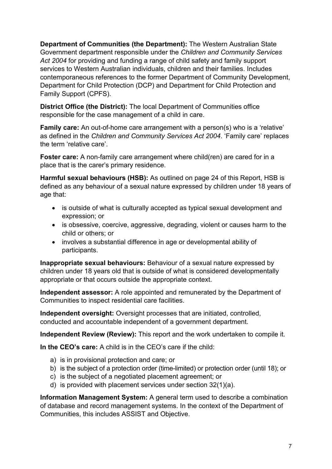**Department of Communities (the Department):** The Western Australian State Government department responsible under the *Children and Community Services Act 2004* for providing and funding a range of child safety and family support services to Western Australian individuals, children and their families. Includes contemporaneous references to the former Department of Community Development, Department for Child Protection (DCP) and Department for Child Protection and Family Support (CPFS).

**District Office (the District):** The local Department of Communities office responsible for the case management of a child in care.

**Family care:** An out-of-home care arrangement with a person(s) who is a 'relative' as defined in the *Children and Community Services Act 2004*. 'Family care' replaces the term 'relative care'.

**Foster care:** A non-family care arrangement where child(ren) are cared for in a place that is the carer's primary residence.

**Harmful sexual behaviours (HSB):** As outlined on page 24 of this Report, HSB is defined as any behaviour of a sexual nature expressed by children under 18 years of age that:

- is outside of what is culturally accepted as typical sexual development and expression; or
- is obsessive, coercive, aggressive, degrading, violent or causes harm to the child or others; or
- involves a substantial difference in age or developmental ability of participants.

**Inappropriate sexual behaviours:** Behaviour of a sexual nature expressed by children under 18 years old that is outside of what is considered developmentally appropriate or that occurs outside the appropriate context.

**Independent assessor:** A role appointed and remunerated by the Department of Communities to inspect residential care facilities.

**Independent oversight:** Oversight processes that are initiated, controlled, conducted and accountable independent of a government department.

**Independent Review (Review):** This report and the work undertaken to compile it.

**In the CEO's care:** A child is in the CEO's care if the child:

- a) is in provisional protection and care; or
- b) is the subject of a protection order (time-limited) or protection order (until 18); or
- c) is the subject of a negotiated placement agreement; or
- d) is provided with placement services under section 32(1)(a).

**Information Management System:** A general term used to describe a combination of database and record management systems. In the context of the Department of Communities, this includes ASSIST and Objective.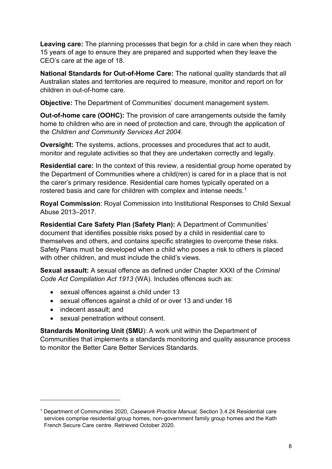**Leaving care:** The planning processes that begin for a child in care when they reach 15 years of age to ensure they are prepared and supported when they leave the CEO's care at the age of 18.

**National Standards for Out-of-Home Care:** The national quality standards that all Australian states and territories are required to measure, monitor and report on for children in out-of-home care.

**Objective:** The Department of Communities' document management system.

**Out-of-home care (OOHC):** The provision of care arrangements outside the family home to children who are in need of protection and care, through the application of the *Children and Community Services Act 2004*.

**Oversight:** The systems, actions, processes and procedures that act to audit, monitor and regulate activities so that they are undertaken correctly and legally.

**Residential care:** In the context of this review, a residential group home operated by the Department of Communities where a child(ren) is cared for in a place that is not the carer's primary residence. Residential care homes typically operated on a rostered basis and care for children with complex and intense needs.<sup>[1](#page-7-0)</sup>

**Royal Commission**: Royal Commission into Institutional Responses to Child Sexual Abuse 2013–2017.

**Residential Care Safety Plan (Safety Plan):** A Department of Communities' document that identifies possible risks posed by a child in residential care to themselves and others, and contains specific strategies to overcome these risks. Safety Plans must be developed when a child who poses a risk to others is placed with other children, and must include the child's views.

**Sexual assault:** A sexual offence as defined under Chapter XXXI of the *Criminal Code Act Compilation Act 1913* (WA). Includes offences such as:

- sexual offences against a child under 13
- sexual offences against a child of or over 13 and under 16
- indecent assault: and
- sexual penetration without consent.

**Standards Monitoring Unit (SMU**): A work unit within the Department of Communities that implements a standards monitoring and quality assurance process to monitor the Better Care Better Services Standards.

<span id="page-7-0"></span><sup>1</sup> Department of Communities 2020, *Casework Practice Manual,* Section 3.4.24 Residential care services comprise residential group homes, non-government family group homes and the Kath French Secure Care centre. Retrieved October 2020.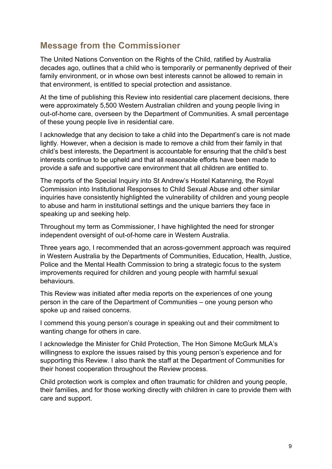# <span id="page-8-0"></span>**Message from the Commissioner**

The United Nations Convention on the Rights of the Child, ratified by Australia decades ago, outlines that a child who is temporarily or permanently deprived of their family environment, or in whose own best interests cannot be allowed to remain in that environment, is entitled to special protection and assistance.

At the time of publishing this Review into residential care placement decisions, there were approximately 5,500 Western Australian children and young people living in out-of-home care, overseen by the Department of Communities. A small percentage of these young people live in residential care.

I acknowledge that any decision to take a child into the Department's care is not made lightly. However, when a decision is made to remove a child from their family in that child's best interests, the Department is accountable for ensuring that the child's best interests continue to be upheld and that all reasonable efforts have been made to provide a safe and supportive care environment that all children are entitled to.

The reports of the Special Inquiry into St Andrew's Hostel Katanning, the Royal Commission into Institutional Responses to Child Sexual Abuse and other similar inquiries have consistently highlighted the vulnerability of children and young people to abuse and harm in institutional settings and the unique barriers they face in speaking up and seeking help.

Throughout my term as Commissioner, I have highlighted the need for stronger independent oversight of out-of-home care in Western Australia.

Three years ago, I recommended that an across-government approach was required in Western Australia by the Departments of Communities, Education, Health, Justice, Police and the Mental Health Commission to bring a strategic focus to the system improvements required for children and young people with harmful sexual behaviours.

This Review was initiated after media reports on the experiences of one young person in the care of the Department of Communities – one young person who spoke up and raised concerns.

I commend this young person's courage in speaking out and their commitment to wanting change for others in care.

I acknowledge the Minister for Child Protection, The Hon Simone McGurk MLA's willingness to explore the issues raised by this young person's experience and for supporting this Review. I also thank the staff at the Department of Communities for their honest cooperation throughout the Review process.

Child protection work is complex and often traumatic for children and young people, their families, and for those working directly with children in care to provide them with care and support.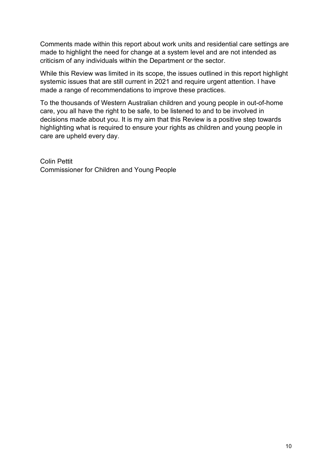Comments made within this report about work units and residential care settings are made to highlight the need for change at a system level and are not intended as criticism of any individuals within the Department or the sector.

While this Review was limited in its scope, the issues outlined in this report highlight systemic issues that are still current in 2021 and require urgent attention. I have made a range of recommendations to improve these practices.

To the thousands of Western Australian children and young people in out-of-home care, you all have the right to be safe, to be listened to and to be involved in decisions made about you. It is my aim that this Review is a positive step towards highlighting what is required to ensure your rights as children and young people in care are upheld every day.

Colin Pettit Commissioner for Children and Young People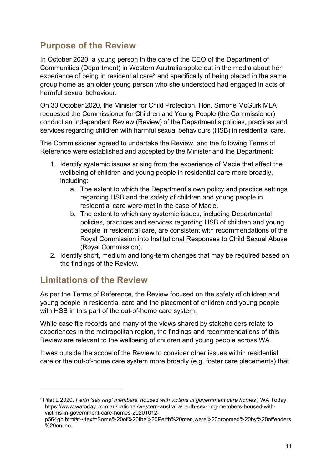# <span id="page-10-0"></span>**Purpose of the Review**

In October 2020, a young person in the care of the CEO of the Department of Communities (Department) in Western Australia spoke out in the media about her experience of being in residential care<sup>[2](#page-10-2)</sup> and specifically of being placed in the same group home as an older young person who she understood had engaged in acts of harmful sexual behaviour.

On 30 October 2020, the Minister for Child Protection, Hon. Simone McGurk MLA requested the Commissioner for Children and Young People (the Commissioner) conduct an Independent Review (Review) of the Department's policies, practices and services regarding children with harmful sexual behaviours (HSB) in residential care.

The Commissioner agreed to undertake the Review, and the following Terms of Reference were established and accepted by the Minister and the Department:

- 1. Identify systemic issues arising from the experience of Macie that affect the wellbeing of children and young people in residential care more broadly, including:
	- a. The extent to which the Department's own policy and practice settings regarding HSB and the safety of children and young people in residential care were met in the case of Macie.
	- b. The extent to which any systemic issues, including Departmental policies, practices and services regarding HSB of children and young people in residential care, are consistent with recommendations of the Royal Commission into Institutional Responses to Child Sexual Abuse (Royal Commission).
- 2. Identify short, medium and long-term changes that may be required based on the findings of the Review.

# <span id="page-10-1"></span>**Limitations of the Review**

As per the Terms of Reference, the Review focused on the safety of children and young people in residential care and the placement of children and young people with HSB in this part of the out-of-home care system.

While case file records and many of the views shared by stakeholders relate to experiences in the metropolitan region, the findings and recommendations of this Review are relevant to the wellbeing of children and young people across WA.

It was outside the scope of the Review to consider other issues within residential care or the out-of-home care system more broadly (e.g. foster care placements) that

<span id="page-10-2"></span><sup>2</sup> Pilat L 2020, *Perth 'sex ring' members 'housed with victims in government care homes',* WA Today, https://www.watoday.com.au/national/western-australia/perth-sex-ring-members-housed-withvictims-in-government-care-homes-20201012-

p564gb.html#:~:text=Some%20of%20the%20Perth%20men,were%20groomed%20by%20offenders %20online.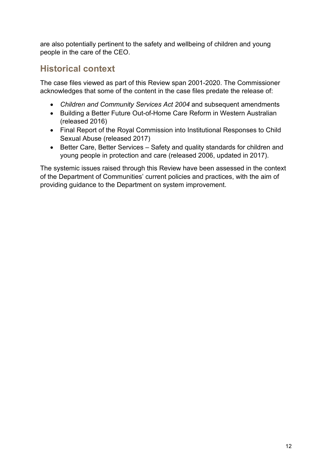are also potentially pertinent to the safety and wellbeing of children and young people in the care of the CEO.

# <span id="page-11-0"></span>**Historical context**

The case files viewed as part of this Review span 2001-2020. The Commissioner acknowledges that some of the content in the case files predate the release of:

- *Children and Community Services Act 2004* and subsequent amendments
- Building a Better Future Out-of-Home Care Reform in Western Australian (released 2016)
- Final Report of the Royal Commission into Institutional Responses to Child Sexual Abuse (released 2017)
- Better Care, Better Services Safety and quality standards for children and young people in protection and care (released 2006, updated in 2017).

The systemic issues raised through this Review have been assessed in the context of the Department of Communities' current policies and practices, with the aim of providing guidance to the Department on system improvement.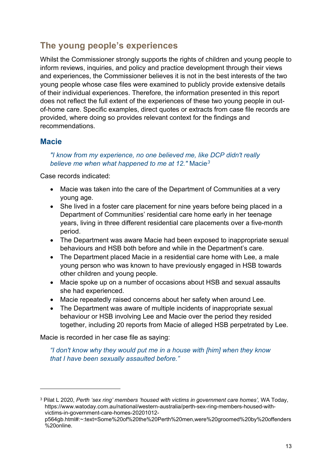# <span id="page-12-0"></span>**The young people's experiences**

Whilst the Commissioner strongly supports the rights of children and young people to inform reviews, inquiries, and policy and practice development through their views and experiences, the Commissioner believes it is not in the best interests of the two young people whose case files were examined to publicly provide extensive details of their individual experiences. Therefore, the information presented in this report does not reflect the full extent of the experiences of these two young people in outof-home care. Specific examples, direct quotes or extracts from case file records are provided, where doing so provides relevant context for the findings and recommendations.

## **Macie**

#### *"I know from my experience, no one believed me, like DCP didn't really believe me when what happened to me at 12."* Macie*[3](#page-12-1)*

Case records indicated:

- Macie was taken into the care of the Department of Communities at a very young age.
- She lived in a foster care placement for nine years before being placed in a Department of Communities' residential care home early in her teenage years, living in three different residential care placements over a five-month period.
- The Department was aware Macie had been exposed to inappropriate sexual behaviours and HSB both before and while in the Department's care.
- The Department placed Macie in a residential care home with Lee, a male young person who was known to have previously engaged in HSB towards other children and young people.
- Macie spoke up on a number of occasions about HSB and sexual assaults she had experienced.
- Macie repeatedly raised concerns about her safety when around Lee.
- The Department was aware of multiple incidents of inappropriate sexual behaviour or HSB involving Lee and Macie over the period they resided together, including 20 reports from Macie of alleged HSB perpetrated by Lee.

Macie is recorded in her case file as saying:

*"I don't know why they would put me in a house with [him] when they know that I have been sexually assaulted before."*

<span id="page-12-1"></span><sup>3</sup> Pilat L 2020, *Perth 'sex ring' members 'housed with victims in government care homes',* WA Today, https://www.watoday.com.au/national/western-australia/perth-sex-ring-members-housed-withvictims-in-government-care-homes-20201012-

p564gb.html#:~:text=Some%20of%20the%20Perth%20men,were%20groomed%20by%20offenders %20online.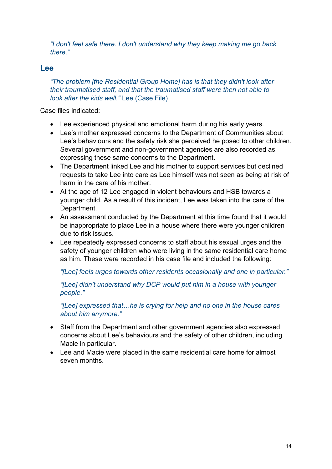*"I don't feel safe there. I don't understand why they keep making me go back there."*

## **Lee**

*"The problem [the Residential Group Home] has is that they didn't look after their traumatised staff, and that the traumatised staff were then not able to look after the kids well."* Lee (Case File)

Case files indicated:

- Lee experienced physical and emotional harm during his early years.
- Lee's mother expressed concerns to the Department of Communities about Lee's behaviours and the safety risk she perceived he posed to other children. Several government and non-government agencies are also recorded as expressing these same concerns to the Department.
- The Department linked Lee and his mother to support services but declined requests to take Lee into care as Lee himself was not seen as being at risk of harm in the care of his mother.
- At the age of 12 Lee engaged in violent behaviours and HSB towards a younger child. As a result of this incident, Lee was taken into the care of the Department.
- An assessment conducted by the Department at this time found that it would be inappropriate to place Lee in a house where there were younger children due to risk issues.
- Lee repeatedly expressed concerns to staff about his sexual urges and the safety of younger children who were living in the same residential care home as him. These were recorded in his case file and included the following:

*"[Lee] feels urges towards other residents occasionally and one in particular."* 

*"[Lee] didn't understand why DCP would put him in a house with younger people."*

*"[Lee] expressed that…he is crying for help and no one in the house cares about him anymore."*

- Staff from the Department and other government agencies also expressed concerns about Lee's behaviours and the safety of other children, including Macie in particular.
- Lee and Macie were placed in the same residential care home for almost seven months.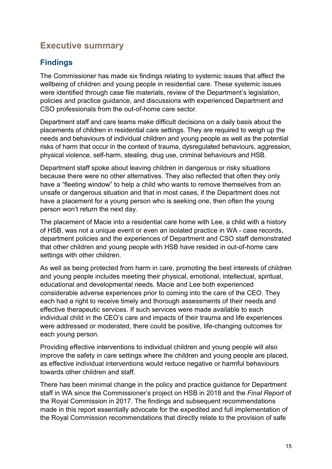# <span id="page-14-0"></span>**Executive summary**

# <span id="page-14-1"></span>**Findings**

The Commissioner has made six findings relating to systemic issues that affect the wellbeing of children and young people in residential care. These systemic issues were identified through case file materials, review of the Department's legislation, policies and practice guidance, and discussions with experienced Department and CSO professionals from the out-of-home care sector.

Department staff and care teams make difficult decisions on a daily basis about the placements of children in residential care settings. They are required to weigh up the needs and behaviours of individual children and young people as well as the potential risks of harm that occur in the context of trauma, dysregulated behaviours, aggression, physical violence, self-harm, stealing, drug use, criminal behaviours and HSB.

Department staff spoke about leaving children in dangerous or risky situations because there were no other alternatives. They also reflected that often they only have a "fleeting window" to help a child who wants to remove themselves from an unsafe or dangerous situation and that in most cases, if the Department does not have a placement for a young person who is seeking one, then often the young person won't return the next day.

The placement of Macie into a residential care home with Lee, a child with a history of HSB, was not a unique event or even an isolated practice in WA - case records, department policies and the experiences of Department and CSO staff demonstrated that other children and young people with HSB have resided in out-of-home care settings with other children.

As well as being protected from harm in care, promoting the best interests of children and young people includes meeting their physical, emotional, intellectual, spiritual, educational and developmental needs. Macie and Lee both experienced considerable adverse experiences prior to coming into the care of the CEO. They each had a right to receive timely and thorough assessments of their needs and effective therapeutic services. If such services were made available to each individual child in the CEO's care and impacts of their trauma and life experiences were addressed or moderated, there could be positive, life-changing outcomes for each young person.

Providing effective interventions to individual children and young people will also improve the safety in care settings where the children and young people are placed, as effective individual interventions would reduce negative or harmful behaviours towards other children and staff.

There has been minimal change in the policy and practice guidance for Department staff in WA since the Commissioner's project on HSB in 2018 and the *Final Report* of the Royal Commission in 2017. The findings and subsequent recommendations made in this report essentially advocate for the expedited and full implementation of the Royal Commission recommendations that directly relate to the provision of safe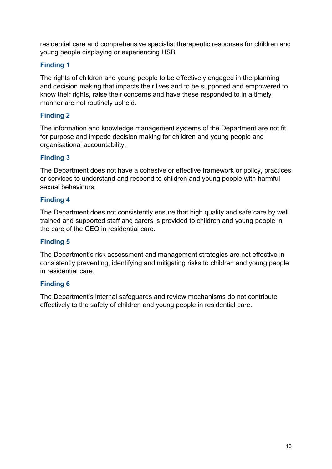residential care and comprehensive specialist therapeutic responses for children and young people displaying or experiencing HSB.

#### **Finding 1**

The rights of children and young people to be effectively engaged in the planning and decision making that impacts their lives and to be supported and empowered to know their rights, raise their concerns and have these responded to in a timely manner are not routinely upheld.

#### **Finding 2**

The information and knowledge management systems of the Department are not fit for purpose and impede decision making for children and young people and organisational accountability.

#### **Finding 3**

The Department does not have a cohesive or effective framework or policy, practices or services to understand and respond to children and young people with harmful sexual behaviours.

#### **Finding 4**

The Department does not consistently ensure that high quality and safe care by well trained and supported staff and carers is provided to children and young people in the care of the CEO in residential care.

#### **Finding 5**

The Department's risk assessment and management strategies are not effective in consistently preventing, identifying and mitigating risks to children and young people in residential care.

#### **Finding 6**

The Department's internal safeguards and review mechanisms do not contribute effectively to the safety of children and young people in residential care.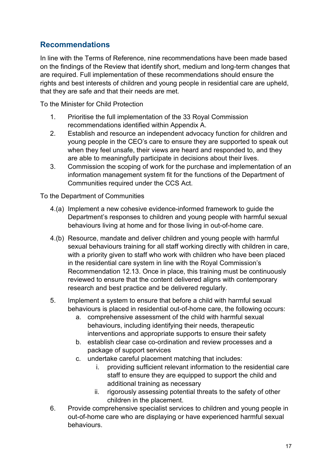# <span id="page-16-0"></span>**Recommendations**

In line with the Terms of Reference, nine recommendations have been made based on the findings of the Review that identify short, medium and long-term changes that are required. Full implementation of these recommendations should ensure the rights and best interests of children and young people in residential care are upheld, that they are safe and that their needs are met.

To the Minister for Child Protection

- 1. Prioritise the full implementation of the 33 Royal Commission recommendations identified within Appendix A.
- 2. Establish and resource an independent advocacy function for children and young people in the CEO's care to ensure they are supported to speak out when they feel unsafe, their views are heard and responded to, and they are able to meaningfully participate in decisions about their lives.
- 3. Commission the scoping of work for the purchase and implementation of an information management system fit for the functions of the Department of Communities required under the CCS Act.

To the Department of Communities

- 4.(a) Implement a new cohesive evidence-informed framework to guide the Department's responses to children and young people with harmful sexual behaviours living at home and for those living in out-of-home care.
- 4.(b) Resource, mandate and deliver children and young people with harmful sexual behaviours training for all staff working directly with children in care, with a priority given to staff who work with children who have been placed in the residential care system in line with the Royal Commission's Recommendation 12.13. Once in place, this training must be continuously reviewed to ensure that the content delivered aligns with contemporary research and best practice and be delivered regularly.
- 5. Implement a system to ensure that before a child with harmful sexual behaviours is placed in residential out-of-home care, the following occurs:
	- a. comprehensive assessment of the child with harmful sexual behaviours, including identifying their needs, therapeutic interventions and appropriate supports to ensure their safety
	- b. establish clear case co-ordination and review processes and a package of support services
	- c. undertake careful placement matching that includes:
		- i. providing sufficient relevant information to the residential care staff to ensure they are equipped to support the child and additional training as necessary
		- ii. rigorously assessing potential threats to the safety of other children in the placement.
- 6. Provide comprehensive specialist services to children and young people in out-of-home care who are displaying or have experienced harmful sexual behaviours.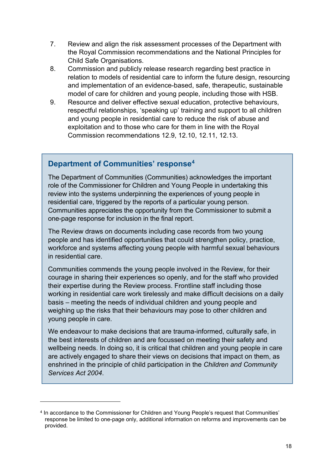- 7. Review and align the risk assessment processes of the Department with the Royal Commission recommendations and the National Principles for Child Safe Organisations.
- 8. Commission and publicly release research regarding best practice in relation to models of residential care to inform the future design, resourcing and implementation of an evidence-based, safe, therapeutic, sustainable model of care for children and young people, including those with HSB.
- 9. Resource and deliver effective sexual education, protective behaviours, respectful relationships, 'speaking up' training and support to all children and young people in residential care to reduce the risk of abuse and exploitation and to those who care for them in line with the Royal Commission recommendations 12.9, 12.10, 12.11, 12.13.

## <span id="page-17-0"></span>**Department of Communities' response[4](#page-17-1)**

The Department of Communities (Communities) acknowledges the important role of the Commissioner for Children and Young People in undertaking this review into the systems underpinning the experiences of young people in residential care, triggered by the reports of a particular young person. Communities appreciates the opportunity from the Commissioner to submit a one-page response for inclusion in the final report.

The Review draws on documents including case records from two young people and has identified opportunities that could strengthen policy, practice, workforce and systems affecting young people with harmful sexual behaviours in residential care.

Communities commends the young people involved in the Review, for their courage in sharing their experiences so openly, and for the staff who provided their expertise during the Review process. Frontline staff including those working in residential care work tirelessly and make difficult decisions on a daily basis – meeting the needs of individual children and young people and weighing up the risks that their behaviours may pose to other children and young people in care.

We endeavour to make decisions that are trauma-informed, culturally safe, in the best interests of children and are focussed on meeting their safety and wellbeing needs. In doing so, it is critical that children and young people in care are actively engaged to share their views on decisions that impact on them, as enshrined in the principle of child participation in the *Children and Community Services Act 2004*.

<span id="page-17-1"></span><sup>4</sup> In accordance to the Commissioner for Children and Young People's request that Communities' response be limited to one-page only, additional information on reforms and improvements can be provided.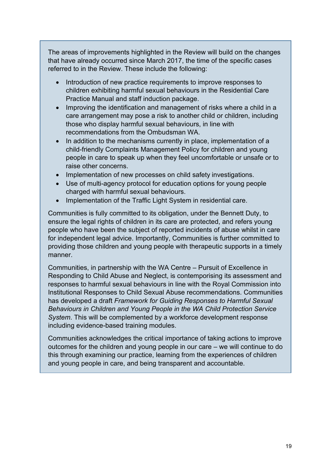The areas of improvements highlighted in the Review will build on the changes that have already occurred since March 2017, the time of the specific cases referred to in the Review. These include the following:

- Introduction of new practice requirements to improve responses to children exhibiting harmful sexual behaviours in the Residential Care Practice Manual and staff induction package.
- Improving the identification and management of risks where a child in a care arrangement may pose a risk to another child or children, including those who display harmful sexual behaviours, in line with recommendations from the Ombudsman WA.
- In addition to the mechanisms currently in place, implementation of a child-friendly Complaints Management Policy for children and young people in care to speak up when they feel uncomfortable or unsafe or to raise other concerns.
- Implementation of new processes on child safety investigations.
- Use of multi-agency protocol for education options for young people charged with harmful sexual behaviours.
- Implementation of the Traffic Light System in residential care.

Communities is fully committed to its obligation, under the Bennett Duty, to ensure the legal rights of children in its care are protected, and refers young people who have been the subject of reported incidents of abuse whilst in care for independent legal advice. Importantly, Communities is further committed to providing those children and young people with therapeutic supports in a timely manner.

Communities, in partnership with the WA Centre – Pursuit of Excellence in Responding to Child Abuse and Neglect, is contemporising its assessment and responses to harmful sexual behaviours in line with the Royal Commission into Institutional Responses to Child Sexual Abuse recommendations. Communities has developed a draft *Framework for Guiding Responses to Harmful Sexual Behaviours in Children and Young People in the WA Child Protection Service System*. This will be complemented by a workforce development response including evidence-based training modules.

<span id="page-18-0"></span>Communities acknowledges the critical importance of taking actions to improve outcomes for the children and young people in our care – we will continue to do this through examining our practice, learning from the experiences of children and young people in care, and being transparent and accountable.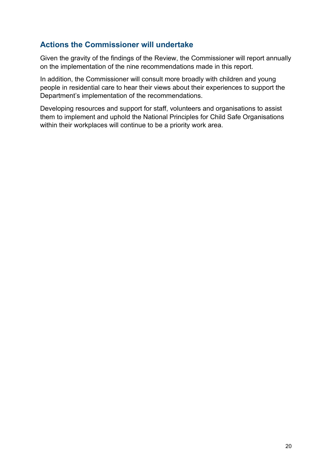## **Actions the Commissioner will undertake**

Given the gravity of the findings of the Review, the Commissioner will report annually on the implementation of the nine recommendations made in this report.

In addition, the Commissioner will consult more broadly with children and young people in residential care to hear their views about their experiences to support the Department's implementation of the recommendations.

Developing resources and support for staff, volunteers and organisations to assist them to implement and uphold the National Principles for Child Safe Organisations within their workplaces will continue to be a priority work area.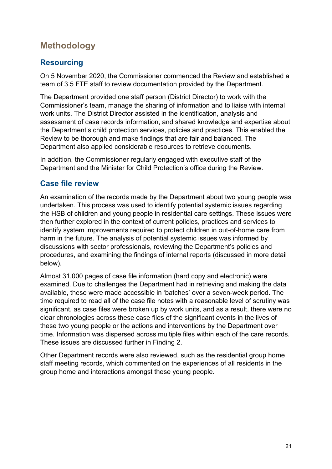# <span id="page-20-0"></span>**Methodology**

# <span id="page-20-1"></span>**Resourcing**

On 5 November 2020, the Commissioner commenced the Review and established a team of 3.5 FTE staff to review documentation provided by the Department.

The Department provided one staff person (District Director) to work with the Commissioner's team, manage the sharing of information and to liaise with internal work units. The District Director assisted in the identification, analysis and assessment of case records information, and shared knowledge and expertise about the Department's child protection services, policies and practices. This enabled the Review to be thorough and make findings that are fair and balanced. The Department also applied considerable resources to retrieve documents.

In addition, the Commissioner regularly engaged with executive staff of the Department and the Minister for Child Protection's office during the Review.

# <span id="page-20-2"></span>**Case file review**

An examination of the records made by the Department about two young people was undertaken. This process was used to identify potential systemic issues regarding the HSB of children and young people in residential care settings. These issues were then further explored in the context of current policies, practices and services to identify system improvements required to protect children in out-of-home care from harm in the future. The analysis of potential systemic issues was informed by discussions with sector professionals, reviewing the Department's policies and procedures, and examining the findings of internal reports (discussed in more detail below).

Almost 31,000 pages of case file information (hard copy and electronic) were examined. Due to challenges the Department had in retrieving and making the data available, these were made accessible in 'batches' over a seven-week period. The time required to read all of the case file notes with a reasonable level of scrutiny was significant, as case files were broken up by work units, and as a result, there were no clear chronologies across these case files of the significant events in the lives of these two young people or the actions and interventions by the Department over time. Information was dispersed across multiple files within each of the care records. These issues are discussed further in Finding 2.

Other Department records were also reviewed, such as the residential group home staff meeting records, which commented on the experiences of all residents in the group home and interactions amongst these young people.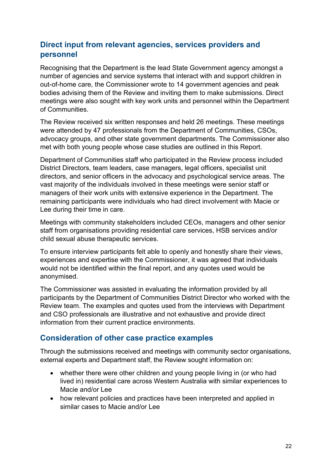# <span id="page-21-0"></span>**Direct input from relevant agencies, services providers and personnel**

Recognising that the Department is the lead State Government agency amongst a number of agencies and service systems that interact with and support children in out-of-home care, the Commissioner wrote to 14 government agencies and peak bodies advising them of the Review and inviting them to make submissions. Direct meetings were also sought with key work units and personnel within the Department of Communities.

The Review received six written responses and held 26 meetings. These meetings were attended by 47 professionals from the Department of Communities, CSOs, advocacy groups, and other state government departments. The Commissioner also met with both young people whose case studies are outlined in this Report.

Department of Communities staff who participated in the Review process included District Directors, team leaders, case managers, legal officers, specialist unit directors, and senior officers in the advocacy and psychological service areas. The vast majority of the individuals involved in these meetings were senior staff or managers of their work units with extensive experience in the Department. The remaining participants were individuals who had direct involvement with Macie or Lee during their time in care.

Meetings with community stakeholders included CEOs, managers and other senior staff from organisations providing residential care services, HSB services and/or child sexual abuse therapeutic services.

To ensure interview participants felt able to openly and honestly share their views, experiences and expertise with the Commissioner, it was agreed that individuals would not be identified within the final report, and any quotes used would be anonymised.

The Commissioner was assisted in evaluating the information provided by all participants by the Department of Communities District Director who worked with the Review team. The examples and quotes used from the interviews with Department and CSO professionals are illustrative and not exhaustive and provide direct information from their current practice environments.

## <span id="page-21-1"></span>**Consideration of other case practice examples**

Through the submissions received and meetings with community sector organisations, external experts and Department staff, the Review sought information on:

- whether there were other children and young people living in (or who had lived in) residential care across Western Australia with similar experiences to Macie and/or Lee
- how relevant policies and practices have been interpreted and applied in similar cases to Macie and/or Lee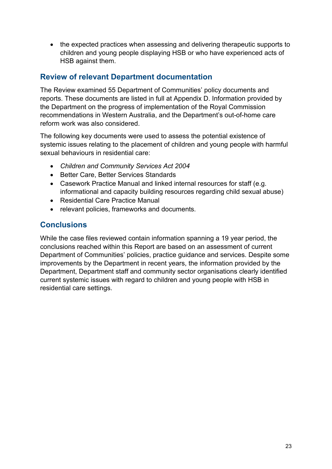• the expected practices when assessing and delivering therapeutic supports to children and young people displaying HSB or who have experienced acts of HSB against them.

## <span id="page-22-0"></span>**Review of relevant Department documentation**

The Review examined 55 Department of Communities' policy documents and reports. These documents are listed in full at Appendix D. Information provided by the Department on the progress of implementation of the Royal Commission recommendations in Western Australia, and the Department's out-of-home care reform work was also considered.

The following key documents were used to assess the potential existence of systemic issues relating to the placement of children and young people with harmful sexual behaviours in residential care:

- *Children and Community Services Act 2004*
- Better Care, Better Services Standards
- Casework Practice Manual and linked internal resources for staff (e.g. informational and capacity building resources regarding child sexual abuse)
- Residential Care Practice Manual
- relevant policies, frameworks and documents.

# <span id="page-22-1"></span>**Conclusions**

While the case files reviewed contain information spanning a 19 year period, the conclusions reached within this Report are based on an assessment of current Department of Communities' policies, practice guidance and services. Despite some improvements by the Department in recent years, the information provided by the Department, Department staff and community sector organisations clearly identified current systemic issues with regard to children and young people with HSB in residential care settings.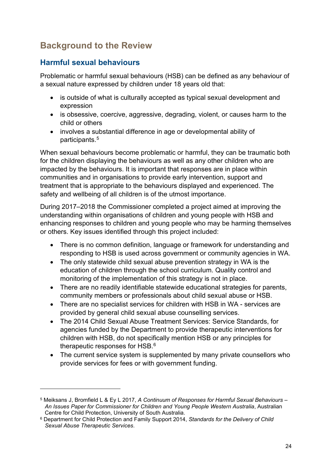# <span id="page-23-0"></span>**Background to the Review**

# <span id="page-23-1"></span>**Harmful sexual behaviours**

Problematic or harmful sexual behaviours (HSB) can be defined as any behaviour of a sexual nature expressed by children under 18 years old that:

- is outside of what is culturally accepted as typical sexual development and expression
- is obsessive, coercive, aggressive, degrading, violent, or causes harm to the child or others
- involves a substantial difference in age or developmental ability of participants.[5](#page-23-2)

When sexual behaviours become problematic or harmful, they can be traumatic both for the children displaying the behaviours as well as any other children who are impacted by the behaviours. It is important that responses are in place within communities and in organisations to provide early intervention, support and treatment that is appropriate to the behaviours displayed and experienced. The safety and wellbeing of all children is of the utmost importance.

During 2017–2018 the Commissioner completed a project aimed at improving the understanding within organisations of children and young people with HSB and enhancing responses to children and young people who may be harming themselves or others. Key issues identified through this project included:

- There is no common definition, language or framework for understanding and responding to HSB is used across government or community agencies in WA.
- The only statewide child sexual abuse prevention strategy in WA is the education of children through the school curriculum. Quality control and monitoring of the implementation of this strategy is not in place.
- There are no readily identifiable statewide educational strategies for parents, community members or professionals about child sexual abuse or HSB.
- There are no specialist services for children with HSB in WA services are provided by general child sexual abuse counselling services.
- The 2014 Child Sexual Abuse Treatment Services: Service Standards, for agencies funded by the Department to provide therapeutic interventions for children with HSB, do not specifically mention HSB or any principles for therapeutic responses for HSB. $^6$  $^6$
- The current service system is supplemented by many private counsellors who provide services for fees or with government funding.

<span id="page-23-2"></span><sup>5</sup> Meiksans J, Bromfield L & Ey L 2017, *A Continuum of Responses for Harmful Sexual Behaviours – An Issues Paper for Commissioner for Children and Young People Western Australia*, Australian Centre for Child Protection, University of South Australia.

<span id="page-23-3"></span><sup>6</sup> Department for Child Protection and Family Support 2014, *Standards for the Delivery of Child Sexual Abuse Therapeutic Services*.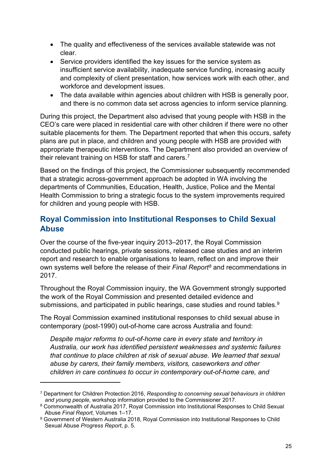- The quality and effectiveness of the services available statewide was not clear.
- Service providers identified the key issues for the service system as insufficient service availability, inadequate service funding, increasing acuity and complexity of client presentation, how services work with each other, and workforce and development issues.
- The data available within agencies about children with HSB is generally poor, and there is no common data set across agencies to inform service planning.

During this project, the Department also advised that young people with HSB in the CEO's care were placed in residential care with other children if there were no other suitable placements for them. The Department reported that when this occurs, safety plans are put in place, and children and young people with HSB are provided with appropriate therapeutic interventions. The Department also provided an overview of their relevant training on HSB for staff and carers.<sup>[7](#page-24-1)</sup>

Based on the findings of this project, the Commissioner subsequently recommended that a strategic across-government approach be adopted in WA involving the departments of Communities, Education, Health, Justice, Police and the Mental Health Commission to bring a strategic focus to the system improvements required for children and young people with HSB.

# <span id="page-24-0"></span>**Royal Commission into Institutional Responses to Child Sexual Abuse**

Over the course of the five-year inquiry 2013–2017, the Royal Commission conducted public hearings, private sessions, released case studies and an interim report and research to enable organisations to learn, reflect on and improve their own systems well before the release of their *Final Report[8](#page-24-2)* and recommendations in 2017.

Throughout the Royal Commission inquiry, the WA Government strongly supported the work of the Royal Commission and presented detailed evidence and submissions, and participated in public hearings, case studies and round tables.<sup>[9](#page-24-3)</sup>

The Royal Commission examined institutional responses to child sexual abuse in contemporary (post-1990) out-of-home care across Australia and found:

*Despite major reforms to out-of-home care in every state and territory in Australia, our work has identified persistent weaknesses and systemic failures that continue to place children at risk of sexual abuse. We learned that sexual abuse by carers, their family members, visitors, caseworkers and other children in care continues to occur in contemporary out-of-home care, and* 

<span id="page-24-1"></span><sup>7</sup> Department for Children Protection 2016, *Responding to concerning sexual behaviours in children and young people*, workshop information provided to the Commissioner 2017.

<span id="page-24-2"></span><sup>8</sup> Commonwealth of Australia 2017, Royal Commission into Institutional Responses to Child Sexual Abuse *Final Report,* Volumes 1–17.

<span id="page-24-3"></span><sup>9</sup> Government of Western Australia 2018, Royal Commission into Institutional Responses to Child Sexual Abuse *Progress Report*, p. 5.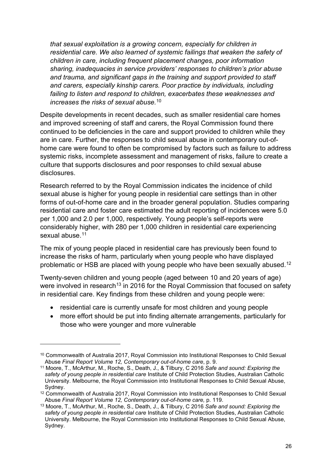*that sexual exploitation is a growing concern, especially for children in residential care. We also learned of systemic failings that weaken the safety of children in care, including frequent placement changes, poor information sharing, inadequacies in service providers' responses to children's prior abuse and trauma, and significant gaps in the training and support provided to staff and carers, especially kinship carers. Poor practice by individuals, including failing to listen and respond to children, exacerbates these weaknesses and increases the risks of sexual abuse.*[10](#page-25-0)

Despite developments in recent decades, such as smaller residential care homes and improved screening of staff and carers, the Royal Commission found there continued to be deficiencies in the care and support provided to children while they are in care. Further, the responses to child sexual abuse in contemporary out-ofhome care were found to often be compromised by factors such as failure to address systemic risks, incomplete assessment and management of risks, failure to create a culture that supports disclosures and poor responses to child sexual abuse disclosures.

Research referred to by the Royal Commission indicates the incidence of child sexual abuse is higher for young people in residential care settings than in other forms of out-of-home care and in the broader general population. Studies comparing residential care and foster care estimated the adult reporting of incidences were 5.0 per 1,000 and 2.0 per 1,000, respectively. Young people's self-reports were considerably higher, with 280 per 1,000 children in residential care experiencing sexual abuse. [11](#page-25-1)

The mix of young people placed in residential care has previously been found to increase the risks of harm, particularly when young people who have displayed problematic or HSB are placed with young people who have been sexually abused.<sup>[12](#page-25-2)</sup>

Twenty-seven children and young people (aged between 10 and 20 years of age) were involved in research<sup>[13](#page-25-3)</sup> in 2016 for the Royal Commission that focused on safety in residential care. Key findings from these children and young people were:

- residential care is currently unsafe for most children and young people
- more effort should be put into finding alternate arrangements, particularly for those who were younger and more vulnerable

<span id="page-25-0"></span><sup>10</sup> Commonwealth of Australia 2017, Royal Commission into Institutional Responses to Child Sexual Abuse *Final Report Volume 12, Contemporary out-of-home care*, p. 9.

<span id="page-25-1"></span><sup>11</sup> Moore, T., McArthur, M., Roche, S., Death, J., & Tilbury, C 2016 *Safe and sound: Exploring the safety of young people in residential care* Institute of Child Protection Studies, Australian Catholic University. Melbourne, the Royal Commission into Institutional Responses to Child Sexual Abuse, Sydney.

<span id="page-25-2"></span><sup>12</sup> Commonwealth of Australia 2017, Royal Commission into Institutional Responses to Child Sexual Abuse *Final Report Volume 12, Contemporary out-of-home care,* p. 119.

<span id="page-25-3"></span><sup>13</sup> Moore, T., McArthur, M., Roche, S., Death, J., & Tilbury, C 2016 *Safe and sound: Exploring the safety of young people in residential care* Institute of Child Protection Studies, Australian Catholic University. Melbourne, the Royal Commission into Institutional Responses to Child Sexual Abuse, Sydney.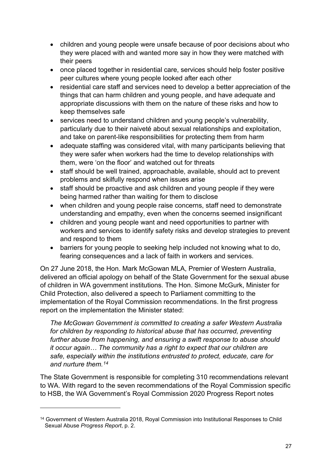- children and young people were unsafe because of poor decisions about who they were placed with and wanted more say in how they were matched with their peers
- once placed together in residential care, services should help foster positive peer cultures where young people looked after each other
- residential care staff and services need to develop a better appreciation of the things that can harm children and young people, and have adequate and appropriate discussions with them on the nature of these risks and how to keep themselves safe
- services need to understand children and young people's vulnerability, particularly due to their naiveté about sexual relationships and exploitation, and take on parent-like responsibilities for protecting them from harm
- adequate staffing was considered vital, with many participants believing that they were safer when workers had the time to develop relationships with them, were 'on the floor' and watched out for threats
- staff should be well trained, approachable, available, should act to prevent problems and skilfully respond when issues arise
- staff should be proactive and ask children and young people if they were being harmed rather than waiting for them to disclose
- when children and young people raise concerns, staff need to demonstrate understanding and empathy, even when the concerns seemed insignificant
- children and young people want and need opportunities to partner with workers and services to identify safety risks and develop strategies to prevent and respond to them
- barriers for young people to seeking help included not knowing what to do, fearing consequences and a lack of faith in workers and services.

On 27 June 2018, the Hon. Mark McGowan MLA, Premier of Western Australia, delivered an official apology on behalf of the State Government for the sexual abuse of children in WA government institutions. The Hon. Simone McGurk, Minister for Child Protection, also delivered a speech to Parliament committing to the implementation of the Royal Commission recommendations. In the first progress report on the implementation the Minister stated:

*The McGowan Government is committed to creating a safer Western Australia for children by responding to historical abuse that has occurred, preventing further abuse from happening, and ensuring a swift response to abuse should it occur again… The community has a right to expect that our children are safe, especially within the institutions entrusted to protect, educate, care for and nurture them.[14](#page-26-0)*

The State Government is responsible for completing 310 recommendations relevant to WA. With regard to the seven recommendations of the Royal Commission specific to HSB, the WA Government's Royal Commission 2020 Progress Report notes

<span id="page-26-0"></span><sup>&</sup>lt;sup>14</sup> Government of Western Australia 2018, Royal Commission into Institutional Responses to Child Sexual Abuse *Progress Report*, p. 2.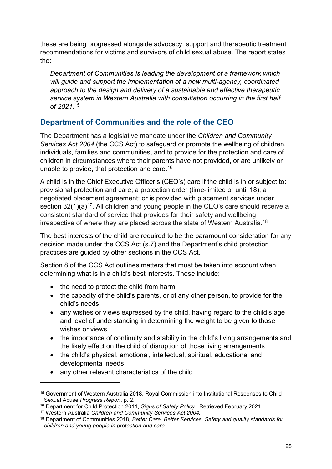these are being progressed alongside advocacy, support and therapeutic treatment recommendations for victims and survivors of child sexual abuse. The report states the:

*Department of Communities is leading the development of a framework which will guide and support the implementation of a new multi-agency, coordinated approach to the design and delivery of a sustainable and effective therapeutic service system in Western Australia with consultation occurring in the first half of 2021.* [15](#page-27-1)

# <span id="page-27-0"></span>**Department of Communities and the role of the CEO**

The Department has a legislative mandate under the *Children and Community Services Act 2004* (the CCS Act) to safeguard or promote the wellbeing of children, individuals, families and communities, and to provide for the protection and care of children in circumstances where their parents have not provided, or are unlikely or unable to provide, that protection and care.[16](#page-27-2)

A child is in the Chief Executive Officer's (CEO's) care if the child is in or subject to: provisional protection and care; a protection order (time-limited or until 18); a negotiated placement agreement; or is provided with placement services under section  $32(1)(a)^{17}$  $32(1)(a)^{17}$  $32(1)(a)^{17}$ . All children and young people in the CEO's care should receive a consistent standard of service that provides for their safety and wellbeing irrespective of where they are placed across the state of Western Australia.<sup>[18](#page-27-4)</sup>

The best interests of the child are required to be the paramount consideration for any decision made under the CCS Act (s.7) and the Department's child protection practices are guided by other sections in the CCS Act.

Section 8 of the CCS Act outlines matters that must be taken into account when determining what is in a child's best interests. These include:

- the need to protect the child from harm
- the capacity of the child's parents, or of any other person, to provide for the child's needs
- any wishes or views expressed by the child, having regard to the child's age and level of understanding in determining the weight to be given to those wishes or views
- the importance of continuity and stability in the child's living arrangements and the likely effect on the child of disruption of those living arrangements
- the child's physical, emotional, intellectual, spiritual, educational and developmental needs
- any other relevant characteristics of the child

<span id="page-27-1"></span><sup>15</sup> Government of Western Australia 2018, Royal Commission into Institutional Responses to Child Sexual Abuse *Progress Report*, p. 2.

<span id="page-27-2"></span><sup>16</sup> Department for Child Protection 2011, *Signs of Safety Policy*. Retrieved February 2021.

<span id="page-27-3"></span><sup>17</sup> Western Australia *Children and Community Services Act 2004.*

<span id="page-27-4"></span><sup>18</sup> Department of Communities 2018, *Better Care, Better Services. Safety and quality standards for children and young people in protection and care*.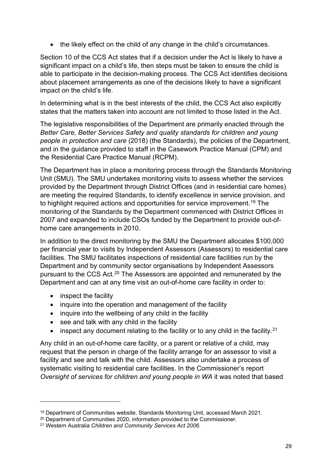• the likely effect on the child of any change in the child's circumstances.

Section 10 of the CCS Act states that if a decision under the Act is likely to have a significant impact on a child's life, then steps must be taken to ensure the child is able to participate in the decision-making process. The CCS Act identifies decisions about placement arrangements as one of the decisions likely to have a significant impact on the child's life.

In determining what is in the best interests of the child, the CCS Act also explicitly states that the matters taken into account are not limited to those listed in the Act.

The legislative responsibilities of the Department are primarily enacted through the *Better Care, Better Services Safety and quality standards for children and young people in protection and care* (2018) (the Standards), the policies of the Department, and in the guidance provided to staff in the Casework Practice Manual (CPM) and the Residential Care Practice Manual (RCPM).

The Department has in place a monitoring process through the Standards Monitoring Unit (SMU). The SMU undertakes monitoring visits to assess whether the services provided by the Department through District Offices (and in residential care homes) are meeting the required Standards, to identify excellence in service provision, and to highlight required actions and opportunities for service improvement.<sup>[19](#page-28-0)</sup> The monitoring of the Standards by the Department commenced with District Offices in 2007 and expanded to include CSOs funded by the Department to provide out-ofhome care arrangements in 2010.

In addition to the direct monitoring by the SMU the Department allocates \$100,000 per financial year to visits by Independent Assessors (Assessors) to residential care facilities. The SMU facilitates inspections of residential care facilities run by the Department and by community sector organisations by Independent Assessors pursuant to the CCS Act.[20](#page-28-1) The Assessors are appointed and remunerated by the Department and can at any time visit an out-of-home care facility in order to:

- inspect the facility
- inquire into the operation and management of the facility
- inquire into the wellbeing of any child in the facility
- see and talk with any child in the facility
- inspect any document relating to the facility or to any child in the facility.<sup>[21](#page-28-2)</sup>

Any child in an out-of-home care facility, or a parent or relative of a child, may request that the person in charge of the facility arrange for an assessor to visit a facility and see and talk with the child. Assessors also undertake a process of systematic visiting to residential care facilities. In the Commissioner's report *Oversight of services for children and young people in WA* it was noted that based

<span id="page-28-0"></span><sup>19</sup> Department of Communities website, Standards Monitoring Unit, accessed March 2021.

<span id="page-28-1"></span><sup>&</sup>lt;sup>20</sup> Department of Communities 2020, information provided to the Commissioner.

<span id="page-28-2"></span><sup>21</sup> Western Australia *Children and Community Services Act 2006.*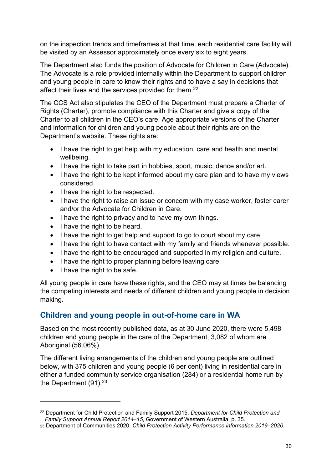on the inspection trends and timeframes at that time, each residential care facility will be visited by an Assessor approximately once every six to eight years.

The Department also funds the position of Advocate for Children in Care (Advocate). The Advocate is a role provided internally within the Department to support children and young people in care to know their rights and to have a say in decisions that affect their lives and the services provided for them.<sup>[22](#page-29-1)</sup>

The CCS Act also stipulates the CEO of the Department must prepare a Charter of Rights (Charter), promote compliance with this Charter and give a copy of the Charter to all children in the CEO's care. Age appropriate versions of the Charter and information for children and young people about their rights are on the Department's website. These rights are:

- I have the right to get help with my education, care and health and mental wellbeing.
- I have the right to take part in hobbies, sport, music, dance and/or art.
- I have the right to be kept informed about my care plan and to have my views considered.
- I have the right to be respected.
- I have the right to raise an issue or concern with my case worker, foster carer and/or the Advocate for Children in Care.
- I have the right to privacy and to have my own things.
- I have the right to be heard.
- I have the right to get help and support to go to court about my care.
- I have the right to have contact with my family and friends whenever possible.
- I have the right to be encouraged and supported in my religion and culture.
- I have the right to proper planning before leaving care.
- I have the right to be safe.

All young people in care have these rights, and the CEO may at times be balancing the competing interests and needs of different children and young people in decision making.

# <span id="page-29-0"></span>**Children and young people in out-of-home care in WA**

Based on the most recently published data, as at 30 June 2020, there were 5,498 children and young people in the care of the Department, 3,082 of whom are Aboriginal (56.06%).

The different living arrangements of the children and young people are outlined below, with 375 children and young people (6 per cent) living in residential care in either a funded community service organisation (284) or a residential home run by the Department  $(91)^{23}$  $(91)^{23}$  $(91)^{23}$ 

<span id="page-29-1"></span><sup>22</sup> Department for Child Protection and Family Support 2015, *Department for Child Protection and Family Support Annual Report 2014–15*, Government of Western Australia, p. 35.

<span id="page-29-2"></span><sup>23</sup> Department of Communities 2020, *Child Protection Activity Performance information 2019–2020.*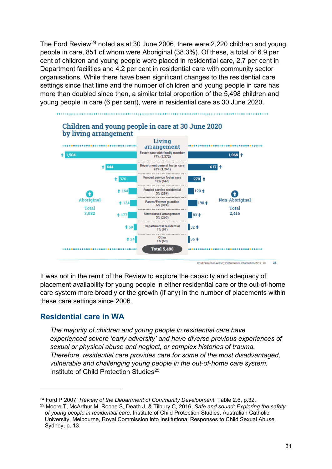The Ford Review<sup>[24](#page-30-1)</sup> noted as at 30 June 2006, there were 2,220 children and young people in care, 851 of whom were Aboriginal (38.3%). Of these, a total of 6.9 per cent of children and young people were placed in residential care, 2.7 per cent in Department facilities and 4.2 per cent in residential care with community sector organisations. While there have been significant changes to the residential care settings since that time and the number of children and young people in care has more than doubled since then, a similar total proportion of the 5,498 children and young people in care (6 per cent), were in residential care as 30 June 2020.



It was not in the remit of the Review to explore the capacity and adequacy of placement availability for young people in either residential care or the out-of-home care system more broadly or the growth (if any) in the number of placements within these care settings since 2006.

## <span id="page-30-0"></span>**Residential care in WA**

*The majority of children and young people in residential care have experienced severe 'early adversity' and have diverse previous experiences of sexual or physical abuse and neglect, or complex histories of trauma. Therefore, residential care provides care for some of the most disadvantaged, vulnerable and challenging young people in the out-of-home care system.*  Institute of Child Protection Studies<sup>[25](#page-30-2)</sup>

<span id="page-30-1"></span><sup>24</sup> Ford P 2007, *Review of the Department of Community Development*, Table 2.6, p.32.

<span id="page-30-2"></span><sup>25</sup> Moore T, McArthur M, Roche S, Death J, & Tilbury C, 2016, *Safe and sound: Exploring the safety of young people in residential care*. Institute of Child Protection Studies, Australian Catholic University, Melbourne, Royal Commission into Institutional Responses to Child Sexual Abuse, Sydney, p. 13.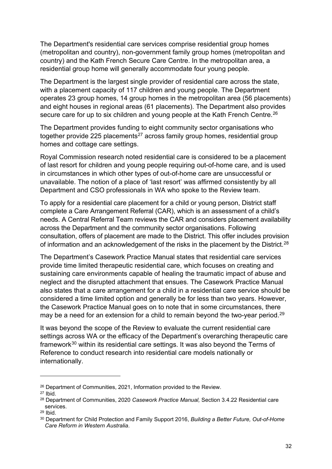The Department's residential care services comprise residential group homes (metropolitan and country), non-government family group homes (metropolitan and country) and the Kath French Secure Care Centre. In the metropolitan area, a residential group home will generally accommodate four young people.

The Department is the largest single provider of residential care across the state, with a placement capacity of 117 children and young people. The Department operates 23 group homes, 14 group homes in the metropolitan area (56 placements) and eight houses in regional areas (61 placements). The Department also provides secure care for up to six children and young people at the Kath French Centre.<sup>[26](#page-31-0)</sup>

The Department provides funding to eight community sector organisations who together provide 225 placements<sup>[27](#page-31-1)</sup> across family group homes, residential group homes and cottage care settings.

Royal Commission research noted residential care is considered to be a placement of last resort for children and young people requiring out-of-home care, and is used in circumstances in which other types of out-of-home care are unsuccessful or unavailable. The notion of a place of 'last resort' was affirmed consistently by all Department and CSO professionals in WA who spoke to the Review team.

To apply for a residential care placement for a child or young person, District staff complete a Care Arrangement Referral (CAR), which is an assessment of a child's needs. A Central Referral Team reviews the CAR and considers placement availability across the Department and the community sector organisations. Following consultation, offers of placement are made to the District. This offer includes provision of information and an acknowledgement of the risks in the placement by the District.<sup>[28](#page-31-2)</sup>

The Department's Casework Practice Manual states that residential care services provide time limited therapeutic residential care, which focuses on creating and sustaining care environments capable of healing the traumatic impact of abuse and neglect and the disrupted attachment that ensues. The Casework Practice Manual also states that a care arrangement for a child in a residential care service should be considered a time limited option and generally be for less than two years. However, the Casework Practice Manual goes on to note that in some circumstances, there may be a need for an extension for a child to remain beyond the two-year period.<sup>29</sup>

It was beyond the scope of the Review to evaluate the current residential care settings across WA or the efficacy of the Department's overarching therapeutic care framework<sup>[30](#page-31-4)</sup> within its residential care settings. It was also beyond the Terms of Reference to conduct research into residential care models nationally or internationally.

<span id="page-31-0"></span><sup>26</sup> Department of Communities, 2021, Information provided to the Review.

<span id="page-31-1"></span> $27$  Ibid.

<span id="page-31-2"></span><sup>28</sup> Department of Communities, 2020 *Casework Practice Manual,* Section 3.4.22 Residential care services.

<span id="page-31-3"></span><sup>29</sup> Ibid.

<span id="page-31-4"></span><sup>30</sup> Department for Child Protection and Family Support 2016, *Building a Better Future, Out-of-Home Care Reform in Western Australia*.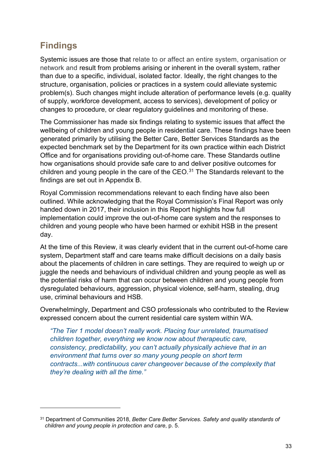# <span id="page-32-0"></span>**Findings**

Systemic issues are those that relate to or affect an entire system, organisation or network and result from problems arising or inherent in the overall system, rather than due to a specific, individual, isolated factor. Ideally, the right changes to the structure, organisation, policies or practices in a system could alleviate systemic problem(s). Such changes might include alteration of performance levels (e.g. quality of supply, workforce development, access to services), development of policy or changes to procedure, or clear regulatory guidelines and monitoring of these.

The Commissioner has made six findings relating to systemic issues that affect the wellbeing of children and young people in residential care. These findings have been generated primarily by utilising the Better Care, Better Services Standards as the expected benchmark set by the Department for its own practice within each District Office and for organisations providing out-of-home care. These Standards outline how organisations should provide safe care to and deliver positive outcomes for children and young people in the care of the CEO.<sup>[31](#page-32-1)</sup> The Standards relevant to the findings are set out in Appendix B.

Royal Commission recommendations relevant to each finding have also been outlined. While acknowledging that the Royal Commission's Final Report was only handed down in 2017, their inclusion in this Report highlights how full implementation could improve the out-of-home care system and the responses to children and young people who have been harmed or exhibit HSB in the present day.

At the time of this Review, it was clearly evident that in the current out-of-home care system, Department staff and care teams make difficult decisions on a daily basis about the placements of children in care settings. They are required to weigh up or juggle the needs and behaviours of individual children and young people as well as the potential risks of harm that can occur between children and young people from dysregulated behaviours, aggression, physical violence, self-harm, stealing, drug use, criminal behaviours and HSB.

Overwhelmingly, Department and CSO professionals who contributed to the Review expressed concern about the current residential care system within WA.

*"The Tier 1 model doesn't really work. Placing four unrelated, traumatised children together, everything we know now about therapeutic care, consistency, predictability, you can't actually physically achieve that in an environment that turns over so many young people on short term contracts...with continuous carer changeover because of the complexity that they're dealing with all the time."* 

<span id="page-32-1"></span><sup>31</sup> Department of Communities 2018, *Better Care Better Services. Safety and quality standards of children and young people in protection and care*, p. 5.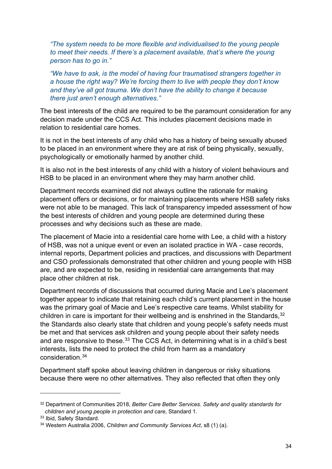*"The system needs to be more flexible and individualised to the young people to meet their needs. If there's a placement available, that's where the young person has to go in."* 

*"We have to ask, is the model of having four traumatised strangers together in a house the right way? We're forcing them to live with people they don't know and they've all got trauma. We don't have the ability to change it because there just aren't enough alternatives."*

The best interests of the child are required to be the paramount consideration for any decision made under the CCS Act. This includes placement decisions made in relation to residential care homes.

It is not in the best interests of any child who has a history of being sexually abused to be placed in an environment where they are at risk of being physically, sexually, psychologically or emotionally harmed by another child.

It is also not in the best interests of any child with a history of violent behaviours and HSB to be placed in an environment where they may harm another child.

Department records examined did not always outline the rationale for making placement offers or decisions, or for maintaining placements where HSB safety risks were not able to be managed. This lack of transparency impeded assessment of how the best interests of children and young people are determined during these processes and why decisions such as these are made.

The placement of Macie into a residential care home with Lee, a child with a history of HSB, was not a unique event or even an isolated practice in WA - case records, internal reports, Department policies and practices, and discussions with Department and CSO professionals demonstrated that other children and young people with HSB are, and are expected to be, residing in residential care arrangements that may place other children at risk.

Department records of discussions that occurred during Macie and Lee's placement together appear to indicate that retaining each child's current placement in the house was the primary goal of Macie and Lee's respective care teams. Whilst stability for children in care is important for their wellbeing and is enshrined in the Standards,  $32$ the Standards also clearly state that children and young people's safety needs must be met and that services ask children and young people about their safety needs and are responsive to these.<sup>[33](#page-33-1)</sup> The CCS Act, in determining what is in a child's best interests, lists the need to protect the child from harm as a mandatory consideration [34](#page-33-2)

Department staff spoke about leaving children in dangerous or risky situations because there were no other alternatives. They also reflected that often they only

<span id="page-33-0"></span><sup>32</sup> Department of Communities 2018, *Better Care Better Services. Safety and quality standards for children and young people in protection and care*, Standard 1.

<span id="page-33-1"></span><sup>33</sup> Ibid, Safety Standard.

<span id="page-33-2"></span><sup>34</sup> Western Australia 2006, *Children and Community Services Act*, s8 (1) (a).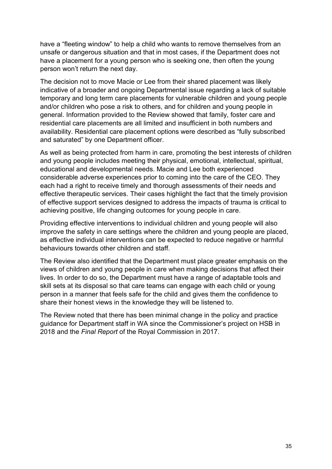have a "fleeting window" to help a child who wants to remove themselves from an unsafe or dangerous situation and that in most cases, if the Department does not have a placement for a young person who is seeking one, then often the young person won't return the next day.

The decision not to move Macie or Lee from their shared placement was likely indicative of a broader and ongoing Departmental issue regarding a lack of suitable temporary and long term care placements for vulnerable children and young people and/or children who pose a risk to others, and for children and young people in general. Information provided to the Review showed that family, foster care and residential care placements are all limited and insufficient in both numbers and availability. Residential care placement options were described as "fully subscribed and saturated" by one Department officer.

As well as being protected from harm in care, promoting the best interests of children and young people includes meeting their physical, emotional, intellectual, spiritual, educational and developmental needs. Macie and Lee both experienced considerable adverse experiences prior to coming into the care of the CEO. They each had a right to receive timely and thorough assessments of their needs and effective therapeutic services. Their cases highlight the fact that the timely provision of effective support services designed to address the impacts of trauma is critical to achieving positive, life changing outcomes for young people in care.

Providing effective interventions to individual children and young people will also improve the safety in care settings where the children and young people are placed, as effective individual interventions can be expected to reduce negative or harmful behaviours towards other children and staff.

The Review also identified that the Department must place greater emphasis on the views of children and young people in care when making decisions that affect their lives. In order to do so, the Department must have a range of adaptable tools and skill sets at its disposal so that care teams can engage with each child or young person in a manner that feels safe for the child and gives them the confidence to share their honest views in the knowledge they will be listened to.

The Review noted that there has been minimal change in the policy and practice guidance for Department staff in WA since the Commissioner's project on HSB in 2018 and the *Final Report* of the Royal Commission in 2017.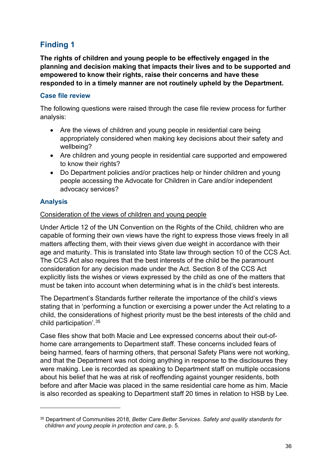# <span id="page-35-0"></span>**Finding 1**

**The rights of children and young people to be effectively engaged in the planning and decision making that impacts their lives and to be supported and empowered to know their rights, raise their concerns and have these responded to in a timely manner are not routinely upheld by the Department.**

#### **Case file review**

The following questions were raised through the case file review process for further analysis:

- Are the views of children and young people in residential care being appropriately considered when making key decisions about their safety and wellbeing?
- Are children and young people in residential care supported and empowered to know their rights?
- Do Department policies and/or practices help or hinder children and young people accessing the Advocate for Children in Care and/or independent advocacy services?

## **Analysis**

#### Consideration of the views of children and young people

Under Article 12 of the UN Convention on the Rights of the Child, children who are capable of forming their own views have the right to express those views freely in all matters affecting them, with their views given due weight in accordance with their age and maturity. This is translated into State law through section 10 of the CCS Act. The CCS Act also requires that the best interests of the child be the paramount consideration for any decision made under the Act. Section 8 of the CCS Act explicitly lists the wishes or views expressed by the child as one of the matters that must be taken into account when determining what is in the child's best interests.

The Department's Standards further reiterate the importance of the child's views stating that in 'performing a function or exercising a power under the Act relating to a child, the considerations of highest priority must be the best interests of the child and child participation'. [35](#page-35-1)

Case files show that both Macie and Lee expressed concerns about their out-ofhome care arrangements to Department staff. These concerns included fears of being harmed, fears of harming others, that personal Safety Plans were not working, and that the Department was not doing anything in response to the disclosures they were making. Lee is recorded as speaking to Department staff on multiple occasions about his belief that he was at risk of reoffending against younger residents, both before and after Macie was placed in the same residential care home as him. Macie is also recorded as speaking to Department staff 20 times in relation to HSB by Lee.

<span id="page-35-1"></span><sup>35</sup> Department of Communities 2018, *Better Care Better Services. Safety and quality standards for children and young people in protection and care*, p. 5.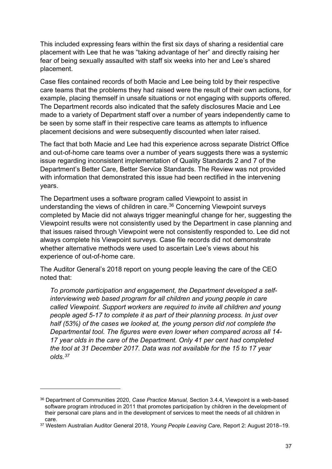This included expressing fears within the first six days of sharing a residential care placement with Lee that he was "taking advantage of her" and directly raising her fear of being sexually assaulted with staff six weeks into her and Lee's shared placement.

Case files contained records of both Macie and Lee being told by their respective care teams that the problems they had raised were the result of their own actions, for example, placing themself in unsafe situations or not engaging with supports offered. The Department records also indicated that the safety disclosures Macie and Lee made to a variety of Department staff over a number of years independently came to be seen by some staff in their respective care teams as attempts to influence placement decisions and were subsequently discounted when later raised.

The fact that both Macie and Lee had this experience across separate District Office and out-of-home care teams over a number of years suggests there was a systemic issue regarding inconsistent implementation of Quality Standards 2 and 7 of the Department's Better Care, Better Service Standards. The Review was not provided with information that demonstrated this issue had been rectified in the intervening years.

The Department uses a software program called Viewpoint to assist in understanding the views of children in care.<sup>[36](#page-36-0)</sup> Concerning Viewpoint surveys completed by Macie did not always trigger meaningful change for her, suggesting the Viewpoint results were not consistently used by the Department in case planning and that issues raised through Viewpoint were not consistently responded to. Lee did not always complete his Viewpoint surveys. Case file records did not demonstrate whether alternative methods were used to ascertain Lee's views about his experience of out-of-home care.

The Auditor General's 2018 report on young people leaving the care of the CEO noted that:

*To promote participation and engagement, the Department developed a selfinterviewing web based program for all children and young people in care called Viewpoint. Support workers are required to invite all children and young people aged 5-17 to complete it as part of their planning process. In just over half (53%) of the cases we looked at, the young person did not complete the Departmental tool. The figures were even lower when compared across all 14- 17 year olds in the care of the Department. Only 41 per cent had completed the tool at 31 December 2017. Data was not available for the 15 to 17 year olds.[37](#page-36-1)*

<span id="page-36-0"></span><sup>36</sup> Department of Communities 2020, *Case Practice Manual,* Section 3.4.4, Viewpoint is a web-based software program introduced in 2011 that promotes participation by children in the development of their personal care plans and in the development of services to meet the needs of all children in care.

<span id="page-36-1"></span><sup>37</sup> Western Australian Auditor General 2018, *Young People Leaving Care,* Report 2: August 2018–19.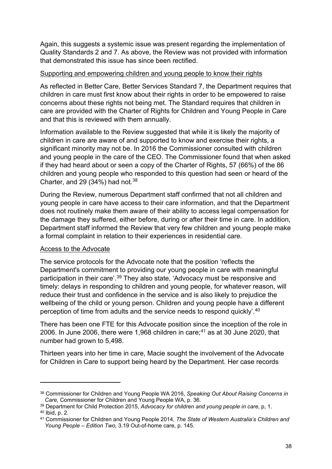Again, this suggests a systemic issue was present regarding the implementation of Quality Standards 2 and 7. As above, the Review was not provided with information that demonstrated this issue has since been rectified.

#### Supporting and empowering children and young people to know their rights

As reflected in Better Care, Better Services Standard 7, the Department requires that children in care must first know about their rights in order to be empowered to raise concerns about these rights not being met. The Standard requires that children in care are provided with the Charter of Rights for Children and Young People in Care and that this is reviewed with them annually.

Information available to the Review suggested that while it is likely the majority of children in care are aware of and supported to know and exercise their rights, a significant minority may not be. In 2016 the Commissioner consulted with children and young people in the care of the CEO. The Commissioner found that when asked if they had heard about or seen a copy of the Charter of Rights, 57 (66%) of the 86 children and young people who responded to this question had seen or heard of the Charter, and 29  $(34%)$  had not.<sup>[38](#page-37-0)</sup>

During the Review, numerous Department staff confirmed that not all children and young people in care have access to their care information, and that the Department does not routinely make them aware of their ability to access legal compensation for the damage they suffered, either before, during or after their time in care. In addition, Department staff informed the Review that very few children and young people make a formal complaint in relation to their experiences in residential care.

#### Access to the Advocate

The service protocols for the Advocate note that the position 'reflects the Department's commitment to providing our young people in care with meaningful participation in their care'. [39](#page-37-1) They also state*,* 'Advocacy must be responsive and timely: delays in responding to children and young people, for whatever reason, will reduce their trust and confidence in the service and is also likely to prejudice the wellbeing of the child or young person. Children and young people have a different perception of time from adults and the service needs to respond quickly'. [40](#page-37-2)

There has been one FTE for this Advocate position since the inception of the role in 2006. In June 2006, there were 1,968 children in care; [41](#page-37-3) as at 30 June 2020, that number had grown to 5,498.

Thirteen years into her time in care, Macie sought the involvement of the Advocate for Children in Care to support being heard by the Department. Her case records

<span id="page-37-0"></span><sup>38</sup> Commissioner for Children and Young People WA 2016, *Speaking Out About Raising Concerns in Care,* Commissioner for Children and Young People WA, p. 36.

<span id="page-37-1"></span><sup>39</sup> Department for Child Protection 2015, *Advocacy for children and young people in care*, p, 1. <sup>40</sup> Ibid, p. 2.

<span id="page-37-3"></span><span id="page-37-2"></span><sup>41</sup> Commissioner for Children and Young People 2014, *The State of Western Australia's Children and Young People – Edition Two,* 3.19 Out-of-home care, p. 145.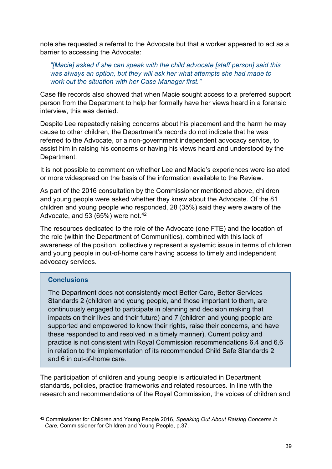note she requested a referral to the Advocate but that a worker appeared to act as a barrier to accessing the Advocate:

*"[Macie] asked if she can speak with the child advocate [staff person] said this was always an option, but they will ask her what attempts she had made to work out the situation with her Case Manager first."* 

Case file records also showed that when Macie sought access to a preferred support person from the Department to help her formally have her views heard in a forensic interview, this was denied.

Despite Lee repeatedly raising concerns about his placement and the harm he may cause to other children, the Department's records do not indicate that he was referred to the Advocate, or a non-government independent advocacy service, to assist him in raising his concerns or having his views heard and understood by the Department.

It is not possible to comment on whether Lee and Macie's experiences were isolated or more widespread on the basis of the information available to the Review.

As part of the 2016 consultation by the Commissioner mentioned above, children and young people were asked whether they knew about the Advocate. Of the 81 children and young people who responded, 28 (35%) said they were aware of the Advocate, and 53 (65%) were not. $42$ 

The resources dedicated to the role of the Advocate (one FTE) and the location of the role (within the Department of Communities), combined with this lack of awareness of the position, collectively represent a systemic issue in terms of children and young people in out-of-home care having access to timely and independent advocacy services.

#### **Conclusions**

The Department does not consistently meet Better Care, Better Services Standards 2 (children and young people, and those important to them, are continuously engaged to participate in planning and decision making that impacts on their lives and their future) and 7 (children and young people are supported and empowered to know their rights, raise their concerns, and have these responded to and resolved in a timely manner). Current policy and practice is not consistent with Royal Commission recommendations 6.4 and 6.6 in relation to the implementation of its recommended Child Safe Standards 2 and 6 in out-of-home care.

The participation of children and young people is articulated in Department standards, policies, practice frameworks and related resources. In line with the research and recommendations of the Royal Commission, the voices of children and

<span id="page-38-0"></span><sup>42</sup> Commissioner for Children and Young People 2016, *Speaking Out About Raising Concerns in Care*, Commissioner for Children and Young People, p.37.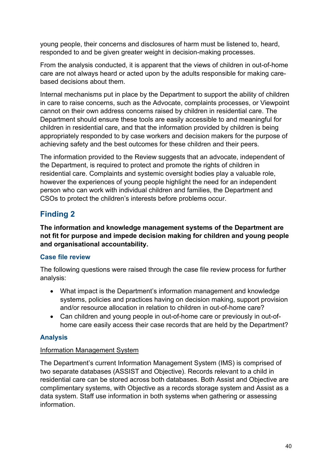young people, their concerns and disclosures of harm must be listened to, heard, responded to and be given greater weight in decision-making processes.

From the analysis conducted, it is apparent that the views of children in out-of-home care are not always heard or acted upon by the adults responsible for making carebased decisions about them.

Internal mechanisms put in place by the Department to support the ability of children in care to raise concerns, such as the Advocate, complaints processes, or Viewpoint cannot on their own address concerns raised by children in residential care. The Department should ensure these tools are easily accessible to and meaningful for children in residential care, and that the information provided by children is being appropriately responded to by case workers and decision makers for the purpose of achieving safety and the best outcomes for these children and their peers.

The information provided to the Review suggests that an advocate, independent of the Department, is required to protect and promote the rights of children in residential care. Complaints and systemic oversight bodies play a valuable role, however the experiences of young people highlight the need for an independent person who can work with individual children and families, the Department and CSOs to protect the children's interests before problems occur.

# **Finding 2**

**The information and knowledge management systems of the Department are not fit for purpose and impede decision making for children and young people and organisational accountability.** 

# **Case file review**

The following questions were raised through the case file review process for further analysis:

- What impact is the Department's information management and knowledge systems, policies and practices having on decision making, support provision and/or resource allocation in relation to children in out-of-home care?
- Can children and young people in out-of-home care or previously in out-ofhome care easily access their case records that are held by the Department?

# **Analysis**

## Information Management System

The Department's current Information Management System (IMS) is comprised of two separate databases (ASSIST and Objective). Records relevant to a child in residential care can be stored across both databases. Both Assist and Objective are complimentary systems, with Objective as a records storage system and Assist as a data system. Staff use information in both systems when gathering or assessing information.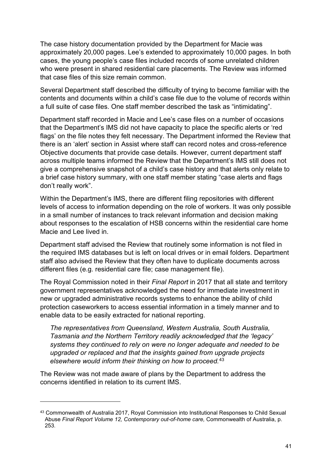The case history documentation provided by the Department for Macie was approximately 20,000 pages. Lee's extended to approximately 10,000 pages. In both cases, the young people's case files included records of some unrelated children who were present in shared residential care placements. The Review was informed that case files of this size remain common.

Several Department staff described the difficulty of trying to become familiar with the contents and documents within a child's case file due to the volume of records within a full suite of case files. One staff member described the task as "intimidating".

Department staff recorded in Macie and Lee's case files on a number of occasions that the Department's IMS did not have capacity to place the specific alerts or 'red flags' on the file notes they felt necessary. The Department informed the Review that there is an 'alert' section in Assist where staff can record notes and cross-reference Objective documents that provide case details. However, current department staff across multiple teams informed the Review that the Department's IMS still does not give a comprehensive snapshot of a child's case history and that alerts only relate to a brief case history summary, with one staff member stating "case alerts and flags don't really work".

Within the Department's IMS, there are different filing repositories with different levels of access to information depending on the role of workers. It was only possible in a small number of instances to track relevant information and decision making about responses to the escalation of HSB concerns within the residential care home Macie and Lee lived in.

Department staff advised the Review that routinely some information is not filed in the required IMS databases but is left on local drives or in email folders. Department staff also advised the Review that they often have to duplicate documents across different files (e.g. residential care file; case management file).

The Royal Commission noted in their *Final Report* in 2017 that all state and territory government representatives acknowledged the need for immediate investment in new or upgraded administrative records systems to enhance the ability of child protection caseworkers to access essential information in a timely manner and to enable data to be easily extracted for national reporting.

*The representatives from Queensland, Western Australia, South Australia, Tasmania and the Northern Territory readily acknowledged that the 'legacy' systems they continued to rely on were no longer adequate and needed to be upgraded or replaced and that the insights gained from upgrade projects elsewhere would inform their thinking on how to proceed.*[43](#page-40-0)

The Review was not made aware of plans by the Department to address the concerns identified in relation to its current IMS.

<span id="page-40-0"></span><sup>43</sup> Commonwealth of Australia 2017, Royal Commission into Institutional Responses to Child Sexual Abuse *Final Report Volume 12, Contemporary out-of-home care,* Commonwealth of Australia, p. 253.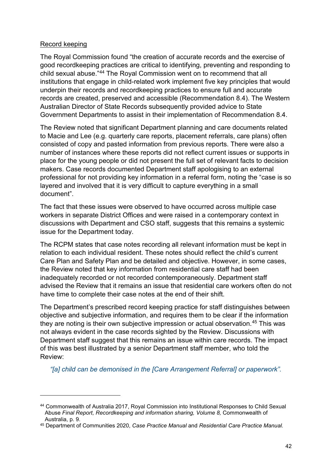#### Record keeping

The Royal Commission found "the creation of accurate records and the exercise of good recordkeeping practices are critical to identifying, preventing and responding to child sexual abuse."[44](#page-41-0) The Royal Commission went on to recommend that all institutions that engage in child-related work implement five key principles that would underpin their records and recordkeeping practices to ensure full and accurate records are created, preserved and accessible (Recommendation 8.4). The Western Australian Director of State Records subsequently provided advice to State Government Departments to assist in their implementation of Recommendation 8.4.

The Review noted that significant Department planning and care documents related to Macie and Lee (e.g. quarterly care reports, placement referrals, care plans) often consisted of copy and pasted information from previous reports. There were also a number of instances where these reports did not reflect current issues or supports in place for the young people or did not present the full set of relevant facts to decision makers. Case records documented Department staff apologising to an external professional for not providing key information in a referral form, noting the "case is so layered and involved that it is very difficult to capture everything in a small document".

The fact that these issues were observed to have occurred across multiple case workers in separate District Offices and were raised in a contemporary context in discussions with Department and CSO staff, suggests that this remains a systemic issue for the Department today.

The RCPM states that case notes recording all relevant information must be kept in relation to each individual resident. These notes should reflect the child's current Care Plan and Safety Plan and be detailed and objective. However, in some cases, the Review noted that key information from residential care staff had been inadequately recorded or not recorded contemporaneously. Department staff advised the Review that it remains an issue that residential care workers often do not have time to complete their case notes at the end of their shift.

The Department's prescribed record keeping practice for staff distinguishes between objective and subjective information, and requires them to be clear if the information they are noting is their own subjective impression or actual observation.<sup>[45](#page-41-1)</sup> This was not always evident in the case records sighted by the Review. Discussions with Department staff suggest that this remains an issue within care records. The impact of this was best illustrated by a senior Department staff member, who told the Review:

*"[a] child can be demonised in the [Care Arrangement Referral] or paperwork".*

<span id="page-41-0"></span><sup>44</sup> Commonwealth of Australia 2017, Royal Commission into Institutional Responses to Child Sexual Abuse *Final Report, Recordkeeping and information sharing, Volume 8,* Commonwealth of Australia, p. 9.

<span id="page-41-1"></span><sup>45</sup> Department of Communities 2020, *Case Practice Manual* and *Residential Care Practice Manual.*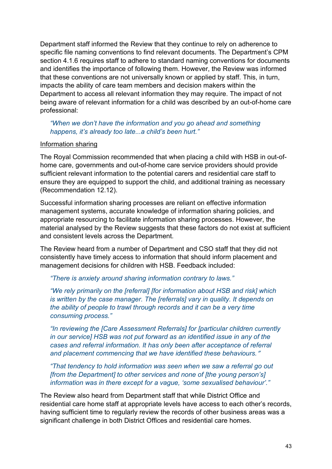Department staff informed the Review that they continue to rely on adherence to specific file naming conventions to find relevant documents. The Department's CPM section 4.1.6 requires staff to adhere to standard naming conventions for documents and identifies the importance of following them. However, the Review was informed that these conventions are not universally known or applied by staff. This, in turn, impacts the ability of care team members and decision makers within the Department to access all relevant information they may require. The impact of not being aware of relevant information for a child was described by an out-of-home care professional:

#### *"When we don't have the information and you go ahead and something happens, it's already too late...a child's been hurt."*

#### Information sharing

The Royal Commission recommended that when placing a child with HSB in out-ofhome care, governments and out-of-home care service providers should provide sufficient relevant information to the potential carers and residential care staff to ensure they are equipped to support the child, and additional training as necessary (Recommendation 12.12).

Successful information sharing processes are reliant on effective information management systems, accurate knowledge of information sharing policies, and appropriate resourcing to facilitate information sharing processes. However, the material analysed by the Review suggests that these factors do not exist at sufficient and consistent levels across the Department.

The Review heard from a number of Department and CSO staff that they did not consistently have timely access to information that should inform placement and management decisions for children with HSB. Feedback included:

*"There is anxiety around sharing information contrary to laws."*

*"We rely primarily on the [referral] [for information about HSB and risk] which is written by the case manager. The [referrals] vary in quality. It depends on the ability of people to trawl through records and it can be a very time consuming process."*

*"In reviewing the [Care Assessment Referrals] for [particular children currently in our service] HSB was not put forward as an identified issue in any of the cases and referral information. It has only been after acceptance of referral and placement commencing that we have identified these behaviours.*"

*"That tendency to hold information was seen when we saw a referral go out [from the Department] to other services and none of [the young person's] information was in there except for a vague, 'some sexualised behaviour'."*

The Review also heard from Department staff that while District Office and residential care home staff at appropriate levels have access to each other's records, having sufficient time to regularly review the records of other business areas was a significant challenge in both District Offices and residential care homes.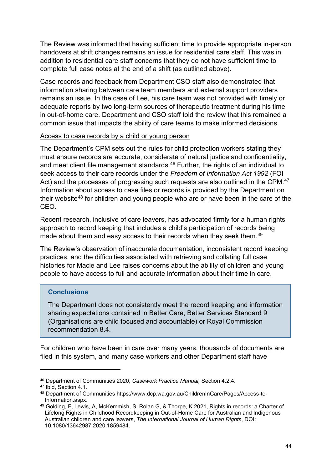The Review was informed that having sufficient time to provide appropriate in-person handovers at shift changes remains an issue for residential care staff. This was in addition to residential care staff concerns that they do not have sufficient time to complete full case notes at the end of a shift (as outlined above).

Case records and feedback from Department CSO staff also demonstrated that information sharing between care team members and external support providers remains an issue. In the case of Lee, his care team was not provided with timely or adequate reports by two long-term sources of therapeutic treatment during his time in out-of-home care. Department and CSO staff told the review that this remained a common issue that impacts the ability of care teams to make informed decisions.

#### Access to case records by a child or young person

The Department's CPM sets out the rules for child protection workers stating they must ensure records are accurate, considerate of natural justice and confidentiality, and meet client file management standards. $46$  Further, the rights of an individual to seek access to their care records under the *Freedom of Information Act 1992* (FOI Act) and the processes of progressing such requests are also outlined in the CPM.<sup>[47](#page-43-1)</sup> Information about access to case files or records is provided by the Department on their website<sup>[48](#page-43-2)</sup> for children and young people who are or have been in the care of the CEO.

Recent research, inclusive of care leavers, has advocated firmly for a human rights approach to record keeping that includes a child's participation of records being made about them and easy access to their records when they seek them.<sup>[49](#page-43-3)</sup>

The Review's observation of inaccurate documentation, inconsistent record keeping practices, and the difficulties associated with retrieving and collating full case histories for Macie and Lee raises concerns about the ability of children and young people to have access to full and accurate information about their time in care.

## **Conclusions**

The Department does not consistently meet the record keeping and information sharing expectations contained in Better Care, Better Services Standard 9 (Organisations are child focused and accountable) or Royal Commission recommendation 8.4.

For children who have been in care over many years, thousands of documents are filed in this system, and many case workers and other Department staff have

<span id="page-43-0"></span><sup>46</sup> Department of Communities 2020, *Casework Practice Manual,* Section 4.2.4.

<span id="page-43-1"></span><sup>47</sup> Ibid, Section 4.1.

<span id="page-43-2"></span><sup>48</sup> Department of Communities https://www.dcp.wa.gov.au/ChildrenInCare/Pages/Access-to-Information.aspx.

<span id="page-43-3"></span><sup>49</sup> Golding, F, Lewis, A, McKemmish, S, Rolan G, & Thorpe, K 2021, Rights in records: a Charter of Lifelong Rights in Childhood Recordkeeping in Out-of-Home Care for Australian and Indigenous Australian children and care leavers, *The International Journal of Human Rights*, DOI: 10.1080/13642987.2020.1859484.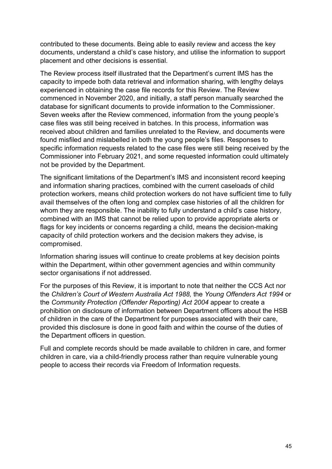contributed to these documents. Being able to easily review and access the key documents, understand a child's case history, and utilise the information to support placement and other decisions is essential.

The Review process itself illustrated that the Department's current IMS has the capacity to impede both data retrieval and information sharing, with lengthy delays experienced in obtaining the case file records for this Review. The Review commenced in November 2020, and initially, a staff person manually searched the database for significant documents to provide information to the Commissioner. Seven weeks after the Review commenced, information from the young people's case files was still being received in batches. In this process, information was received about children and families unrelated to the Review, and documents were found misfiled and mislabelled in both the young people's files. Responses to specific information requests related to the case files were still being received by the Commissioner into February 2021, and some requested information could ultimately not be provided by the Department.

The significant limitations of the Department's IMS and inconsistent record keeping and information sharing practices, combined with the current caseloads of child protection workers, means child protection workers do not have sufficient time to fully avail themselves of the often long and complex case histories of all the children for whom they are responsible. The inability to fully understand a child's case history, combined with an IMS that cannot be relied upon to provide appropriate alerts or flags for key incidents or concerns regarding a child, means the decision-making capacity of child protection workers and the decision makers they advise, is compromised.

Information sharing issues will continue to create problems at key decision points within the Department, within other government agencies and within community sector organisations if not addressed.

For the purposes of this Review, it is important to note that neither the CCS Act nor the *Children's Court of Western Australia Act 1988,* the *Young Offenders Act 1994* or the *Community Protection (Offender Reporting) Act 2004* appear to create a prohibition on disclosure of information between Department officers about the HSB of children in the care of the Department for purposes associated with their care, provided this disclosure is done in good faith and within the course of the duties of the Department officers in question.

Full and complete records should be made available to children in care, and former children in care, via a child-friendly process rather than require vulnerable young people to access their records via Freedom of Information requests.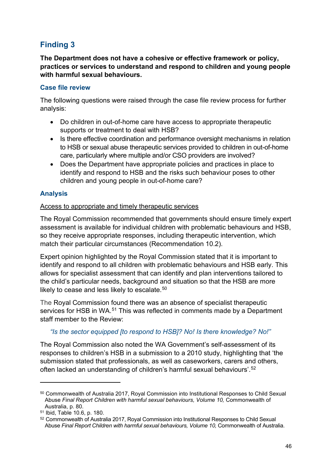# **Finding 3**

**The Department does not have a cohesive or effective framework or policy, practices or services to understand and respond to children and young people with harmful sexual behaviours.**

## **Case file review**

The following questions were raised through the case file review process for further analysis:

- Do children in out-of-home care have access to appropriate therapeutic supports or treatment to deal with HSB?
- Is there effective coordination and performance oversight mechanisms in relation to HSB or sexual abuse therapeutic services provided to children in out-of-home care, particularly where multiple and/or CSO providers are involved?
- Does the Department have appropriate policies and practices in place to identify and respond to HSB and the risks such behaviour poses to other children and young people in out-of-home care?

## **Analysis**

#### Access to appropriate and timely therapeutic services

The Royal Commission recommended that governments should ensure timely expert assessment is available for individual children with problematic behaviours and HSB, so they receive appropriate responses, including therapeutic intervention, which match their particular circumstances (Recommendation 10.2).

Expert opinion highlighted by the Royal Commission stated that it is important to identify and respond to all children with problematic behaviours and HSB early. This allows for specialist assessment that can identify and plan interventions tailored to the child's particular needs, background and situation so that the HSB are more likely to cease and less likely to escalate.<sup>[50](#page-45-0)</sup>

The Royal Commission found there was an absence of specialist therapeutic services for HSB in WA.<sup>[51](#page-45-1)</sup> This was reflected in comments made by a Department staff member to the Review:

# *"Is the sector equipped [to respond to HSB]? No! Is there knowledge? No!"*

The Royal Commission also noted the WA Government's self-assessment of its responses to children's HSB in a submission to a 2010 study, highlighting that 'the submission stated that professionals, as well as caseworkers, carers and others, often lacked an understanding of children's harmful sexual behaviours'. [52](#page-45-2)

<span id="page-45-0"></span><sup>50</sup> Commonwealth of Australia 2017, Royal Commission into Institutional Responses to Child Sexual Abuse *Final Report Children with harmful sexual behaviours, Volume 10,* Commonwealth of Australia, p. 80.

<span id="page-45-1"></span><sup>51</sup> Ibid, Table 10.6, p. 180.

<span id="page-45-2"></span><sup>52</sup> Commonwealth of Australia 2017, Royal Commission into Institutional Responses to Child Sexual Abuse *Final Report Children with harmful sexual behaviours, Volume 10,* Commonwealth of Australia.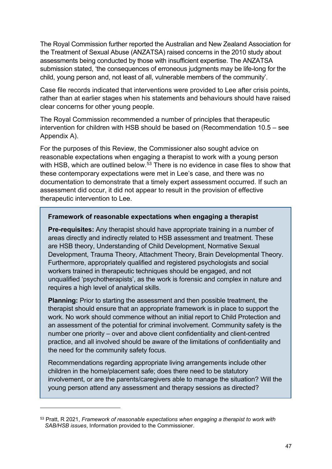The Royal Commission further reported the Australian and New Zealand Association for the Treatment of Sexual Abuse (ANZATSA) raised concerns in the 2010 study about assessments being conducted by those with insufficient expertise. The ANZATSA submission stated, 'the consequences of erroneous judgments may be life-long for the child, young person and, not least of all, vulnerable members of the community'.

Case file records indicated that interventions were provided to Lee after crisis points, rather than at earlier stages when his statements and behaviours should have raised clear concerns for other young people.

The Royal Commission recommended a number of principles that therapeutic intervention for children with HSB should be based on (Recommendation 10.5 – see Appendix A).

For the purposes of this Review, the Commissioner also sought advice on reasonable expectations when engaging a therapist to work with a young person with HSB, which are outlined below.<sup>[53](#page-46-0)</sup> There is no evidence in case files to show that these contemporary expectations were met in Lee's case, and there was no documentation to demonstrate that a timely expert assessment occurred. If such an assessment did occur, it did not appear to result in the provision of effective therapeutic intervention to Lee.

#### **Framework of reasonable expectations when engaging a therapist**

**Pre-requisites:** Any therapist should have appropriate training in a number of areas directly and indirectly related to HSB assessment and treatment. These are HSB theory, Understanding of Child Development, Normative Sexual Development, Trauma Theory, Attachment Theory, Brain Developmental Theory. Furthermore, appropriately qualified and registered psychologists and social workers trained in therapeutic techniques should be engaged, and not unqualified 'psychotherapists', as the work is forensic and complex in nature and requires a high level of analytical skills.

**Planning:** Prior to starting the assessment and then possible treatment, the therapist should ensure that an appropriate framework is in place to support the work. No work should commence without an initial report to Child Protection and an assessment of the potential for criminal involvement. Community safety is the number one priority – over and above client confidentiality and client-centred practice, and all involved should be aware of the limitations of confidentiality and the need for the community safety focus.

Recommendations regarding appropriate living arrangements include other children in the home/placement safe; does there need to be statutory involvement, or are the parents/caregivers able to manage the situation? Will the young person attend any assessment and therapy sessions as directed?

<span id="page-46-0"></span><sup>53</sup> Pratt, R 2021, *Framework of reasonable expectations when engaging a therapist to work with SAB/HSB issues*, Information provided to the Commissioner.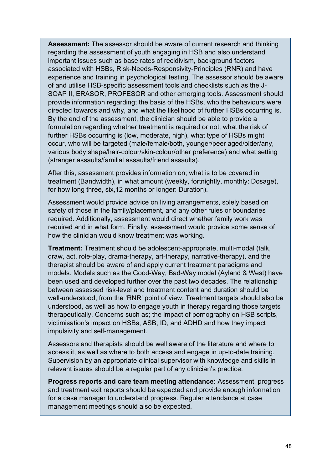**Assessment:** The assessor should be aware of current research and thinking regarding the assessment of youth engaging in HSB and also understand important issues such as base rates of recidivism, background factors associated with HSBs, Risk-Needs-Responsivity-Principles (RNR) and have experience and training in psychological testing. The assessor should be aware of and utilise HSB-specific assessment tools and checklists such as the J-SOAP II, ERASOR, PROFESOR and other emerging tools. Assessment should provide information regarding; the basis of the HSBs, who the behaviours were directed towards and why, and what the likelihood of further HSBs occurring is. By the end of the assessment, the clinician should be able to provide a formulation regarding whether treatment is required or not; what the risk of further HSBs occurring is (low, moderate, high), what type of HSBs might occur, who will be targeted (male/female/both, younger/peer aged/older/any, various body shape/hair-colour/skin-colour/other preference) and what setting (stranger assaults/familial assaults/friend assaults).

After this, assessment provides information on; what is to be covered in treatment (Bandwidth), in what amount (weekly, fortnightly, monthly: Dosage), for how long three, six,12 months or longer: Duration).

Assessment would provide advice on living arrangements, solely based on safety of those in the family/placement, and any other rules or boundaries required. Additionally, assessment would direct whether family work was required and in what form. Finally, assessment would provide some sense of how the clinician would know treatment was working.

**Treatment:** Treatment should be adolescent-appropriate, multi-modal (talk, draw, act, role-play, drama-therapy, art-therapy, narrative-therapy), and the therapist should be aware of and apply current treatment paradigms and models. Models such as the Good-Way, Bad-Way model (Ayland & West) have been used and developed further over the past two decades. The relationship between assessed risk-level and treatment content and duration should be well-understood, from the 'RNR' point of view. Treatment targets should also be understood, as well as how to engage youth in therapy regarding those targets therapeutically. Concerns such as; the impact of pornography on HSB scripts, victimisation's impact on HSBs, ASB, ID, and ADHD and how they impact impulsivity and self-management.

Assessors and therapists should be well aware of the literature and where to access it, as well as where to both access and engage in up-to-date training. Supervision by an appropriate clinical supervisor with knowledge and skills in relevant issues should be a regular part of any clinician's practice.

**Progress reports and care team meeting attendance:** Assessment, progress and treatment exit reports should be expected and provide enough information for a case manager to understand progress. Regular attendance at case management meetings should also be expected.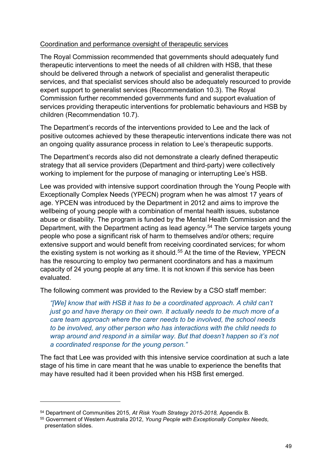#### Coordination and performance oversight of therapeutic services

The Royal Commission recommended that governments should adequately fund therapeutic interventions to meet the needs of all children with HSB, that these should be delivered through a network of specialist and generalist therapeutic services, and that specialist services should also be adequately resourced to provide expert support to generalist services (Recommendation 10.3). The Royal Commission further recommended governments fund and support evaluation of services providing therapeutic interventions for problematic behaviours and HSB by children (Recommendation 10.7).

The Department's records of the interventions provided to Lee and the lack of positive outcomes achieved by these therapeutic interventions indicate there was not an ongoing quality assurance process in relation to Lee's therapeutic supports.

The Department's records also did not demonstrate a clearly defined therapeutic strategy that all service providers (Department and third-party) were collectively working to implement for the purpose of managing or interrupting Lee's HSB.

Lee was provided with intensive support coordination through the Young People with Exceptionally Complex Needs (YPECN) program when he was almost 17 years of age. YPCEN was introduced by the Department in 2012 and aims to improve the wellbeing of young people with a combination of mental health issues, substance abuse or disability. The program is funded by the Mental Health Commission and the Department, with the Department acting as lead agency. [54](#page-48-0) The service targets young people who pose a significant risk of harm to themselves and/or others; require extensive support and would benefit from receiving coordinated services; for whom the existing system is not working as it should.<sup>[55](#page-48-1)</sup> At the time of the Review, YPECN has the resourcing to employ two permanent coordinators and has a maximum capacity of 24 young people at any time. It is not known if this service has been evaluated.

The following comment was provided to the Review by a CSO staff member:

*"[We] know that with HSB it has to be a coordinated approach. A child can't just go and have therapy on their own. It actually needs to be much more of a care team approach where the carer needs to be involved, the school needs to be involved, any other person who has interactions with the child needs to wrap around and respond in a similar way. But that doesn't happen so it's not a coordinated response for the young person."*

The fact that Lee was provided with this intensive service coordination at such a late stage of his time in care meant that he was unable to experience the benefits that may have resulted had it been provided when his HSB first emerged.

<span id="page-48-0"></span><sup>54</sup> Department of Communities 2015, *At Risk Youth Strategy 2015-2018,* Appendix B.

<span id="page-48-1"></span><sup>55</sup> Government of Western Australia 2012, *Young People with Exceptionally Complex Needs,* presentation slides.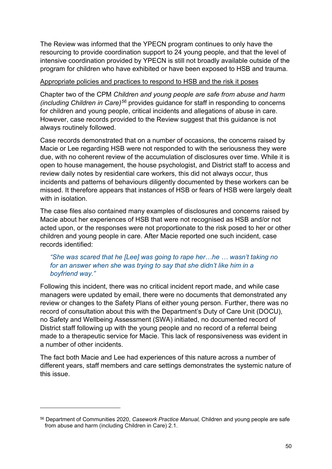The Review was informed that the YPECN program continues to only have the resourcing to provide coordination support to 24 young people, and that the level of intensive coordination provided by YPECN is still not broadly available outside of the program for children who have exhibited or have been exposed to HSB and trauma.

#### Appropriate policies and practices to respond to HSB and the risk it poses

Chapter two of the CPM *Children and young people are safe from abuse and harm (including Children in Care)[56](#page-49-0)* provides guidance for staff in responding to concerns for children and young people, critical incidents and allegations of abuse in care. However, case records provided to the Review suggest that this guidance is not always routinely followed.

Case records demonstrated that on a number of occasions, the concerns raised by Macie or Lee regarding HSB were not responded to with the seriousness they were due, with no coherent review of the accumulation of disclosures over time. While it is open to house management, the house psychologist, and District staff to access and review daily notes by residential care workers, this did not always occur, thus incidents and patterns of behaviours diligently documented by these workers can be missed. It therefore appears that instances of HSB or fears of HSB were largely dealt with in isolation

The case files also contained many examples of disclosures and concerns raised by Macie about her experiences of HSB that were not recognised as HSB and/or not acted upon, or the responses were not proportionate to the risk posed to her or other children and young people in care. After Macie reported one such incident, case records identified:

## *"She was scared that he [Lee] was going to rape her…he … wasn't taking no for an answer when she was trying to say that she didn't like him in a boyfriend way."*

Following this incident, there was no critical incident report made, and while case managers were updated by email, there were no documents that demonstrated any review or changes to the Safety Plans of either young person. Further, there was no record of consultation about this with the Department's Duty of Care Unit (DOCU), no Safety and Wellbeing Assessment (SWA) initiated, no documented record of District staff following up with the young people and no record of a referral being made to a therapeutic service for Macie. This lack of responsiveness was evident in a number of other incidents.

The fact both Macie and Lee had experiences of this nature across a number of different years, staff members and care settings demonstrates the systemic nature of this issue.

<span id="page-49-0"></span><sup>56</sup> Department of Communities 2020, *Casework Practice Manual,* Children and young people are safe from abuse and harm (including Children in Care) 2.1.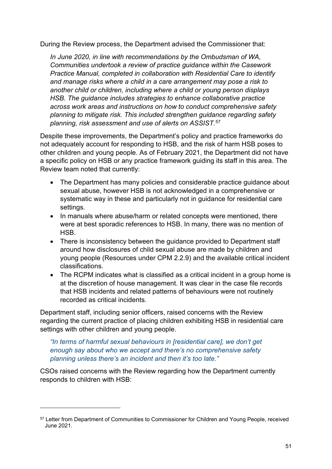During the Review process, the Department advised the Commissioner that:

*In June 2020, in line with recommendations by the Ombudsman of WA, Communities undertook a review of practice guidance within the Casework Practice Manual, completed in collaboration with Residential Care to identify and manage risks where a child in a care arrangement may pose a risk to another child or children, including where a child or young person displays HSB. The guidance includes strategies to enhance collaborative practice across work areas and instructions on how to conduct comprehensive safety planning to mitigate risk. This included strengthen guidance regarding safety planning, risk assessment and use of alerts on ASSIST.* [57](#page-50-0)

Despite these improvements, the Department's policy and practice frameworks do not adequately account for responding to HSB, and the risk of harm HSB poses to other children and young people. As of February 2021, the Department did not have a specific policy on HSB or any practice framework guiding its staff in this area. The Review team noted that currently:

- The Department has many policies and considerable practice guidance about sexual abuse, however HSB is not acknowledged in a comprehensive or systematic way in these and particularly not in guidance for residential care settings.
- In manuals where abuse/harm or related concepts were mentioned, there were at best sporadic references to HSB. In many, there was no mention of HSB.
- There is inconsistency between the quidance provided to Department staff around how disclosures of child sexual abuse are made by children and young people (Resources under CPM 2.2.9) and the available critical incident classifications.
- The RCPM indicates what is classified as a critical incident in a group home is at the discretion of house management. It was clear in the case file records that HSB incidents and related patterns of behaviours were not routinely recorded as critical incidents.

Department staff, including senior officers, raised concerns with the Review regarding the current practice of placing children exhibiting HSB in residential care settings with other children and young people.

## *"In terms of harmful sexual behaviours in [residential care], we don't get enough say about who we accept and there's no comprehensive safety planning unless there's an incident and then it's too late."*

CSOs raised concerns with the Review regarding how the Department currently responds to children with HSB:

<span id="page-50-0"></span><sup>57</sup> Letter from Department of Communities to Commissioner for Children and Young People, received June 2021.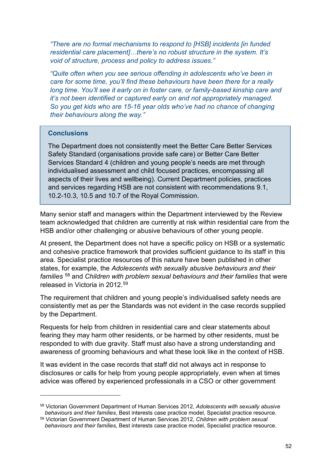*"There are no formal mechanisms to respond to [HSB] incidents [in funded residential care placement]…there's no robust structure in the system. It's void of structure, process and policy to address issues."* 

*"Quite often when you see serious offending in adolescents who've been in care for some time, you'll find these behaviours have been there for a really long time. You'll see it early on in foster care, or family-based kinship care and it's not been identified or captured early on and not appropriately managed. So you get kids who are 15-16 year olds who've had no chance of changing their behaviours along the way."*

#### **Conclusions**

The Department does not consistently meet the Better Care Better Services Safety Standard (organisations provide safe care) or Better Care Better Services Standard 4 (children and young people's needs are met through individualised assessment and child focused practices, encompassing all aspects of their lives and wellbeing). Current Department policies, practices and services regarding HSB are not consistent with recommendations 9.1, 10.2-10.3, 10.5 and 10.7 of the Royal Commission.

Many senior staff and managers within the Department interviewed by the Review team acknowledged that children are currently at risk within residential care from the HSB and/or other challenging or abusive behaviours of other young people.

At present, the Department does not have a specific policy on HSB or a systematic and cohesive practice framework that provides sufficient guidance to its staff in this area. Specialist practice resources of this nature have been published in other states, for example, the *Adolescents with sexually abusive behaviours and their families* [58](#page-51-0) and *Children with problem sexual behaviours and their families* that were released in Victoria in 2012.[59](#page-51-1)

The requirement that children and young people's individualised safety needs are consistently met as per the Standards was not evident in the case records supplied by the Department.

Requests for help from children in residential care and clear statements about fearing they may harm other residents, or be harmed by other residents, must be responded to with due gravity. Staff must also have a strong understanding and awareness of grooming behaviours and what these look like in the context of HSB.

It was evident in the case records that staff did not always act in response to disclosures or calls for help from young people appropriately, even when at times advice was offered by experienced professionals in a CSO or other government

<span id="page-51-0"></span><sup>58</sup> Victorian Government Department of Human Services 2012, *Adolescents with sexually abusive behaviours and their families*, Best interests case practice model, Specialist practice resource.

<span id="page-51-1"></span><sup>59</sup> Victorian Government Department of Human Services 2012, *Children with problem sexual behaviours and their families*, Best interests case practice model, Specialist practice resource.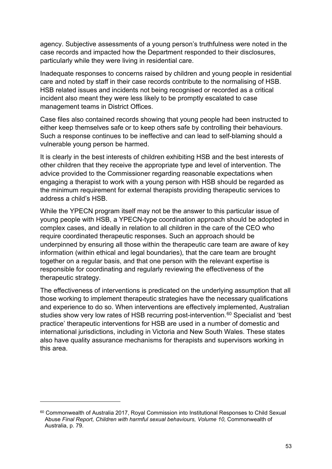agency. Subjective assessments of a young person's truthfulness were noted in the case records and impacted how the Department responded to their disclosures, particularly while they were living in residential care.

Inadequate responses to concerns raised by children and young people in residential care and noted by staff in their case records contribute to the normalising of HSB. HSB related issues and incidents not being recognised or recorded as a critical incident also meant they were less likely to be promptly escalated to case management teams in District Offices.

Case files also contained records showing that young people had been instructed to either keep themselves safe or to keep others safe by controlling their behaviours. Such a response continues to be ineffective and can lead to self-blaming should a vulnerable young person be harmed.

It is clearly in the best interests of children exhibiting HSB and the best interests of other children that they receive the appropriate type and level of intervention. The advice provided to the Commissioner regarding reasonable expectations when engaging a therapist to work with a young person with HSB should be regarded as the minimum requirement for external therapists providing therapeutic services to address a child's HSB.

While the YPECN program itself may not be the answer to this particular issue of young people with HSB, a YPECN-type coordination approach should be adopted in complex cases, and ideally in relation to all children in the care of the CEO who require coordinated therapeutic responses. Such an approach should be underpinned by ensuring all those within the therapeutic care team are aware of key information (within ethical and legal boundaries), that the care team are brought together on a regular basis, and that one person with the relevant expertise is responsible for coordinating and regularly reviewing the effectiveness of the therapeutic strategy.

The effectiveness of interventions is predicated on the underlying assumption that all those working to implement therapeutic strategies have the necessary qualifications and experience to do so. When interventions are effectively implemented, Australian studies show very low rates of HSB recurring post-intervention. [60](#page-52-0) Specialist and 'best practice' therapeutic interventions for HSB are used in a number of domestic and international jurisdictions, including in Victoria and New South Wales. These states also have quality assurance mechanisms for therapists and supervisors working in this area.

<span id="page-52-0"></span><sup>60</sup> Commonwealth of Australia 2017, Royal Commission into Institutional Responses to Child Sexual Abuse *Final Report, Children with harmful sexual behaviours, Volume 10,* Commonwealth of Australia, p. 79.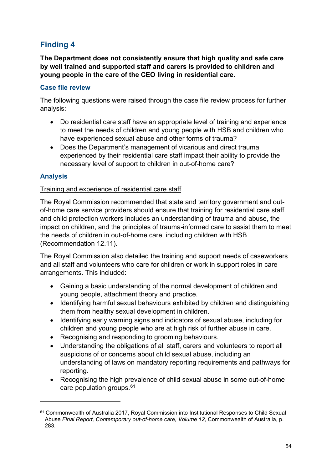# **Finding 4**

**The Department does not consistently ensure that high quality and safe care by well trained and supported staff and carers is provided to children and young people in the care of the CEO living in residential care.**

## **Case file review**

The following questions were raised through the case file review process for further analysis:

- Do residential care staff have an appropriate level of training and experience to meet the needs of children and young people with HSB and children who have experienced sexual abuse and other forms of trauma?
- Does the Department's management of vicarious and direct trauma experienced by their residential care staff impact their ability to provide the necessary level of support to children in out-of-home care?

# **Analysis**

## Training and experience of residential care staff

The Royal Commission recommended that state and territory government and outof-home care service providers should ensure that training for residential care staff and child protection workers includes an understanding of trauma and abuse, the impact on children, and the principles of trauma-informed care to assist them to meet the needs of children in out-of-home care, including children with HSB (Recommendation 12.11).

The Royal Commission also detailed the training and support needs of caseworkers and all staff and volunteers who care for children or work in support roles in care arrangements. This included:

- Gaining a basic understanding of the normal development of children and young people, attachment theory and practice.
- Identifying harmful sexual behaviours exhibited by children and distinguishing them from healthy sexual development in children.
- Identifying early warning signs and indicators of sexual abuse, including for children and young people who are at high risk of further abuse in care.
- Recognising and responding to grooming behaviours.
- Understanding the obligations of all staff, carers and volunteers to report all suspicions of or concerns about child sexual abuse, including an understanding of laws on mandatory reporting requirements and pathways for reporting.
- Recognising the high prevalence of child sexual abuse in some out-of-home care population groups. [61](#page-53-0)

<span id="page-53-0"></span><sup>61</sup> Commonwealth of Australia 2017, Royal Commission into Institutional Responses to Child Sexual Abuse *Final Report, Contemporary out-of-home care, Volume 12,* Commonwealth of Australia, p. 283.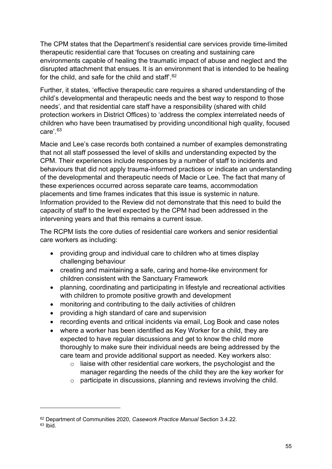The CPM states that the Department's residential care services provide time-limited therapeutic residential care that 'focuses on creating and sustaining care environments capable of healing the traumatic impact of abuse and neglect and the disrupted attachment that ensues. It is an environment that is intended to be healing for the child, and safe for the child and staff'. [62](#page-54-0)

Further, it states, 'effective therapeutic care requires a shared understanding of the child's developmental and therapeutic needs and the best way to respond to those needs'*,* and that residential care staff have a responsibility (shared with child protection workers in District Offices) to 'address the complex interrelated needs of children who have been traumatised by providing unconditional high quality, focused care'. [63](#page-54-1)

Macie and Lee's case records both contained a number of examples demonstrating that not all staff possessed the level of skills and understanding expected by the CPM. Their experiences include responses by a number of staff to incidents and behaviours that did not apply trauma-informed practices or indicate an understanding of the developmental and therapeutic needs of Macie or Lee. The fact that many of these experiences occurred across separate care teams, accommodation placements and time frames indicates that this issue is systemic in nature. Information provided to the Review did not demonstrate that this need to build the capacity of staff to the level expected by the CPM had been addressed in the intervening years and that this remains a current issue.

The RCPM lists the core duties of residential care workers and senior residential care workers as including:

- providing group and individual care to children who at times display challenging behaviour
- creating and maintaining a safe, caring and home-like environment for children consistent with the Sanctuary Framework
- planning, coordinating and participating in lifestyle and recreational activities with children to promote positive growth and development
- monitoring and contributing to the daily activities of children
- providing a high standard of care and supervision
- recording events and critical incidents via email, Log Book and case notes
- where a worker has been identified as Key Worker for a child, they are expected to have regular discussions and get to know the child more thoroughly to make sure their individual needs are being addressed by the care team and provide additional support as needed. Key workers also:
	- $\circ$  liaise with other residential care workers, the psychologist and the manager regarding the needs of the child they are the key worker for
	- o participate in discussions, planning and reviews involving the child.

<span id="page-54-0"></span><sup>62</sup> Department of Communities 2020, *Casework Practice Manual* Section 3.4.22.

<span id="page-54-1"></span> $63$  Ibid.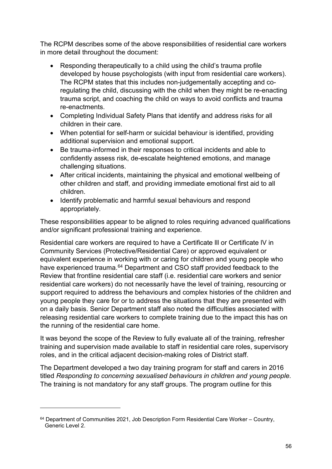The RCPM describes some of the above responsibilities of residential care workers in more detail throughout the document:

- Responding therapeutically to a child using the child's trauma profile developed by house psychologists (with input from residential care workers). The RCPM states that this includes non-judgementally accepting and coregulating the child, discussing with the child when they might be re-enacting trauma script, and coaching the child on ways to avoid conflicts and trauma re-enactments.
- Completing Individual Safety Plans that identify and address risks for all children in their care.
- When potential for self-harm or suicidal behaviour is identified, providing additional supervision and emotional support.
- Be trauma-informed in their responses to critical incidents and able to confidently assess risk, de-escalate heightened emotions, and manage challenging situations.
- After critical incidents, maintaining the physical and emotional wellbeing of other children and staff, and providing immediate emotional first aid to all children.
- Identify problematic and harmful sexual behaviours and respond appropriately.

These responsibilities appear to be aligned to roles requiring advanced qualifications and/or significant professional training and experience.

Residential care workers are required to have a Certificate lll or Certificate lV in Community Services (Protective/Residential Care) or approved equivalent or equivalent experience in working with or caring for children and young people who have experienced trauma.<sup>[64](#page-55-0)</sup> Department and CSO staff provided feedback to the Review that frontline residential care staff (i.e. residential care workers and senior residential care workers) do not necessarily have the level of training, resourcing or support required to address the behaviours and complex histories of the children and young people they care for or to address the situations that they are presented with on a daily basis. Senior Department staff also noted the difficulties associated with releasing residential care workers to complete training due to the impact this has on the running of the residential care home.

It was beyond the scope of the Review to fully evaluate all of the training, refresher training and supervision made available to staff in residential care roles, supervisory roles, and in the critical adjacent decision-making roles of District staff.

The Department developed a two day training program for staff and carers in 2016 titled *Responding to concerning sexualised behaviours in children and young people.*  The training is not mandatory for any staff groups. The program outline for this

<span id="page-55-0"></span> $64$  Department of Communities 2021, Job Description Form Residential Care Worker – Country, Generic Level 2.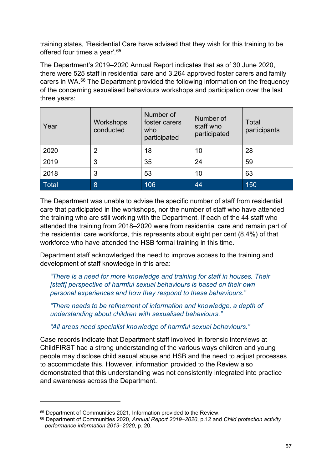training states, 'Residential Care have advised that they wish for this training to be offered four times a year'. [65](#page-56-0)

The Department's 2019–2020 Annual Report indicates that as of 30 June 2020, there were 525 staff in residential care and 3,264 approved foster carers and family carers in WA.<sup>66</sup> The Department provided the following information on the frequency of the concerning sexualised behaviours workshops and participation over the last three years:

| Year  | Workshops<br>conducted | Number of<br>foster carers<br>who<br>participated | Number of<br>staff who<br>participated | Total<br>participants |
|-------|------------------------|---------------------------------------------------|----------------------------------------|-----------------------|
| 2020  | 2                      | 18                                                | 10                                     | 28                    |
| 2019  | 3                      | 35                                                | 24                                     | 59                    |
| 2018  | 3                      | 53                                                | 10                                     | 63                    |
| Total | 8                      | 106                                               | 44                                     | 150                   |

The Department was unable to advise the specific number of staff from residential care that participated in the workshops, nor the number of staff who have attended the training who are still working with the Department. If each of the 44 staff who attended the training from 2018–2020 were from residential care and remain part of the residential care workforce, this represents about eight per cent (8.4%) of that workforce who have attended the HSB formal training in this time.

Department staff acknowledged the need to improve access to the training and development of staff knowledge in this area:

*"There is a need for more knowledge and training for staff in houses. Their [staff] perspective of harmful sexual behaviours is based on their own personal experiences and how they respond to these behaviours."* 

*"There needs to be refinement of information and knowledge, a depth of understanding about children with sexualised behaviours."*

*"All areas need specialist knowledge of harmful sexual behaviours."*

Case records indicate that Department staff involved in forensic interviews at ChildFIRST had a strong understanding of the various ways children and young people may disclose child sexual abuse and HSB and the need to adjust processes to accommodate this. However, information provided to the Review also demonstrated that this understanding was not consistently integrated into practice and awareness across the Department.

<span id="page-56-0"></span><sup>65</sup> Department of Communities 2021, Information provided to the Review.

<span id="page-56-1"></span><sup>66</sup> Department of Communities 2020, *Annual Report 2019–2020*, p.12 and *Child protection activity performance information 2019–2020*, p. 20.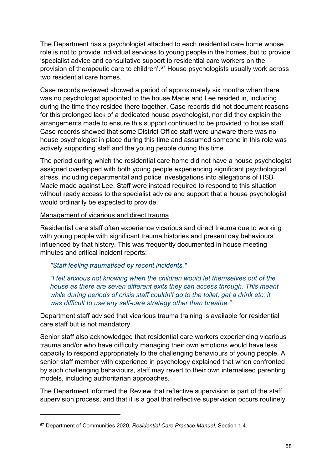The Department has a psychologist attached to each residential care home whose role is not to provide individual services to young people in the homes, but to provide 'specialist advice and consultative support to residential care workers on the provision of therapeutic care to children'. [67](#page-57-0) House psychologists usually work across two residential care homes.

Case records reviewed showed a period of approximately six months when there was no psychologist appointed to the house Macie and Lee resided in, including during the time they resided there together. Case records did not document reasons for this prolonged lack of a dedicated house psychologist, nor did they explain the arrangements made to ensure this support continued to be provided to house staff. Case records showed that some District Office staff were unaware there was no house psychologist in place during this time and assumed someone in this role was actively supporting staff and the young people during this time.

The period during which the residential care home did not have a house psychologist assigned overlapped with both young people experiencing significant psychological stress, including departmental and police investigations into allegations of HSB Macie made against Lee. Staff were instead required to respond to this situation without ready access to the specialist advice and support that a house psychologist would ordinarily be expected to provide.

#### Management of vicarious and direct trauma

Residential care staff often experience vicarious and direct trauma due to working with young people with significant trauma histories and present day behaviours influenced by that history. This was frequently documented in house meeting minutes and critical incident reports:

#### *"Staff feeling traumatised by recent incidents."*

*"I felt anxious not knowing when the children would let themselves out of the house as there are seven different exits they can access through. This meant while during periods of crisis staff couldn't go to the toilet, get a drink etc. it was difficult to use any self-care strategy other than breathe."*

Department staff advised that vicarious trauma training is available for residential care staff but is not mandatory.

Senior staff also acknowledged that residential care workers experiencing vicarious trauma and/or who have difficulty managing their own emotions would have less capacity to respond appropriately to the challenging behaviours of young people. A senior staff member with experience in psychology explained that when confronted by such challenging behaviours, staff may revert to their own internalised parenting models, including authoritarian approaches.

The Department informed the Review that reflective supervision is part of the staff supervision process, and that it is a goal that reflective supervision occurs routinely

<span id="page-57-0"></span><sup>67</sup> Department of Communities 2020, *Residential Care Practice Manual*, Section 1.4.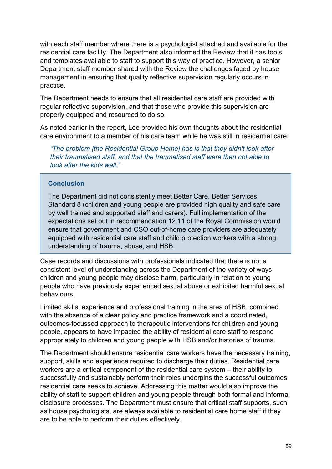with each staff member where there is a psychologist attached and available for the residential care facility. The Department also informed the Review that it has tools and templates available to staff to support this way of practice. However, a senior Department staff member shared with the Review the challenges faced by house management in ensuring that quality reflective supervision regularly occurs in practice.

The Department needs to ensure that all residential care staff are provided with regular reflective supervision, and that those who provide this supervision are properly equipped and resourced to do so.

As noted earlier in the report, Lee provided his own thoughts about the residential care environment to a member of his care team while he was still in residential care:

*"The problem [the Residential Group Home] has is that they didn't look after their traumatised staff, and that the traumatised staff were then not able to look after the kids well."*

## **Conclusion**

The Department did not consistently meet Better Care, Better Services Standard 8 (children and young people are provided high quality and safe care by well trained and supported staff and carers). Full implementation of the expectations set out in recommendation 12.11 of the Royal Commission would ensure that government and CSO out-of-home care providers are adequately equipped with residential care staff and child protection workers with a strong understanding of trauma, abuse, and HSB.

Case records and discussions with professionals indicated that there is not a consistent level of understanding across the Department of the variety of ways children and young people may disclose harm, particularly in relation to young people who have previously experienced sexual abuse or exhibited harmful sexual behaviours.

Limited skills, experience and professional training in the area of HSB, combined with the absence of a clear policy and practice framework and a coordinated, outcomes-focussed approach to therapeutic interventions for children and young people, appears to have impacted the ability of residential care staff to respond appropriately to children and young people with HSB and/or histories of trauma.

The Department should ensure residential care workers have the necessary training, support, skills and experience required to discharge their duties. Residential care workers are a critical component of the residential care system – their ability to successfully and sustainably perform their roles underpins the successful outcomes residential care seeks to achieve. Addressing this matter would also improve the ability of staff to support children and young people through both formal and informal disclosure processes. The Department must ensure that critical staff supports, such as house psychologists, are always available to residential care home staff if they are to be able to perform their duties effectively.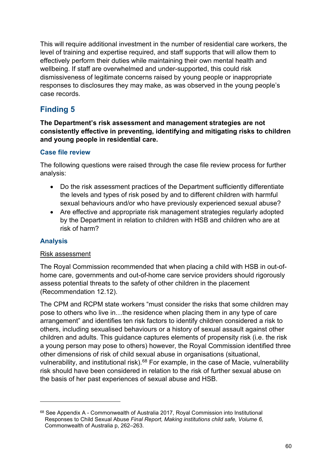This will require additional investment in the number of residential care workers, the level of training and expertise required, and staff supports that will allow them to effectively perform their duties while maintaining their own mental health and wellbeing. If staff are overwhelmed and under-supported, this could risk dismissiveness of legitimate concerns raised by young people or inappropriate responses to disclosures they may make, as was observed in the young people's case records.

# **Finding 5**

## **The Department's risk assessment and management strategies are not consistently effective in preventing, identifying and mitigating risks to children and young people in residential care.**

## **Case file review**

The following questions were raised through the case file review process for further analysis:

- Do the risk assessment practices of the Department sufficiently differentiate the levels and types of risk posed by and to different children with harmful sexual behaviours and/or who have previously experienced sexual abuse?
- Are effective and appropriate risk management strategies regularly adopted by the Department in relation to children with HSB and children who are at risk of harm?

# **Analysis**

## Risk assessment

The Royal Commission recommended that when placing a child with HSB in out-ofhome care, governments and out-of-home care service providers should rigorously assess potential threats to the safety of other children in the placement (Recommendation 12.12).

The CPM and RCPM state workers "must consider the risks that some children may pose to others who live in…the residence when placing them in any type of care arrangement" and identifies ten risk factors to identify children considered a risk to others, including sexualised behaviours or a history of sexual assault against other children and adults. This guidance captures elements of propensity risk (i.e. the risk a young person may pose to others) however, the Royal Commission identified three other dimensions of risk of child sexual abuse in organisations (situational, vulnerability, and institutional risk).<sup>[68](#page-59-0)</sup> For example, in the case of Macie, vulnerability risk should have been considered in relation to the risk of further sexual abuse on the basis of her past experiences of sexual abuse and HSB.

<span id="page-59-0"></span><sup>68</sup> See Appendix A - Commonwealth of Australia 2017, Royal Commission into Institutional Responses to Child Sexual Abuse *Final Report, Making institutions child safe, Volume 6,* Commonwealth of Australia p, 262–263.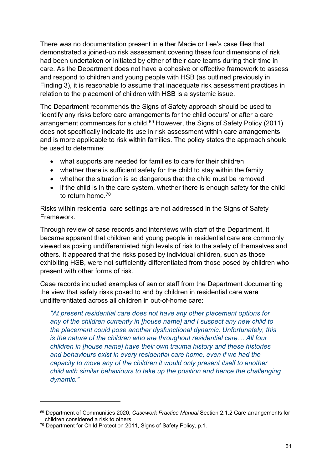There was no documentation present in either Macie or Lee's case files that demonstrated a joined-up risk assessment covering these four dimensions of risk had been undertaken or initiated by either of their care teams during their time in care. As the Department does not have a cohesive or effective framework to assess and respond to children and young people with HSB (as outlined previously in Finding 3), it is reasonable to assume that inadequate risk assessment practices in relation to the placement of children with HSB is a systemic issue.

The Department recommends the Signs of Safety approach should be used to 'identify any risks before care arrangements for the child occurs' or after a care arrangement commences for a child.<sup>[69](#page-60-0)</sup> However, the Signs of Safety Policy (2011) does not specifically indicate its use in risk assessment within care arrangements and is more applicable to risk within families. The policy states the approach should be used to determine:

- what supports are needed for families to care for their children
- whether there is sufficient safety for the child to stay within the family
- whether the situation is so dangerous that the child must be removed
- if the child is in the care system, whether there is enough safety for the child to return home  $70$

Risks within residential care settings are not addressed in the Signs of Safety Framework.

Through review of case records and interviews with staff of the Department, it became apparent that children and young people in residential care are commonly viewed as posing undifferentiated high levels of risk to the safety of themselves and others. It appeared that the risks posed by individual children, such as those exhibiting HSB, were not sufficiently differentiated from those posed by children who present with other forms of risk.

Case records included examples of senior staff from the Department documenting the view that safety risks posed to and by children in residential care were undifferentiated across all children in out-of-home care:

*"At present residential care does not have any other placement options for any of the children currently in [house name] and I suspect any new child to the placement could pose another dysfunctional dynamic. Unfortunately, this is the nature of the children who are throughout residential care… All four children in [house name] have their own trauma history and these histories and behaviours exist in every residential care home, even if we had the capacity to move any of the children it would only present itself to another child with similar behaviours to take up the position and hence the challenging dynamic."*

<span id="page-60-0"></span><sup>69</sup> Department of Communities 2020, *Casework Practice Manual* Section 2.1.2 Care arrangements for children considered a risk to others.

<span id="page-60-1"></span><sup>70</sup> Department for Child Protection 2011, Signs of Safety Policy, p.1.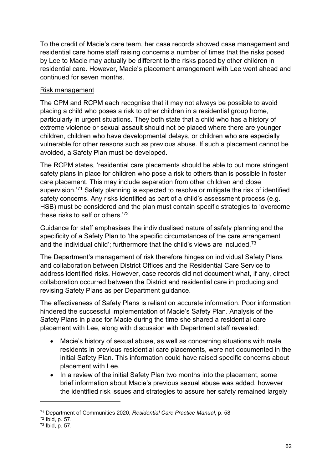To the credit of Macie's care team, her case records showed case management and residential care home staff raising concerns a number of times that the risks posed by Lee to Macie may actually be different to the risks posed by other children in residential care. However, Macie's placement arrangement with Lee went ahead and continued for seven months.

## Risk management

The CPM and RCPM each recognise that it may not always be possible to avoid placing a child who poses a risk to other children in a residential group home, particularly in urgent situations. They both state that a child who has a history of extreme violence or sexual assault should not be placed where there are younger children, children who have developmental delays, or children who are especially vulnerable for other reasons such as previous abuse. If such a placement cannot be avoided, a Safety Plan must be developed.

The RCPM states, 'residential care placements should be able to put more stringent safety plans in place for children who pose a risk to others than is possible in foster care placement. This may include separation from other children and close supervision.'<sup>[71](#page-61-0)</sup> Safety planning is expected to resolve or mitigate the risk of identified safety concerns. Any risks identified as part of a child's assessment process (e.g. HSB) must be considered and the plan must contain specific strategies to 'overcome these risks to self or others.' [72](#page-61-1)

Guidance for staff emphasises the individualised nature of safety planning and the specificity of a Safety Plan to 'the specific circumstances of the care arrangement and the individual child'; furthermore that the child's views are included.<sup>73</sup>

The Department's management of risk therefore hinges on individual Safety Plans and collaboration between District Offices and the Residential Care Service to address identified risks. However, case records did not document what, if any, direct collaboration occurred between the District and residential care in producing and revising Safety Plans as per Department guidance.

The effectiveness of Safety Plans is reliant on accurate information. Poor information hindered the successful implementation of Macie's Safety Plan. Analysis of the Safety Plans in place for Macie during the time she shared a residential care placement with Lee, along with discussion with Department staff revealed:

- Macie's history of sexual abuse, as well as concerning situations with male residents in previous residential care placements, were not documented in the initial Safety Plan. This information could have raised specific concerns about placement with Lee.
- In a review of the initial Safety Plan two months into the placement, some brief information about Macie's previous sexual abuse was added, however the identified risk issues and strategies to assure her safety remained largely

<span id="page-61-0"></span><sup>71</sup> Department of Communities 2020, *Residential Care Practice Manual*, p. 58

<span id="page-61-1"></span><sup>72</sup> Ibid, p. 57.

<span id="page-61-2"></span><sup>73</sup> Ibid, p. 57.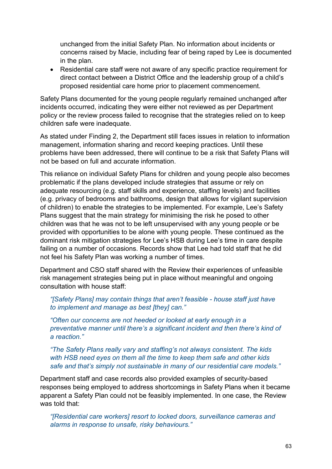unchanged from the initial Safety Plan. No information about incidents or concerns raised by Macie, including fear of being raped by Lee is documented in the plan.

• Residential care staff were not aware of any specific practice requirement for direct contact between a District Office and the leadership group of a child's proposed residential care home prior to placement commencement.

Safety Plans documented for the young people regularly remained unchanged after incidents occurred, indicating they were either not reviewed as per Department policy or the review process failed to recognise that the strategies relied on to keep children safe were inadequate.

As stated under Finding 2, the Department still faces issues in relation to information management, information sharing and record keeping practices. Until these problems have been addressed, there will continue to be a risk that Safety Plans will not be based on full and accurate information.

This reliance on individual Safety Plans for children and young people also becomes problematic if the plans developed include strategies that assume or rely on adequate resourcing (e.g. staff skills and experience, staffing levels) and facilities (e.g. privacy of bedrooms and bathrooms, design that allows for vigilant supervision of children) to enable the strategies to be implemented. For example, Lee's Safety Plans suggest that the main strategy for minimising the risk he posed to other children was that he was not to be left unsupervised with any young people or be provided with opportunities to be alone with young people. These continued as the dominant risk mitigation strategies for Lee's HSB during Lee's time in care despite failing on a number of occasions. Records show that Lee had told staff that he did not feel his Safety Plan was working a number of times.

Department and CSO staff shared with the Review their experiences of unfeasible risk management strategies being put in place without meaningful and ongoing consultation with house staff:

*"[Safety Plans] may contain things that aren't feasible - house staff just have to implement and manage as best [they] can."* 

*"Often our concerns are not heeded or looked at early enough in a preventative manner until there's a significant incident and then there's kind of a reaction."* 

*"The Safety Plans really vary and staffing's not always consistent. The kids with HSB need eyes on them all the time to keep them safe and other kids safe and that's simply not sustainable in many of our residential care models."* 

Department staff and case records also provided examples of security-based responses being employed to address shortcomings in Safety Plans when it became apparent a Safety Plan could not be feasibly implemented. In one case, the Review was told that:

*"[Residential care workers] resort to locked doors, surveillance cameras and alarms in response to unsafe, risky behaviours."*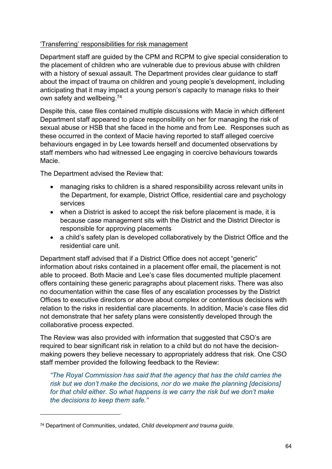## 'Transferring' responsibilities for risk management

Department staff are guided by the CPM and RCPM to give special consideration to the placement of children who are vulnerable due to previous abuse with children with a history of sexual assault. The Department provides clear guidance to staff about the impact of trauma on children and young people's development, including anticipating that it may impact a young person's capacity to manage risks to their own safety and wellbeing. [74](#page-63-0)

Despite this, case files contained multiple discussions with Macie in which different Department staff appeared to place responsibility on her for managing the risk of sexual abuse or HSB that she faced in the home and from Lee. Responses such as these occurred in the context of Macie having reported to staff alleged coercive behaviours engaged in by Lee towards herself and documented observations by staff members who had witnessed Lee engaging in coercive behaviours towards Macie.

The Department advised the Review that:

- managing risks to children is a shared responsibility across relevant units in the Department, for example, District Office, residential care and psychology services
- when a District is asked to accept the risk before placement is made, it is because case management sits with the District and the District Director is responsible for approving placements
- a child's safety plan is developed collaboratively by the District Office and the residential care unit.

Department staff advised that if a District Office does not accept "generic" information about risks contained in a placement offer email, the placement is not able to proceed. Both Macie and Lee's case files documented multiple placement offers containing these generic paragraphs about placement risks. There was also no documentation within the case files of any escalation processes by the District Offices to executive directors or above about complex or contentious decisions with relation to the risks in residential care placements. In addition, Macie's case files did not demonstrate that her safety plans were consistently developed through the collaborative process expected.

The Review was also provided with information that suggested that CSO's are required to bear significant risk in relation to a child but do not have the decisionmaking powers they believe necessary to appropriately address that risk. One CSO staff member provided the following feedback to the Review:

*"The Royal Commission has said that the agency that has the child carries the risk but we don't make the decisions, nor do we make the planning [decisions] for that child either. So what happens is we carry the risk but we don't make the decisions to keep them safe."*

<span id="page-63-0"></span><sup>74</sup> Department of Communities, undated, *Child development and trauma guide.*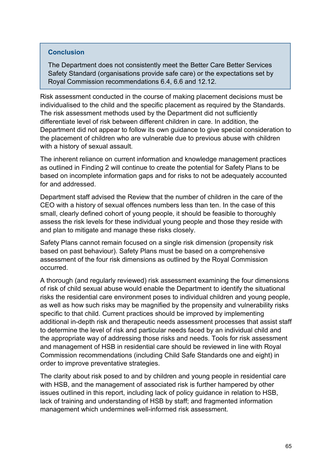#### **Conclusion**

The Department does not consistently meet the Better Care Better Services Safety Standard (organisations provide safe care) or the expectations set by Royal Commission recommendations 6.4, 6.6 and 12.12.

Risk assessment conducted in the course of making placement decisions must be individualised to the child and the specific placement as required by the Standards. The risk assessment methods used by the Department did not sufficiently differentiate level of risk between different children in care. In addition, the Department did not appear to follow its own guidance to give special consideration to the placement of children who are vulnerable due to previous abuse with children with a history of sexual assault.

The inherent reliance on current information and knowledge management practices as outlined in Finding 2 will continue to create the potential for Safety Plans to be based on incomplete information gaps and for risks to not be adequately accounted for and addressed.

Department staff advised the Review that the number of children in the care of the CEO with a history of sexual offences numbers less than ten. In the case of this small, clearly defined cohort of young people, it should be feasible to thoroughly assess the risk levels for these individual young people and those they reside with and plan to mitigate and manage these risks closely.

Safety Plans cannot remain focused on a single risk dimension (propensity risk based on past behaviour). Safety Plans must be based on a comprehensive assessment of the four risk dimensions as outlined by the Royal Commission occurred.

A thorough (and regularly reviewed) risk assessment examining the four dimensions of risk of child sexual abuse would enable the Department to identify the situational risks the residential care environment poses to individual children and young people, as well as how such risks may be magnified by the propensity and vulnerability risks specific to that child. Current practices should be improved by implementing additional in-depth risk and therapeutic needs assessment processes that assist staff to determine the level of risk and particular needs faced by an individual child and the appropriate way of addressing those risks and needs. Tools for risk assessment and management of HSB in residential care should be reviewed in line with Royal Commission recommendations (including Child Safe Standards one and eight) in order to improve preventative strategies.

The clarity about risk posed to and by children and young people in residential care with HSB, and the management of associated risk is further hampered by other issues outlined in this report, including lack of policy guidance in relation to HSB, lack of training and understanding of HSB by staff; and fragmented information management which undermines well-informed risk assessment.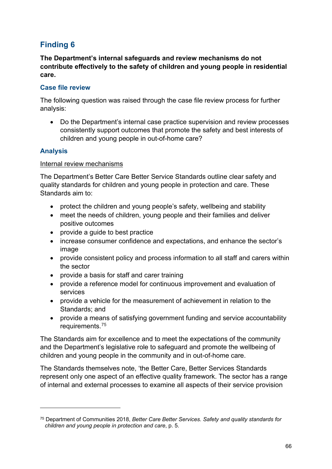# **Finding 6**

**The Department's internal safeguards and review mechanisms do not contribute effectively to the safety of children and young people in residential care.** 

## **Case file review**

The following question was raised through the case file review process for further analysis:

• Do the Department's internal case practice supervision and review processes consistently support outcomes that promote the safety and best interests of children and young people in out-of-home care?

# **Analysis**

#### Internal review mechanisms

The Department's Better Care Better Service Standards outline clear safety and quality standards for children and young people in protection and care. These Standards aim to:

- protect the children and young people's safety, wellbeing and stability
- meet the needs of children, young people and their families and deliver positive outcomes
- provide a guide to best practice
- increase consumer confidence and expectations, and enhance the sector's image
- provide consistent policy and process information to all staff and carers within the sector
- provide a basis for staff and carer training
- provide a reference model for continuous improvement and evaluation of services
- provide a vehicle for the measurement of achievement in relation to the Standards; and
- provide a means of satisfying government funding and service accountability requirements.[75](#page-65-0)

The Standards aim for excellence and to meet the expectations of the community and the Department's legislative role to safeguard and promote the wellbeing of children and young people in the community and in out-of-home care.

The Standards themselves note, 'the Better Care, Better Services Standards represent only one aspect of an effective quality framework. The sector has a range of internal and external processes to examine all aspects of their service provision

<span id="page-65-0"></span><sup>75</sup> Department of Communities 2018, *Better Care Better Services. Safety and quality standards for children and young people in protection and care*, p. 5.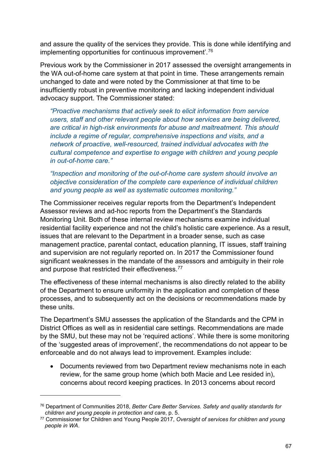and assure the quality of the services they provide. This is done while identifying and implementing opportunities for continuous improvement'. [76](#page-66-0)

Previous work by the Commissioner in 2017 assessed the oversight arrangements in the WA out-of-home care system at that point in time. These arrangements remain unchanged to date and were noted by the Commissioner at that time to be insufficiently robust in preventive monitoring and lacking independent individual advocacy support. The Commissioner stated:

*"Proactive mechanisms that actively seek to elicit information from service users, staff and other relevant people about how services are being delivered, are critical in high-risk environments for abuse and maltreatment. This should include a regime of regular, comprehensive inspections and visits, and a network of proactive, well-resourced, trained individual advocates with the cultural competence and expertise to engage with children and young people in out-of-home care."*

*"Inspection and monitoring of the out-of-home care system should involve an objective consideration of the complete care experience of individual children and young people as well as systematic outcomes monitoring."*

The Commissioner receives regular reports from the Department's Independent Assessor reviews and ad-hoc reports from the Department's the Standards Monitoring Unit. Both of these internal review mechanisms examine individual residential facility experience and not the child's holistic care experience. As a result, issues that are relevant to the Department in a broader sense, such as case management practice, parental contact, education planning, IT issues, staff training and supervision are not regularly reported on. In 2017 the Commissioner found significant weaknesses in the mandate of the assessors and ambiguity in their role and purpose that restricted their effectiveness.<sup>[77](#page-66-1)</sup>

The effectiveness of these internal mechanisms is also directly related to the ability of the Department to ensure uniformity in the application and completion of these processes, and to subsequently act on the decisions or recommendations made by these units.

The Department's SMU assesses the application of the Standards and the CPM in District Offices as well as in residential care settings. Recommendations are made by the SMU, but these may not be 'required actions'. While there is some monitoring of the 'suggested areas of improvement', the recommendations do not appear to be enforceable and do not always lead to improvement. Examples include:

• Documents reviewed from two Department review mechanisms note in each review, for the same group home (which both Macie and Lee resided in), concerns about record keeping practices. In 2013 concerns about record

<span id="page-66-0"></span><sup>76</sup> Department of Communities 2018, *Better Care Better Services. Safety and quality standards for children and young people in protection and care*, p. 5.

<span id="page-66-1"></span><sup>77</sup> Commissioner for Children and Young People 2017, *Oversight of services for children and young people in WA*.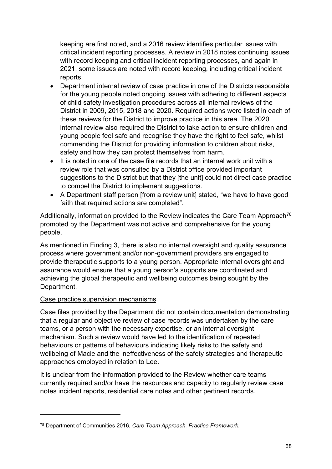keeping are first noted, and a 2016 review identifies particular issues with critical incident reporting processes. A review in 2018 notes continuing issues with record keeping and critical incident reporting processes, and again in 2021, some issues are noted with record keeping, including critical incident reports.

- Department internal review of case practice in one of the Districts responsible for the young people noted ongoing issues with adhering to different aspects of child safety investigation procedures across all internal reviews of the District in 2009, 2015, 2018 and 2020. Required actions were listed in each of these reviews for the District to improve practice in this area. The 2020 internal review also required the District to take action to ensure children and young people feel safe and recognise they have the right to feel safe, whilst commending the District for providing information to children about risks, safety and how they can protect themselves from harm.
- It is noted in one of the case file records that an internal work unit with a review role that was consulted by a District office provided important suggestions to the District but that they [the unit] could not direct case practice to compel the District to implement suggestions.
- A Department staff person [from a review unit] stated, "we have to have good faith that required actions are completed".

Additionally, information provided to the Review indicates the Care Team Approach<sup>[78](#page-67-0)</sup> promoted by the Department was not active and comprehensive for the young people.

As mentioned in Finding 3, there is also no internal oversight and quality assurance process where government and/or non-government providers are engaged to provide therapeutic supports to a young person. Appropriate internal oversight and assurance would ensure that a young person's supports are coordinated and achieving the global therapeutic and wellbeing outcomes being sought by the Department.

## Case practice supervision mechanisms

Case files provided by the Department did not contain documentation demonstrating that a regular and objective review of case records was undertaken by the care teams, or a person with the necessary expertise, or an internal oversight mechanism. Such a review would have led to the identification of repeated behaviours or patterns of behaviours indicating likely risks to the safety and wellbeing of Macie and the ineffectiveness of the safety strategies and therapeutic approaches employed in relation to Lee.

It is unclear from the information provided to the Review whether care teams currently required and/or have the resources and capacity to regularly review case notes incident reports, residential care notes and other pertinent records.

<span id="page-67-0"></span><sup>78</sup> Department of Communities 2016, *Care Team Approach, Practice Framework*.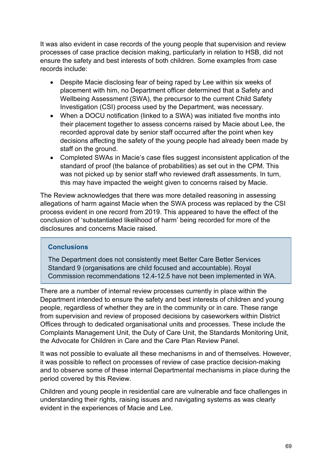It was also evident in case records of the young people that supervision and review processes of case practice decision making, particularly in relation to HSB, did not ensure the safety and best interests of both children. Some examples from case records include:

- Despite Macie disclosing fear of being raped by Lee within six weeks of placement with him, no Department officer determined that a Safety and Wellbeing Assessment (SWA), the precursor to the current Child Safety Investigation (CSI) process used by the Department, was necessary.
- When a DOCU notification (linked to a SWA) was initiated five months into their placement together to assess concerns raised by Macie about Lee, the recorded approval date by senior staff occurred after the point when key decisions affecting the safety of the young people had already been made by staff on the ground.
- Completed SWAs in Macie's case files suggest inconsistent application of the standard of proof (the balance of probabilities) as set out in the CPM. This was not picked up by senior staff who reviewed draft assessments. In turn, this may have impacted the weight given to concerns raised by Macie.

The Review acknowledges that there was more detailed reasoning in assessing allegations of harm against Macie when the SWA process was replaced by the CSI process evident in one record from 2019. This appeared to have the effect of the conclusion of 'substantiated likelihood of harm' being recorded for more of the disclosures and concerns Macie raised.

## **Conclusions**

The Department does not consistently meet Better Care Better Services Standard 9 (organisations are child focused and accountable). Royal Commission recommendations 12.4-12.5 have not been implemented in WA.

There are a number of internal review processes currently in place within the Department intended to ensure the safety and best interests of children and young people, regardless of whether they are in the community or in care. These range from supervision and review of proposed decisions by caseworkers within District Offices through to dedicated organisational units and processes. These include the Complaints Management Unit, the Duty of Care Unit, the Standards Monitoring Unit, the Advocate for Children in Care and the Care Plan Review Panel.

It was not possible to evaluate all these mechanisms in and of themselves. However, it was possible to reflect on processes of review of case practice decision-making and to observe some of these internal Departmental mechanisms in place during the period covered by this Review.

Children and young people in residential care are vulnerable and face challenges in understanding their rights, raising issues and navigating systems as was clearly evident in the experiences of Macie and Lee.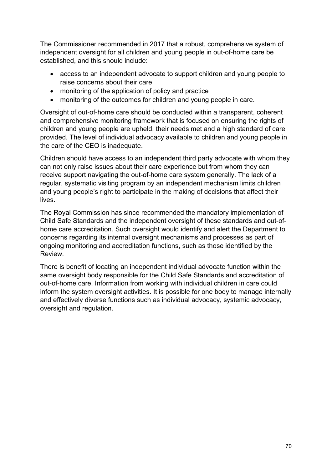The Commissioner recommended in 2017 that a robust, comprehensive system of independent oversight for all children and young people in out-of-home care be established, and this should include:

- access to an independent advocate to support children and young people to raise concerns about their care
- monitoring of the application of policy and practice
- monitoring of the outcomes for children and young people in care.

Oversight of out-of-home care should be conducted within a transparent, coherent and comprehensive monitoring framework that is focused on ensuring the rights of children and young people are upheld, their needs met and a high standard of care provided. The level of individual advocacy available to children and young people in the care of the CEO is inadequate.

Children should have access to an independent third party advocate with whom they can not only raise issues about their care experience but from whom they can receive support navigating the out-of-home care system generally. The lack of a regular, systematic visiting program by an independent mechanism limits children and young people's right to participate in the making of decisions that affect their lives.

The Royal Commission has since recommended the mandatory implementation of Child Safe Standards and the independent oversight of these standards and out-ofhome care accreditation. Such oversight would identify and alert the Department to concerns regarding its internal oversight mechanisms and processes as part of ongoing monitoring and accreditation functions, such as those identified by the Review.

There is benefit of locating an independent individual advocate function within the same oversight body responsible for the Child Safe Standards and accreditation of out-of-home care. Information from working with individual children in care could inform the system oversight activities. It is possible for one body to manage internally and effectively diverse functions such as individual advocacy, systemic advocacy, oversight and regulation.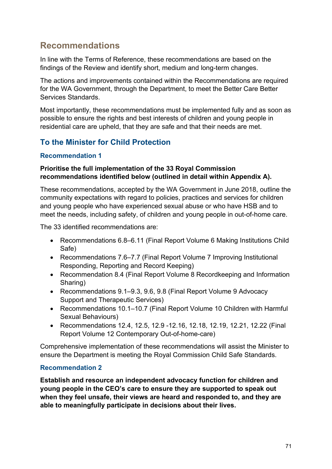# **Recommendations**

In line with the Terms of Reference, these recommendations are based on the findings of the Review and identify short, medium and long-term changes.

The actions and improvements contained within the Recommendations are required for the WA Government, through the Department, to meet the Better Care Better Services Standards.

Most importantly, these recommendations must be implemented fully and as soon as possible to ensure the rights and best interests of children and young people in residential care are upheld, that they are safe and that their needs are met.

# **To the Minister for Child Protection**

## **Recommendation 1**

## **Prioritise the full implementation of the 33 Royal Commission recommendations identified below (outlined in detail within Appendix A).**

These recommendations, accepted by the WA Government in June 2018, outline the community expectations with regard to policies, practices and services for children and young people who have experienced sexual abuse or who have HSB and to meet the needs, including safety, of children and young people in out-of-home care.

The 33 identified recommendations are:

- Recommendations 6.8–6.11 (Final Report Volume 6 Making Institutions Child Safe)
- Recommendations 7.6–7.7 (Final Report Volume 7 Improving Institutional Responding, Reporting and Record Keeping)
- Recommendation 8.4 (Final Report Volume 8 Recordkeeping and Information Sharing)
- Recommendations 9.1–9.3, 9.6, 9.8 (Final Report Volume 9 Advocacy Support and Therapeutic Services)
- Recommendations 10.1–10.7 (Final Report Volume 10 Children with Harmful Sexual Behaviours)
- Recommendations 12.4, 12.5, 12.9 -12.16, 12.18, 12.19, 12.21, 12.22 (Final Report Volume 12 Contemporary Out-of-home-care)

Comprehensive implementation of these recommendations will assist the Minister to ensure the Department is meeting the Royal Commission Child Safe Standards.

# **Recommendation 2**

**Establish and resource an independent advocacy function for children and young people in the CEO's care to ensure they are supported to speak out when they feel unsafe, their views are heard and responded to, and they are able to meaningfully participate in decisions about their lives.**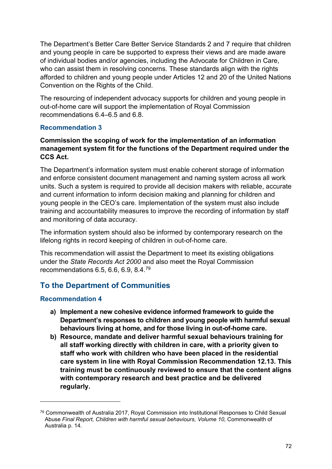The Department's Better Care Better Service Standards 2 and 7 require that children and young people in care be supported to express their views and are made aware of individual bodies and/or agencies, including the Advocate for Children in Care, who can assist them in resolving concerns. These standards align with the rights afforded to children and young people under Articles 12 and 20 of the United Nations Convention on the Rights of the Child.

The resourcing of independent advocacy supports for children and young people in out-of-home care will support the implementation of Royal Commission recommendations 6.4–6.5 and 6.8.

## **Recommendation 3**

## **Commission the scoping of work for the implementation of an information management system fit for the functions of the Department required under the CCS Act.**

The Department's information system must enable coherent storage of information and enforce consistent document management and naming system across all work units. Such a system is required to provide all decision makers with reliable, accurate and current information to inform decision making and planning for children and young people in the CEO's care. Implementation of the system must also include training and accountability measures to improve the recording of information by staff and monitoring of data accuracy.

The information system should also be informed by contemporary research on the lifelong rights in record keeping of children in out-of-home care.

This recommendation will assist the Department to meet its existing obligations under the *State Records Act 2000* and also meet the Royal Commission recommendations 6.5, 6.6, 6.9, 8.4.[79](#page-71-0)

# **To the Department of Communities**

## **Recommendation 4**

- **a) Implement a new cohesive evidence informed framework to guide the Department's responses to children and young people with harmful sexual behaviours living at home, and for those living in out-of-home care.**
- **b) Resource, mandate and deliver harmful sexual behaviours training for all staff working directly with children in care, with a priority given to staff who work with children who have been placed in the residential care system in line with Royal Commission Recommendation 12.13. This training must be continuously reviewed to ensure that the content aligns with contemporary research and best practice and be delivered regularly.**

<span id="page-71-0"></span><sup>79</sup> Commonwealth of Australia 2017, Royal Commission into Institutional Responses to Child Sexual Abuse *Final Report, Children with harmful sexual behaviours, Volume 10,* Commonwealth of Australia p. 14.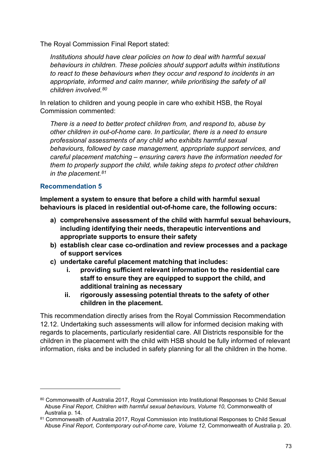The Royal Commission Final Report stated:

*Institutions should have clear policies on how to deal with harmful sexual behaviours in children. These policies should support adults within institutions to react to these behaviours when they occur and respond to incidents in an appropriate, informed and calm manner, while prioritising the safety of all children involved.[80](#page-72-0)*

In relation to children and young people in care who exhibit HSB, the Royal Commission commented:

*There is a need to better protect children from, and respond to, abuse by other children in out-of-home care. In particular, there is a need to ensure professional assessments of any child who exhibits harmful sexual behaviours, followed by case management, appropriate support services, and careful placement matching – ensuring carers have the information needed for them to properly support the child, while taking steps to protect other children in the placement.[81](#page-72-1)* 

#### **Recommendation 5**

**Implement a system to ensure that before a child with harmful sexual behaviours is placed in residential out-of-home care, the following occurs:**

- **a) comprehensive assessment of the child with harmful sexual behaviours, including identifying their needs, therapeutic interventions and appropriate supports to ensure their safety**
- **b) establish clear case co-ordination and review processes and a package of support services**
- **c) undertake careful placement matching that includes:**
	- **i. providing sufficient relevant information to the residential care staff to ensure they are equipped to support the child, and additional training as necessary**
	- **ii. rigorously assessing potential threats to the safety of other children in the placement.**

This recommendation directly arises from the Royal Commission Recommendation 12.12. Undertaking such assessments will allow for informed decision making with regards to placements, particularly residential care. All Districts responsible for the children in the placement with the child with HSB should be fully informed of relevant information, risks and be included in safety planning for all the children in the home.

<span id="page-72-0"></span><sup>80</sup> Commonwealth of Australia 2017, Royal Commission into Institutional Responses to Child Sexual Abuse *Final Report, Children with harmful sexual behaviours, Volume 10,* Commonwealth of Australia p. 14.

<span id="page-72-1"></span><sup>81</sup> Commonwealth of Australia 2017, Royal Commission into Institutional Responses to Child Sexual Abuse *Final Report, Contemporary out-of-home care, Volume 12,* Commonwealth of Australia p. 20.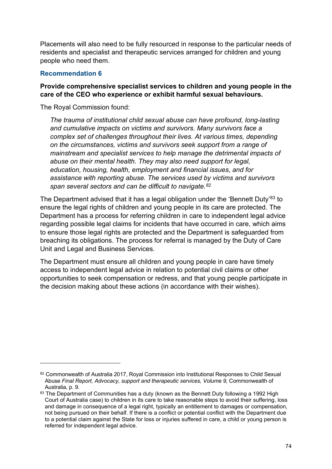Placements will also need to be fully resourced in response to the particular needs of residents and specialist and therapeutic services arranged for children and young people who need them.

### **Recommendation 6**

### **Provide comprehensive specialist services to children and young people in the care of the CEO who experience or exhibit harmful sexual behaviours.**

The Royal Commission found:

*The trauma of institutional child sexual abuse can have profound, long-lasting and cumulative impacts on victims and survivors. Many survivors face a complex set of challenges throughout their lives. At various times, depending on the circumstances, victims and survivors seek support from a range of mainstream and specialist services to help manage the detrimental impacts of abuse on their mental health. They may also need support for legal, education, housing, health, employment and financial issues, and for assistance with reporting abuse. The services used by victims and survivors span several sectors and can be difficult to navigate.[82](#page-73-0)*

The Department advised that it has a legal obligation under the 'Bennett Duty'<sup>[83](#page-73-1)</sup> to ensure the legal rights of children and young people in its care are protected. The Department has a process for referring children in care to independent legal advice regarding possible legal claims for incidents that have occurred in care, which aims to ensure those legal rights are protected and the Department is safeguarded from breaching its obligations. The process for referral is managed by the Duty of Care Unit and Legal and Business Services.

The Department must ensure all children and young people in care have timely access to independent legal advice in relation to potential civil claims or other opportunities to seek compensation or redress, and that young people participate in the decision making about these actions (in accordance with their wishes).

<span id="page-73-0"></span><sup>82</sup> Commonwealth of Australia 2017, Royal Commission into Institutional Responses to Child Sexual Abuse *Final Report, Advocacy, support and therapeutic services, Volume 9,* Commonwealth of Australia, p. 9.

<span id="page-73-1"></span><sup>83</sup> The Department of Communities has a duty (known as the Bennett Duty following a 1992 High Court of Australia case) to children in its care to take reasonable steps to avoid their suffering, loss and damage in consequence of a legal right, typically an entitlement to damages or compensation, not being pursued on their behalf. If there is a conflict or potential conflict with the Department due to a potential claim against the State for loss or injuries suffered in care, a child or young person is referred for independent legal advice.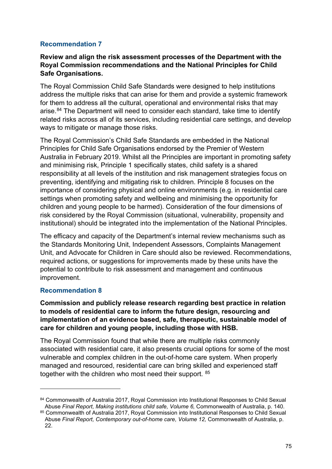### **Recommendation 7**

#### **Review and align the risk assessment processes of the Department with the Royal Commission recommendations and the National Principles for Child Safe Organisations.**

The Royal Commission Child Safe Standards were designed to help institutions address the multiple risks that can arise for them and provide a systemic framework for them to address all the cultural, operational and environmental risks that may arise.<sup>[84](#page-74-0)</sup> The Department will need to consider each standard, take time to identify related risks across all of its services, including residential care settings, and develop ways to mitigate or manage those risks.

The Royal Commission's Child Safe Standards are embedded in the National Principles for Child Safe Organisations endorsed by the Premier of Western Australia in February 2019. Whilst all the Principles are important in promoting safety and minimising risk, Principle 1 specifically states, child safety is a shared responsibility at all levels of the institution and risk management strategies focus on preventing, identifying and mitigating risk to children. Principle 8 focuses on the importance of considering physical and online environments (e.g. in residential care settings when promoting safety and wellbeing and minimising the opportunity for children and young people to be harmed). Consideration of the four dimensions of risk considered by the Royal Commission (situational, vulnerability, propensity and institutional) should be integrated into the implementation of the National Principles.

The efficacy and capacity of the Department's internal review mechanisms such as the Standards Monitoring Unit, Independent Assessors, Complaints Management Unit, and Advocate for Children in Care should also be reviewed. Recommendations, required actions, or suggestions for improvements made by these units have the potential to contribute to risk assessment and management and continuous improvement.

### **Recommendation 8**

**Commission and publicly release research regarding best practice in relation to models of residential care to inform the future design, resourcing and implementation of an evidence based, safe, therapeutic, sustainable model of care for children and young people, including those with HSB.** 

The Royal Commission found that while there are multiple risks commonly associated with residential care, it also presents crucial options for some of the most vulnerable and complex children in the out-of-home care system. When properly managed and resourced, residential care can bring skilled and experienced staff together with the children who most need their support. <sup>[85](#page-74-1)</sup>

<span id="page-74-0"></span><sup>84</sup> Commonwealth of Australia 2017, Roval Commission into Institutional Responses to Child Sexual Abuse *Final Report, Making institutions child safe, Volume 6,* Commonwealth of Australia, p. 140.

<span id="page-74-1"></span><sup>85</sup> Commonwealth of Australia 2017, Royal Commission into Institutional Responses to Child Sexual Abuse *Final Report, Contemporary out-of-home care, Volume 12,* Commonwealth of Australia, p. 22.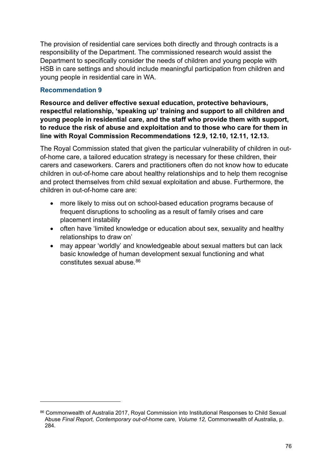The provision of residential care services both directly and through contracts is a responsibility of the Department. The commissioned research would assist the Department to specifically consider the needs of children and young people with HSB in care settings and should include meaningful participation from children and young people in residential care in WA.

### **Recommendation 9**

**Resource and deliver effective sexual education, protective behaviours, respectful relationship, 'speaking up' training and support to all children and young people in residential care, and the staff who provide them with support, to reduce the risk of abuse and exploitation and to those who care for them in line with Royal Commission Recommendations 12.9, 12.10, 12.11, 12.13.**

The Royal Commission stated that given the particular vulnerability of children in outof-home care, a tailored education strategy is necessary for these children, their carers and caseworkers. Carers and practitioners often do not know how to educate children in out-of-home care about healthy relationships and to help them recognise and protect themselves from child sexual exploitation and abuse. Furthermore, the children in out-of-home care are:

- more likely to miss out on school-based education programs because of frequent disruptions to schooling as a result of family crises and care placement instability
- often have 'limited knowledge or education about sex, sexuality and healthy relationships to draw on'
- may appear 'worldly' and knowledgeable about sexual matters but can lack basic knowledge of human development sexual functioning and what constitutes sexual abuse.[86](#page-75-0)

<span id="page-75-0"></span><sup>86</sup> Commonwealth of Australia 2017, Royal Commission into Institutional Responses to Child Sexual Abuse *Final Report, Contemporary out-of-home care, Volume 12,* Commonwealth of Australia, p. 284.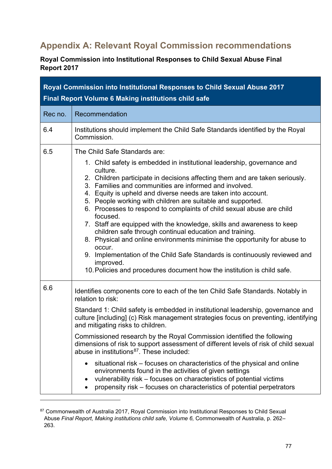# **Appendix A: Relevant Royal Commission recommendations**

**Royal Commission into Institutional Responses to Child Sexual Abuse Final Report 2017** 

| Royal Commission into Institutional Responses to Child Sexual Abuse 2017<br><b>Final Report Volume 6 Making institutions child safe</b> |                                                                                                                                                                                                                                                                                                                                                                                                                                                                                                                                                                                                                                                                                                                                                                                                                                                                                       |
|-----------------------------------------------------------------------------------------------------------------------------------------|---------------------------------------------------------------------------------------------------------------------------------------------------------------------------------------------------------------------------------------------------------------------------------------------------------------------------------------------------------------------------------------------------------------------------------------------------------------------------------------------------------------------------------------------------------------------------------------------------------------------------------------------------------------------------------------------------------------------------------------------------------------------------------------------------------------------------------------------------------------------------------------|
| Rec no.                                                                                                                                 | Recommendation                                                                                                                                                                                                                                                                                                                                                                                                                                                                                                                                                                                                                                                                                                                                                                                                                                                                        |
| 6.4                                                                                                                                     | Institutions should implement the Child Safe Standards identified by the Royal<br>Commission.                                                                                                                                                                                                                                                                                                                                                                                                                                                                                                                                                                                                                                                                                                                                                                                         |
| 6.5                                                                                                                                     | The Child Safe Standards are:<br>1. Child safety is embedded in institutional leadership, governance and<br>culture.<br>2. Children participate in decisions affecting them and are taken seriously.<br>3. Families and communities are informed and involved.<br>4. Equity is upheld and diverse needs are taken into account.<br>5. People working with children are suitable and supported.<br>6. Processes to respond to complaints of child sexual abuse are child<br>focused.<br>7. Staff are equipped with the knowledge, skills and awareness to keep<br>children safe through continual education and training.<br>8. Physical and online environments minimise the opportunity for abuse to<br>occur.<br>9. Implementation of the Child Safe Standards is continuously reviewed and<br>improved.<br>10. Policies and procedures document how the institution is child safe. |
| 6.6                                                                                                                                     | Identifies components core to each of the ten Child Safe Standards. Notably in<br>relation to risk:<br>Standard 1: Child safety is embedded in institutional leadership, governance and<br>culture [including] (c) Risk management strategies focus on preventing, identifying<br>and mitigating risks to children.<br>Commissioned research by the Royal Commission identified the following<br>dimensions of risk to support assessment of different levels of risk of child sexual<br>abuse in institutions <sup>87</sup> . These included:<br>situational risk – focuses on characteristics of the physical and online<br>environments found in the activities of given settings<br>vulnerability risk - focuses on characteristics of potential victims<br>propensity risk – focuses on characteristics of potential perpetrators                                                |

<span id="page-76-0"></span><sup>87</sup> Commonwealth of Australia 2017, Royal Commission into Institutional Responses to Child Sexual Abuse *Final Report, Making institutions child safe, Volume 6,* Commonwealth of Australia, p. 262– 263.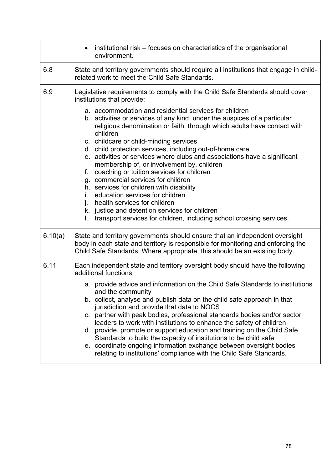|         | institutional risk – focuses on characteristics of the organisational<br>$\bullet$<br>environment.                                                                                                                                                                                                                                                                                                                                                                                                                                                                                                                                                                                                                                                                                                                                                                                                                        |
|---------|---------------------------------------------------------------------------------------------------------------------------------------------------------------------------------------------------------------------------------------------------------------------------------------------------------------------------------------------------------------------------------------------------------------------------------------------------------------------------------------------------------------------------------------------------------------------------------------------------------------------------------------------------------------------------------------------------------------------------------------------------------------------------------------------------------------------------------------------------------------------------------------------------------------------------|
| 6.8     | State and territory governments should require all institutions that engage in child-<br>related work to meet the Child Safe Standards.                                                                                                                                                                                                                                                                                                                                                                                                                                                                                                                                                                                                                                                                                                                                                                                   |
| 6.9     | Legislative requirements to comply with the Child Safe Standards should cover<br>institutions that provide:<br>a. accommodation and residential services for children<br>b. activities or services of any kind, under the auspices of a particular<br>religious denomination or faith, through which adults have contact with<br>children<br>c. childcare or child-minding services<br>d. child protection services, including out-of-home care<br>e. activities or services where clubs and associations have a significant<br>membership of, or involvement by, children<br>f. coaching or tuition services for children<br>g. commercial services for children<br>h. services for children with disability<br>education services for children<br>İ.<br>j. health services for children<br>k. justice and detention services for children<br>transport services for children, including school crossing services.<br>L. |
| 6.10(a) | State and territory governments should ensure that an independent oversight                                                                                                                                                                                                                                                                                                                                                                                                                                                                                                                                                                                                                                                                                                                                                                                                                                               |
|         | body in each state and territory is responsible for monitoring and enforcing the<br>Child Safe Standards. Where appropriate, this should be an existing body.                                                                                                                                                                                                                                                                                                                                                                                                                                                                                                                                                                                                                                                                                                                                                             |
| 6.11    | Each independent state and territory oversight body should have the following<br>additional functions:<br>a. provide advice and information on the Child Safe Standards to institutions<br>and the community<br>b. collect, analyse and publish data on the child safe approach in that<br>jurisdiction and provide that data to NOCS<br>partner with peak bodies, professional standards bodies and/or sector<br>C.<br>leaders to work with institutions to enhance the safety of children<br>d. provide, promote or support education and training on the Child Safe<br>Standards to build the capacity of institutions to be child safe<br>e. coordinate ongoing information exchange between oversight bodies<br>relating to institutions' compliance with the Child Safe Standards.                                                                                                                                  |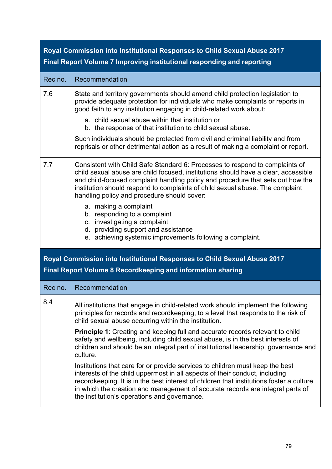| Royal Commission into Institutional Responses to Child Sexual Abuse 2017 |                                                                                                                                                                                                                                                                                                                                                                                                                                                                                                                                                                                    |
|--------------------------------------------------------------------------|------------------------------------------------------------------------------------------------------------------------------------------------------------------------------------------------------------------------------------------------------------------------------------------------------------------------------------------------------------------------------------------------------------------------------------------------------------------------------------------------------------------------------------------------------------------------------------|
|                                                                          | Final Report Volume 7 Improving institutional responding and reporting                                                                                                                                                                                                                                                                                                                                                                                                                                                                                                             |
| Rec no.                                                                  | Recommendation                                                                                                                                                                                                                                                                                                                                                                                                                                                                                                                                                                     |
| 7.6                                                                      | State and territory governments should amend child protection legislation to<br>provide adequate protection for individuals who make complaints or reports in<br>good faith to any institution engaging in child-related work about:<br>a. child sexual abuse within that institution or<br>b. the response of that institution to child sexual abuse.<br>Such individuals should be protected from civil and criminal liability and from<br>reprisals or other detrimental action as a result of making a complaint or report.                                                    |
| 7.7                                                                      | Consistent with Child Safe Standard 6: Processes to respond to complaints of<br>child sexual abuse are child focused, institutions should have a clear, accessible<br>and child-focused complaint handling policy and procedure that sets out how the<br>institution should respond to complaints of child sexual abuse. The complaint<br>handling policy and procedure should cover:<br>a. making a complaint<br>b. responding to a complaint<br>c. investigating a complaint<br>d. providing support and assistance<br>e. achieving systemic improvements following a complaint. |
|                                                                          | Royal Commission into Institutional Responses to Child Sexual Abuse 2017<br><b>Final Report Volume 8 Recordkeeping and information sharing</b>                                                                                                                                                                                                                                                                                                                                                                                                                                     |
| Rec no.                                                                  | Recommendation                                                                                                                                                                                                                                                                                                                                                                                                                                                                                                                                                                     |
| 8.4                                                                      | All institutions that engage in child-related work should implement the following<br>principles for records and recordkeeping, to a level that responds to the risk of<br>child sexual abuse occurring within the institution.                                                                                                                                                                                                                                                                                                                                                     |
|                                                                          | Principle 1: Creating and keeping full and accurate records relevant to child<br>safety and wellbeing, including child sexual abuse, is in the best interests of<br>children and should be an integral part of institutional leadership, governance and<br>culture.                                                                                                                                                                                                                                                                                                                |
|                                                                          | Institutions that care for or provide services to children must keep the best<br>interests of the child uppermost in all aspects of their conduct, including<br>recordkeeping. It is in the best interest of children that institutions foster a culture<br>in which the creation and management of accurate records are integral parts of<br>the institution's operations and governance.                                                                                                                                                                                         |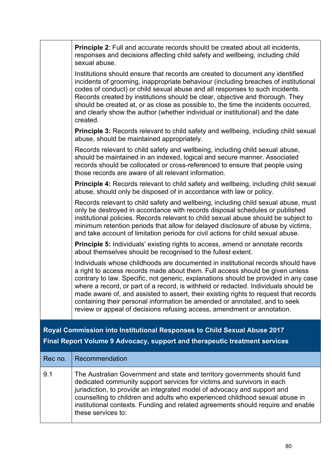|         | <b>Principle 2:</b> Full and accurate records should be created about all incidents,<br>responses and decisions affecting child safety and wellbeing, including child<br>sexual abuse.                                                                                                                                                                                                                                                                                                                                                                                                           |
|---------|--------------------------------------------------------------------------------------------------------------------------------------------------------------------------------------------------------------------------------------------------------------------------------------------------------------------------------------------------------------------------------------------------------------------------------------------------------------------------------------------------------------------------------------------------------------------------------------------------|
|         | Institutions should ensure that records are created to document any identified<br>incidents of grooming, inappropriate behaviour (including breaches of institutional<br>codes of conduct) or child sexual abuse and all responses to such incidents.<br>Records created by institutions should be clear, objective and thorough. They<br>should be created at, or as close as possible to, the time the incidents occurred,<br>and clearly show the author (whether individual or institutional) and the date<br>created.                                                                       |
|         | <b>Principle 3:</b> Records relevant to child safety and wellbeing, including child sexual<br>abuse, should be maintained appropriately.                                                                                                                                                                                                                                                                                                                                                                                                                                                         |
|         | Records relevant to child safety and wellbeing, including child sexual abuse,<br>should be maintained in an indexed, logical and secure manner. Associated<br>records should be collocated or cross-referenced to ensure that people using<br>those records are aware of all relevant information.                                                                                                                                                                                                                                                                                               |
|         | <b>Principle 4:</b> Records relevant to child safety and wellbeing, including child sexual<br>abuse, should only be disposed of in accordance with law or policy.                                                                                                                                                                                                                                                                                                                                                                                                                                |
|         | Records relevant to child safety and wellbeing, including child sexual abuse, must<br>only be destroyed in accordance with records disposal schedules or published<br>institutional policies. Records relevant to child sexual abuse should be subject to<br>minimum retention periods that allow for delayed disclosure of abuse by victims,<br>and take account of limitation periods for civil actions for child sexual abuse.                                                                                                                                                                |
|         | <b>Principle 5:</b> Individuals' existing rights to access, amend or annotate records<br>about themselves should be recognised to the fullest extent.                                                                                                                                                                                                                                                                                                                                                                                                                                            |
|         | Individuals whose childhoods are documented in institutional records should have<br>a right to access records made about them. Full access should be given unless<br>contrary to law. Specific, not generic, explanations should be provided in any case<br>where a record, or part of a record, is withheld or redacted. Individuals should be<br>made aware of, and assisted to assert, their existing rights to request that records<br>containing their personal information be amended or annotated, and to seek<br>review or appeal of decisions refusing access, amendment or annotation. |
|         | Royal Commission into Institutional Responses to Child Sexual Abuse 2017                                                                                                                                                                                                                                                                                                                                                                                                                                                                                                                         |
|         | Final Report Volume 9 Advocacy, support and therapeutic treatment services                                                                                                                                                                                                                                                                                                                                                                                                                                                                                                                       |
| Rec no. | Recommendation                                                                                                                                                                                                                                                                                                                                                                                                                                                                                                                                                                                   |
| 9.1     | The Australian Government and state and territory governments should fund<br>dedicated community support services for victims and survivors in each<br>jurisdiction, to provide an integrated model of advocacy and support and<br>counselling to children and adults who experienced childhood sexual abuse in<br>institutional contexts. Funding and related agreements should require and enable<br>these services to:                                                                                                                                                                        |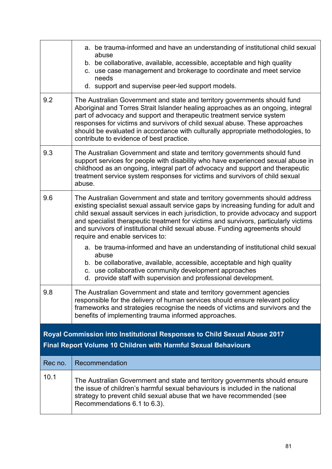| 9.2     | a. be trauma-informed and have an understanding of institutional child sexual<br>abuse<br>b. be collaborative, available, accessible, acceptable and high quality<br>c. use case management and brokerage to coordinate and meet service<br>needs<br>d. support and supervise peer-led support models.<br>The Australian Government and state and territory governments should fund                                                                                   |
|---------|-----------------------------------------------------------------------------------------------------------------------------------------------------------------------------------------------------------------------------------------------------------------------------------------------------------------------------------------------------------------------------------------------------------------------------------------------------------------------|
|         | Aboriginal and Torres Strait Islander healing approaches as an ongoing, integral<br>part of advocacy and support and therapeutic treatment service system<br>responses for victims and survivors of child sexual abuse. These approaches<br>should be evaluated in accordance with culturally appropriate methodologies, to<br>contribute to evidence of best practice.                                                                                               |
| 9.3     | The Australian Government and state and territory governments should fund<br>support services for people with disability who have experienced sexual abuse in<br>childhood as an ongoing, integral part of advocacy and support and therapeutic<br>treatment service system responses for victims and survivors of child sexual<br>abuse.                                                                                                                             |
| 9.6     | The Australian Government and state and territory governments should address<br>existing specialist sexual assault service gaps by increasing funding for adult and<br>child sexual assault services in each jurisdiction, to provide advocacy and support<br>and specialist therapeutic treatment for victims and survivors, particularly victims<br>and survivors of institutional child sexual abuse. Funding agreements should<br>require and enable services to: |
|         | a. be trauma-informed and have an understanding of institutional child sexual<br>abuse<br>b. be collaborative, available, accessible, acceptable and high quality<br>c. use collaborative community development approaches<br>d. provide staff with supervision and professional development.                                                                                                                                                                         |
| 9.8     | The Australian Government and state and territory government agencies<br>responsible for the delivery of human services should ensure relevant policy<br>frameworks and strategies recognise the needs of victims and survivors and the<br>benefits of implementing trauma informed approaches.                                                                                                                                                                       |
|         | Royal Commission into Institutional Responses to Child Sexual Abuse 2017<br>Final Report Volume 10 Children with Harmful Sexual Behaviours                                                                                                                                                                                                                                                                                                                            |
| Rec no. | Recommendation                                                                                                                                                                                                                                                                                                                                                                                                                                                        |
| 10.1    | The Australian Government and state and territory governments should ensure<br>the issue of children's harmful sexual behaviours is included in the national<br>strategy to prevent child sexual abuse that we have recommended (see<br>Recommendations 6.1 to 6.3).                                                                                                                                                                                                  |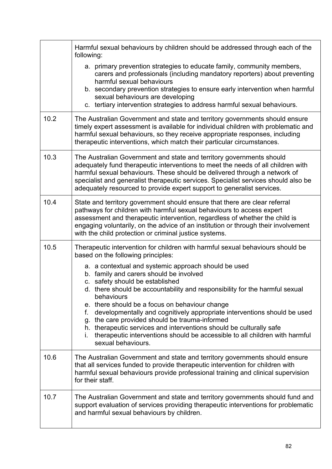|      | Harmful sexual behaviours by children should be addressed through each of the<br>following:                                                                                                                                                                                                                                                                                                           |
|------|-------------------------------------------------------------------------------------------------------------------------------------------------------------------------------------------------------------------------------------------------------------------------------------------------------------------------------------------------------------------------------------------------------|
|      | a. primary prevention strategies to educate family, community members,<br>carers and professionals (including mandatory reporters) about preventing<br>harmful sexual behaviours<br>b. secondary prevention strategies to ensure early intervention when harmful<br>sexual behaviours are developing<br>c. tertiary intervention strategies to address harmful sexual behaviours.                     |
| 10.2 | The Australian Government and state and territory governments should ensure<br>timely expert assessment is available for individual children with problematic and<br>harmful sexual behaviours, so they receive appropriate responses, including<br>therapeutic interventions, which match their particular circumstances.                                                                            |
| 10.3 | The Australian Government and state and territory governments should<br>adequately fund therapeutic interventions to meet the needs of all children with<br>harmful sexual behaviours. These should be delivered through a network of<br>specialist and generalist therapeutic services. Specialist services should also be<br>adequately resourced to provide expert support to generalist services. |
| 10.4 | State and territory government should ensure that there are clear referral<br>pathways for children with harmful sexual behaviours to access expert<br>assessment and therapeutic intervention, regardless of whether the child is<br>engaging voluntarily, on the advice of an institution or through their involvement<br>with the child protection or criminal justice systems.                    |
| 10.5 | Therapeutic intervention for children with harmful sexual behaviours should be<br>based on the following principles:                                                                                                                                                                                                                                                                                  |
|      | a. a contextual and systemic approach should be used<br>b. family and carers should be involved<br>c. safety should be established<br>d. there should be accountability and responsibility for the harmful sexual                                                                                                                                                                                     |
|      | behaviours<br>e. there should be a focus on behaviour change<br>f.<br>developmentally and cognitively appropriate interventions should be used<br>g. the care provided should be trauma-informed<br>h. therapeutic services and interventions should be culturally safe<br>therapeutic interventions should be accessible to all children with harmful<br>sexual behaviours.                          |
| 10.6 | The Australian Government and state and territory governments should ensure<br>that all services funded to provide therapeutic intervention for children with<br>harmful sexual behaviours provide professional training and clinical supervision<br>for their staff.                                                                                                                                 |
| 10.7 | The Australian Government and state and territory governments should fund and<br>support evaluation of services providing therapeutic interventions for problematic<br>and harmful sexual behaviours by children.                                                                                                                                                                                     |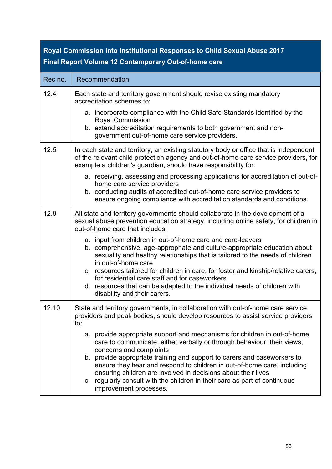### **Royal Commission into Institutional Responses to Child Sexual Abuse 2017 Final Report Volume 12 Contemporary Out-of-home care**

| Rec no. | Recommendation                                                                                                                                                                                                                                                                                                                                                                                                                                                                                                  |
|---------|-----------------------------------------------------------------------------------------------------------------------------------------------------------------------------------------------------------------------------------------------------------------------------------------------------------------------------------------------------------------------------------------------------------------------------------------------------------------------------------------------------------------|
| 12.4    | Each state and territory government should revise existing mandatory<br>accreditation schemes to:                                                                                                                                                                                                                                                                                                                                                                                                               |
|         | a. incorporate compliance with the Child Safe Standards identified by the<br><b>Royal Commission</b><br>b. extend accreditation requirements to both government and non-<br>government out-of-home care service providers.                                                                                                                                                                                                                                                                                      |
| 12.5    | In each state and territory, an existing statutory body or office that is independent<br>of the relevant child protection agency and out-of-home care service providers, for<br>example a children's guardian, should have responsibility for:                                                                                                                                                                                                                                                                  |
|         | a. receiving, assessing and processing applications for accreditation of out-of-<br>home care service providers<br>b. conducting audits of accredited out-of-home care service providers to<br>ensure ongoing compliance with accreditation standards and conditions.                                                                                                                                                                                                                                           |
| 12.9    | All state and territory governments should collaborate in the development of a<br>sexual abuse prevention education strategy, including online safety, for children in<br>out-of-home care that includes:                                                                                                                                                                                                                                                                                                       |
|         | a. input from children in out-of-home care and care-leavers<br>b. comprehensive, age-appropriate and culture-appropriate education about<br>sexuality and healthy relationships that is tailored to the needs of children<br>in out-of-home care<br>c. resources tailored for children in care, for foster and kinship/relative carers,<br>for residential care staff and for caseworkers                                                                                                                       |
|         | d. resources that can be adapted to the individual needs of children with<br>disability and their carers.                                                                                                                                                                                                                                                                                                                                                                                                       |
| 12.10   | State and territory governments, in collaboration with out-of-home care service<br>providers and peak bodies, should develop resources to assist service providers<br>to:                                                                                                                                                                                                                                                                                                                                       |
|         | a. provide appropriate support and mechanisms for children in out-of-home<br>care to communicate, either verbally or through behaviour, their views,<br>concerns and complaints<br>b. provide appropriate training and support to carers and caseworkers to<br>ensure they hear and respond to children in out-of-home care, including<br>ensuring children are involved in decisions about their lives<br>c. regularly consult with the children in their care as part of continuous<br>improvement processes. |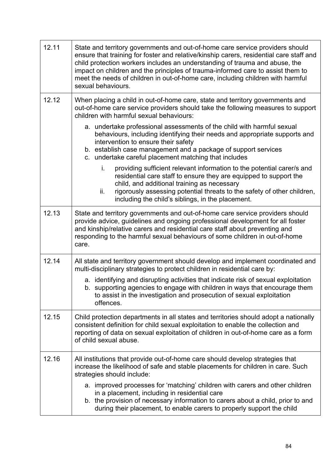| 12.11 | State and territory governments and out-of-home care service providers should<br>ensure that training for foster and relative/kinship carers, residential care staff and<br>child protection workers includes an understanding of trauma and abuse, the<br>impact on children and the principles of trauma-informed care to assist them to<br>meet the needs of children in out-of-home care, including children with harmful<br>sexual behaviours. |
|-------|-----------------------------------------------------------------------------------------------------------------------------------------------------------------------------------------------------------------------------------------------------------------------------------------------------------------------------------------------------------------------------------------------------------------------------------------------------|
| 12.12 | When placing a child in out-of-home care, state and territory governments and<br>out-of-home care service providers should take the following measures to support<br>children with harmful sexual behaviours:                                                                                                                                                                                                                                       |
|       | a. undertake professional assessments of the child with harmful sexual<br>behaviours, including identifying their needs and appropriate supports and<br>intervention to ensure their safety<br>b. establish case management and a package of support services<br>c. undertake careful placement matching that includes                                                                                                                              |
|       | providing sufficient relevant information to the potential carer/s and<br>i.<br>residential care staff to ensure they are equipped to support the<br>child, and additional training as necessary<br>rigorously assessing potential threats to the safety of other children,<br>ii.<br>including the child's siblings, in the placement.                                                                                                             |
| 12.13 | State and territory governments and out-of-home care service providers should<br>provide advice, guidelines and ongoing professional development for all foster<br>and kinship/relative carers and residential care staff about preventing and<br>responding to the harmful sexual behaviours of some children in out-of-home<br>care.                                                                                                              |
| 12.14 | All state and territory government should develop and implement coordinated and<br>multi-disciplinary strategies to protect children in residential care by:                                                                                                                                                                                                                                                                                        |
|       | a. identifying and disrupting activities that indicate risk of sexual exploitation<br>b. supporting agencies to engage with children in ways that encourage them<br>to assist in the investigation and prosecution of sexual exploitation<br>offences.                                                                                                                                                                                              |
| 12.15 | Child protection departments in all states and territories should adopt a nationally<br>consistent definition for child sexual exploitation to enable the collection and<br>reporting of data on sexual exploitation of children in out-of-home care as a form<br>of child sexual abuse.                                                                                                                                                            |
| 12.16 | All institutions that provide out-of-home care should develop strategies that<br>increase the likelihood of safe and stable placements for children in care. Such<br>strategies should include:                                                                                                                                                                                                                                                     |
|       | a. improved processes for 'matching' children with carers and other children<br>in a placement, including in residential care<br>b. the provision of necessary information to carers about a child, prior to and<br>during their placement, to enable carers to properly support the child                                                                                                                                                          |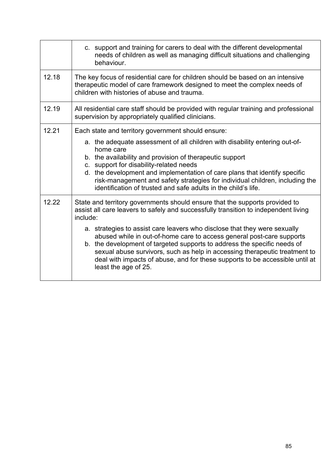|       | c. support and training for carers to deal with the different developmental<br>needs of children as well as managing difficult situations and challenging<br>behaviour.                                                                                                                                                                                                                                              |
|-------|----------------------------------------------------------------------------------------------------------------------------------------------------------------------------------------------------------------------------------------------------------------------------------------------------------------------------------------------------------------------------------------------------------------------|
| 12.18 | The key focus of residential care for children should be based on an intensive<br>therapeutic model of care framework designed to meet the complex needs of<br>children with histories of abuse and trauma.                                                                                                                                                                                                          |
| 12.19 | All residential care staff should be provided with regular training and professional<br>supervision by appropriately qualified clinicians.                                                                                                                                                                                                                                                                           |
| 12.21 | Each state and territory government should ensure:                                                                                                                                                                                                                                                                                                                                                                   |
|       | a. the adequate assessment of all children with disability entering out-of-<br>home care                                                                                                                                                                                                                                                                                                                             |
|       | b. the availability and provision of therapeutic support                                                                                                                                                                                                                                                                                                                                                             |
|       | c. support for disability-related needs<br>d. the development and implementation of care plans that identify specific<br>risk-management and safety strategies for individual children, including the<br>identification of trusted and safe adults in the child's life.                                                                                                                                              |
| 12.22 | State and territory governments should ensure that the supports provided to<br>assist all care leavers to safely and successfully transition to independent living<br>include:                                                                                                                                                                                                                                       |
|       | a. strategies to assist care leavers who disclose that they were sexually<br>abused while in out-of-home care to access general post-care supports<br>b. the development of targeted supports to address the specific needs of<br>sexual abuse survivors, such as help in accessing therapeutic treatment to<br>deal with impacts of abuse, and for these supports to be accessible until at<br>least the age of 25. |
|       |                                                                                                                                                                                                                                                                                                                                                                                                                      |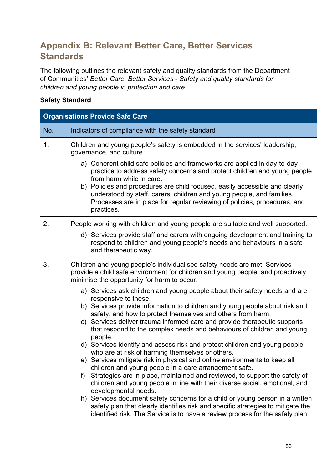## **Appendix B: Relevant Better Care, Better Services Standards**

The following outlines the relevant safety and quality standards from the Department of Communities' *Better Care, Better Services - Safety and quality standards for children and young people in protection and care*

### **Safety Standard**

| <b>Organisations Provide Safe Care</b> |                                                                                                                                                                                                                                                                                                                                                                                                                                      |
|----------------------------------------|--------------------------------------------------------------------------------------------------------------------------------------------------------------------------------------------------------------------------------------------------------------------------------------------------------------------------------------------------------------------------------------------------------------------------------------|
| No.                                    | Indicators of compliance with the safety standard                                                                                                                                                                                                                                                                                                                                                                                    |
| 1.                                     | Children and young people's safety is embedded in the services' leadership,<br>governance, and culture.                                                                                                                                                                                                                                                                                                                              |
|                                        | a) Coherent child safe policies and frameworks are applied in day-to-day<br>practice to address safety concerns and protect children and young people<br>from harm while in care.<br>b) Policies and procedures are child focused, easily accessible and clearly<br>understood by staff, carers, children and young people, and families.<br>Processes are in place for regular reviewing of policies, procedures, and<br>practices. |
| 2.                                     | People working with children and young people are suitable and well supported.                                                                                                                                                                                                                                                                                                                                                       |
|                                        | d) Services provide staff and carers with ongoing development and training to<br>respond to children and young people's needs and behaviours in a safe<br>and therapeutic way.                                                                                                                                                                                                                                                       |
| 3.                                     | Children and young people's individualised safety needs are met. Services<br>provide a child safe environment for children and young people, and proactively<br>minimise the opportunity for harm to occur.                                                                                                                                                                                                                          |
|                                        | a) Services ask children and young people about their safety needs and are<br>responsive to these.<br>b) Services provide information to children and young people about risk and                                                                                                                                                                                                                                                    |
|                                        | safety, and how to protect themselves and others from harm.<br>c) Services deliver trauma informed care and provide therapeutic supports<br>that respond to the complex needs and behaviours of children and young<br>people.                                                                                                                                                                                                        |
|                                        | d) Services identify and assess risk and protect children and young people<br>who are at risk of harming themselves or others.                                                                                                                                                                                                                                                                                                       |
|                                        | e) Services mitigate risk in physical and online environments to keep all                                                                                                                                                                                                                                                                                                                                                            |
|                                        | children and young people in a care arrangement safe.<br>Strategies are in place, maintained and reviewed, to support the safety of<br>f<br>children and young people in line with their diverse social, emotional, and<br>developmental needs.                                                                                                                                                                                      |
|                                        | h) Services document safety concerns for a child or young person in a written<br>safety plan that clearly identifies risk and specific strategies to mitigate the<br>identified risk. The Service is to have a review process for the safety plan.                                                                                                                                                                                   |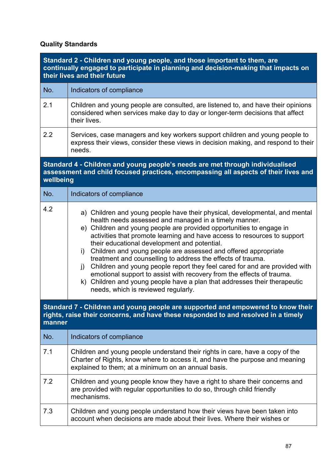### **Quality Standards**

| Standard 2 - Children and young people, and those important to them, are<br>continually engaged to participate in planning and decision-making that impacts on<br>their lives and their future |                                                                                                                                                                                                                                                                                                                                                                                                                                                                                                                                                                                                                                                                                                                                                               |  |  |
|------------------------------------------------------------------------------------------------------------------------------------------------------------------------------------------------|---------------------------------------------------------------------------------------------------------------------------------------------------------------------------------------------------------------------------------------------------------------------------------------------------------------------------------------------------------------------------------------------------------------------------------------------------------------------------------------------------------------------------------------------------------------------------------------------------------------------------------------------------------------------------------------------------------------------------------------------------------------|--|--|
| No.                                                                                                                                                                                            | Indicators of compliance                                                                                                                                                                                                                                                                                                                                                                                                                                                                                                                                                                                                                                                                                                                                      |  |  |
| 2.1                                                                                                                                                                                            | Children and young people are consulted, are listened to, and have their opinions<br>considered when services make day to day or longer-term decisions that affect<br>their lives.                                                                                                                                                                                                                                                                                                                                                                                                                                                                                                                                                                            |  |  |
| 2.2                                                                                                                                                                                            | Services, case managers and key workers support children and young people to<br>express their views, consider these views in decision making, and respond to their<br>needs.                                                                                                                                                                                                                                                                                                                                                                                                                                                                                                                                                                                  |  |  |
|                                                                                                                                                                                                | Standard 4 - Children and young people's needs are met through individualised<br>assessment and child focused practices, encompassing all aspects of their lives and<br>wellbeing                                                                                                                                                                                                                                                                                                                                                                                                                                                                                                                                                                             |  |  |
| No.                                                                                                                                                                                            | Indicators of compliance                                                                                                                                                                                                                                                                                                                                                                                                                                                                                                                                                                                                                                                                                                                                      |  |  |
| 4.2                                                                                                                                                                                            | a) Children and young people have their physical, developmental, and mental<br>health needs assessed and managed in a timely manner.<br>e) Children and young people are provided opportunities to engage in<br>activities that promote learning and have access to resources to support<br>their educational development and potential.<br>Children and young people are assessed and offered appropriate<br>i)<br>treatment and counselling to address the effects of trauma.<br>j) Children and young people report they feel cared for and are provided with<br>emotional support to assist with recovery from the effects of trauma.<br>k) Children and young people have a plan that addresses their therapeutic<br>needs, which is reviewed regularly. |  |  |
| Standard 7 - Children and young people are supported and empowered to know their<br>rights, raise their concerns, and have these responded to and resolved in a timely<br>manner               |                                                                                                                                                                                                                                                                                                                                                                                                                                                                                                                                                                                                                                                                                                                                                               |  |  |
| No.                                                                                                                                                                                            | Indicators of compliance                                                                                                                                                                                                                                                                                                                                                                                                                                                                                                                                                                                                                                                                                                                                      |  |  |
| 7.1                                                                                                                                                                                            | Children and young people understand their rights in care, have a copy of the<br>Charter of Rights, know where to access it, and have the purpose and meaning<br>explained to them; at a minimum on an annual basis.                                                                                                                                                                                                                                                                                                                                                                                                                                                                                                                                          |  |  |
| 7.2                                                                                                                                                                                            | Children and young people know they have a right to share their concerns and<br>are provided with regular opportunities to do so, through child friendly<br>mechanisms.                                                                                                                                                                                                                                                                                                                                                                                                                                                                                                                                                                                       |  |  |
| 7.3                                                                                                                                                                                            | Children and young people understand how their views have been taken into<br>account when decisions are made about their lives. Where their wishes or                                                                                                                                                                                                                                                                                                                                                                                                                                                                                                                                                                                                         |  |  |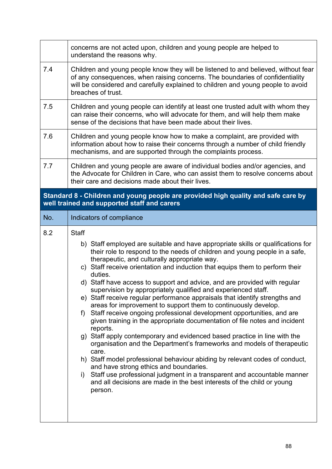|     | concerns are not acted upon, children and young people are helped to<br>understand the reasons why.                                                                                                                                                                                                                                                                                                                                                                                                                                                                                                                                                                                                                                                                                                                                                                                                                                                                                                                                                                                                                                                                                                                                                              |
|-----|------------------------------------------------------------------------------------------------------------------------------------------------------------------------------------------------------------------------------------------------------------------------------------------------------------------------------------------------------------------------------------------------------------------------------------------------------------------------------------------------------------------------------------------------------------------------------------------------------------------------------------------------------------------------------------------------------------------------------------------------------------------------------------------------------------------------------------------------------------------------------------------------------------------------------------------------------------------------------------------------------------------------------------------------------------------------------------------------------------------------------------------------------------------------------------------------------------------------------------------------------------------|
| 7.4 | Children and young people know they will be listened to and believed, without fear<br>of any consequences, when raising concerns. The boundaries of confidentiality<br>will be considered and carefully explained to children and young people to avoid<br>breaches of trust.                                                                                                                                                                                                                                                                                                                                                                                                                                                                                                                                                                                                                                                                                                                                                                                                                                                                                                                                                                                    |
| 7.5 | Children and young people can identify at least one trusted adult with whom they<br>can raise their concerns, who will advocate for them, and will help them make<br>sense of the decisions that have been made about their lives.                                                                                                                                                                                                                                                                                                                                                                                                                                                                                                                                                                                                                                                                                                                                                                                                                                                                                                                                                                                                                               |
| 7.6 | Children and young people know how to make a complaint, are provided with<br>information about how to raise their concerns through a number of child friendly<br>mechanisms, and are supported through the complaints process.                                                                                                                                                                                                                                                                                                                                                                                                                                                                                                                                                                                                                                                                                                                                                                                                                                                                                                                                                                                                                                   |
| 7.7 | Children and young people are aware of individual bodies and/or agencies, and<br>the Advocate for Children in Care, who can assist them to resolve concerns about<br>their care and decisions made about their lives.                                                                                                                                                                                                                                                                                                                                                                                                                                                                                                                                                                                                                                                                                                                                                                                                                                                                                                                                                                                                                                            |
|     | Standard 8 - Children and young people are provided high quality and safe care by<br>well trained and supported staff and carers                                                                                                                                                                                                                                                                                                                                                                                                                                                                                                                                                                                                                                                                                                                                                                                                                                                                                                                                                                                                                                                                                                                                 |
| No. | Indicators of compliance                                                                                                                                                                                                                                                                                                                                                                                                                                                                                                                                                                                                                                                                                                                                                                                                                                                                                                                                                                                                                                                                                                                                                                                                                                         |
| 8.2 | <b>Staff</b><br>b) Staff employed are suitable and have appropriate skills or qualifications for<br>their role to respond to the needs of children and young people in a safe,<br>therapeutic, and culturally appropriate way.<br>c) Staff receive orientation and induction that equips them to perform their<br>duties.<br>d) Staff have access to support and advice, and are provided with regular<br>supervision by appropriately qualified and experienced staff.<br>e) Staff receive regular performance appraisals that identify strengths and<br>areas for improvement to support them to continuously develop.<br>Staff receive ongoing professional development opportunities, and are<br>f)<br>given training in the appropriate documentation of file notes and incident<br>reports.<br>g) Staff apply contemporary and evidenced based practice in line with the<br>organisation and the Department's frameworks and models of therapeutic<br>care.<br>h) Staff model professional behaviour abiding by relevant codes of conduct,<br>and have strong ethics and boundaries.<br>Staff use professional judgment in a transparent and accountable manner<br>i)<br>and all decisions are made in the best interests of the child or young<br>person. |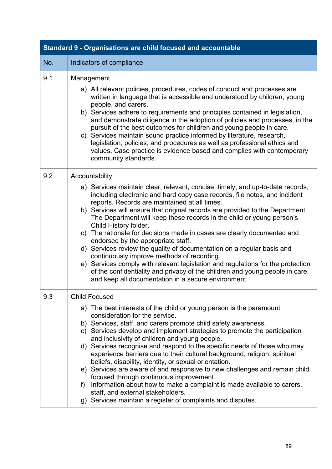| Standard 9 - Organisations are child focused and accountable |                                                                                                                                                                                                                                                                                                                                                                                                                                                                                                                                                                                                                                                                                                                                                                                                                                                                                      |  |  |  |
|--------------------------------------------------------------|--------------------------------------------------------------------------------------------------------------------------------------------------------------------------------------------------------------------------------------------------------------------------------------------------------------------------------------------------------------------------------------------------------------------------------------------------------------------------------------------------------------------------------------------------------------------------------------------------------------------------------------------------------------------------------------------------------------------------------------------------------------------------------------------------------------------------------------------------------------------------------------|--|--|--|
| No.                                                          | Indicators of compliance                                                                                                                                                                                                                                                                                                                                                                                                                                                                                                                                                                                                                                                                                                                                                                                                                                                             |  |  |  |
| 9.1                                                          | Management<br>a) All relevant policies, procedures, codes of conduct and processes are<br>written in language that is accessible and understood by children, young<br>people, and carers.<br>b) Services adhere to requirements and principles contained in legislation,<br>and demonstrate diligence in the adoption of policies and processes, in the<br>pursuit of the best outcomes for children and young people in care.<br>c) Services maintain sound practice informed by literature, research,<br>legislation, policies, and procedures as well as professional ethics and<br>values. Case practice is evidence based and complies with contemporary<br>community standards.                                                                                                                                                                                                |  |  |  |
| 9.2                                                          | Accountability<br>a) Services maintain clear, relevant, concise, timely, and up-to-date records,<br>including electronic and hard copy case records, file notes, and incident<br>reports. Records are maintained at all times.<br>b) Services will ensure that original records are provided to the Department.<br>The Department will keep these records in the child or young person's<br>Child History folder.<br>c) The rationale for decisions made in cases are clearly documented and<br>endorsed by the appropriate staff.<br>d) Services review the quality of documentation on a regular basis and<br>continuously improve methods of recording.<br>e) Services comply with relevant legislation and regulations for the protection<br>of the confidentiality and privacy of the children and young people in care,<br>and keep all documentation in a secure environment. |  |  |  |
| 9.3                                                          | <b>Child Focused</b><br>a) The best interests of the child or young person is the paramount<br>consideration for the service.<br>b) Services, staff, and carers promote child safety awareness.<br>c) Services develop and implement strategies to promote the participation<br>and inclusivity of children and young people.<br>d) Services recognise and respond to the specific needs of those who may<br>experience barriers due to their cultural background, religion, spiritual<br>beliefs, disability, identity, or sexual orientation.<br>e) Services are aware of and responsive to new challenges and remain child<br>focused through continuous improvement.<br>Information about how to make a complaint is made available to carers,<br>f)<br>staff, and external stakeholders.<br>g) Services maintain a register of complaints and disputes.                         |  |  |  |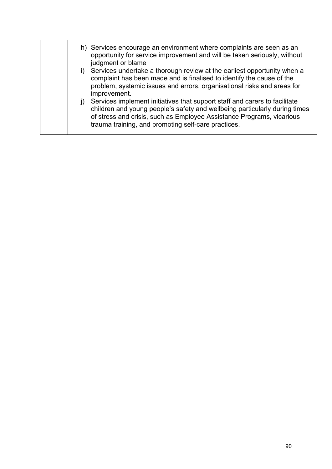|  |           | h) Services encourage an environment where complaints are seen as an<br>opportunity for service improvement and will be taken seriously, without<br>judgment or blame                                                                                                                    |
|--|-----------|------------------------------------------------------------------------------------------------------------------------------------------------------------------------------------------------------------------------------------------------------------------------------------------|
|  |           | i) Services undertake a thorough review at the earliest opportunity when a<br>complaint has been made and is finalised to identify the cause of the<br>problem, systemic issues and errors, organisational risks and areas for<br>improvement.                                           |
|  | $\vert$ ) | Services implement initiatives that support staff and carers to facilitate<br>children and young people's safety and wellbeing particularly during times<br>of stress and crisis, such as Employee Assistance Programs, vicarious<br>trauma training, and promoting self-care practices. |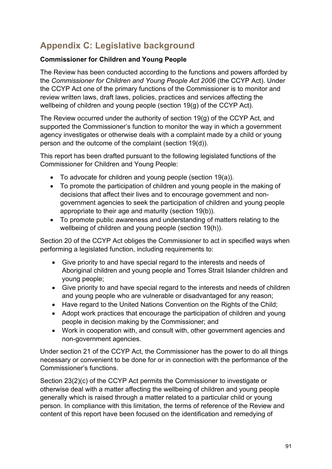# **Appendix C: Legislative background**

### **Commissioner for Children and Young People**

The Review has been conducted according to the functions and powers afforded by the *Commissioner for Children and Young People Act 2006* (the CCYP Act). Under the CCYP Act one of the primary functions of the Commissioner is to monitor and review written laws, draft laws, policies, practices and services affecting the wellbeing of children and young people (section 19(g) of the CCYP Act).

The Review occurred under the authority of section 19(g) of the CCYP Act, and supported the Commissioner's function to monitor the way in which a government agency investigates or otherwise deals with a complaint made by a child or young person and the outcome of the complaint (section 19(d)).

This report has been drafted pursuant to the following legislated functions of the Commissioner for Children and Young People:

- To advocate for children and young people (section 19(a)).
- To promote the participation of children and young people in the making of decisions that affect their lives and to encourage government and nongovernment agencies to seek the participation of children and young people appropriate to their age and maturity (section 19(b)).
- To promote public awareness and understanding of matters relating to the wellbeing of children and young people (section 19(h)).

Section 20 of the CCYP Act obliges the Commissioner to act in specified ways when performing a legislated function, including requirements to:

- Give priority to and have special regard to the interests and needs of Aboriginal children and young people and Torres Strait Islander children and young people;
- Give priority to and have special regard to the interests and needs of children and young people who are vulnerable or disadvantaged for any reason;
- Have regard to the United Nations Convention on the Rights of the Child;
- Adopt work practices that encourage the participation of children and young people in decision making by the Commissioner; and
- Work in cooperation with, and consult with, other government agencies and non-government agencies.

Under section 21 of the CCYP Act, the Commissioner has the power to do all things necessary or convenient to be done for or in connection with the performance of the Commissioner's functions.

Section 23(2)(c) of the CCYP Act permits the Commissioner to investigate or otherwise deal with a matter affecting the wellbeing of children and young people generally which is raised through a matter related to a particular child or young person. In compliance with this limitation, the terms of reference of the Review and content of this report have been focused on the identification and remedying of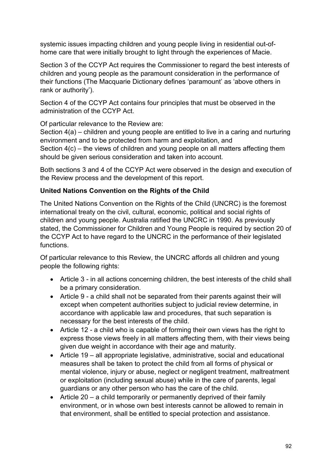systemic issues impacting children and young people living in residential out-ofhome care that were initially brought to light through the experiences of Macie.

Section 3 of the CCYP Act requires the Commissioner to regard the best interests of children and young people as the paramount consideration in the performance of their functions (The Macquarie Dictionary defines 'paramount' as 'above others in rank or authority').

Section 4 of the CCYP Act contains four principles that must be observed in the administration of the CCYP Act.

Of particular relevance to the Review are:

Section 4(a) – children and young people are entitled to live in a caring and nurturing environment and to be protected from harm and exploitation, and Section 4(c) – the views of children and young people on all matters affecting them should be given serious consideration and taken into account.

Both sections 3 and 4 of the CCYP Act were observed in the design and execution of the Review process and the development of this report.

### **United Nations Convention on the Rights of the Child**

The United Nations Convention on the Rights of the Child (UNCRC) is the foremost international treaty on the civil, cultural, economic, political and social rights of children and young people. Australia ratified the UNCRC in 1990. As previously stated, the Commissioner for Children and Young People is required by section 20 of the CCYP Act to have regard to the UNCRC in the performance of their legislated functions.

Of particular relevance to this Review, the UNCRC affords all children and young people the following rights:

- Article 3 in all actions concerning children, the best interests of the child shall be a primary consideration.
- Article 9 a child shall not be separated from their parents against their will except when competent authorities subject to judicial review determine, in accordance with applicable law and procedures, that such separation is necessary for the best interests of the child.
- Article 12 a child who is capable of forming their own views has the right to express those views freely in all matters affecting them, with their views being given due weight in accordance with their age and maturity.
- Article 19 all appropriate legislative, administrative, social and educational measures shall be taken to protect the child from all forms of physical or mental violence, injury or abuse, neglect or negligent treatment, maltreatment or exploitation (including sexual abuse) while in the care of parents, legal guardians or any other person who has the care of the child.
- Article 20 a child temporarily or permanently deprived of their family environment, or in whose own best interests cannot be allowed to remain in that environment, shall be entitled to special protection and assistance.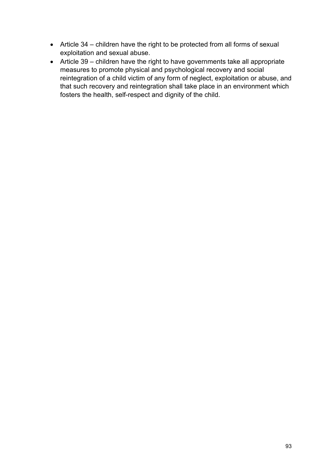- Article 34 children have the right to be protected from all forms of sexual exploitation and sexual abuse.
- Article 39 children have the right to have governments take all appropriate measures to promote physical and psychological recovery and social reintegration of a child victim of any form of neglect, exploitation or abuse, and that such recovery and reintegration shall take place in an environment which fosters the health, self-respect and dignity of the child.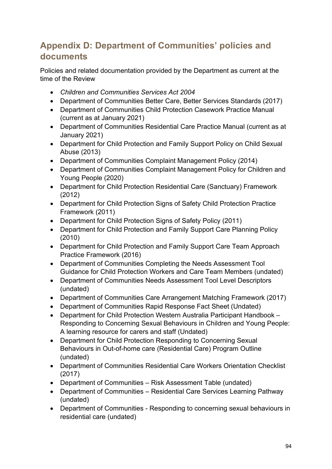## **Appendix D: Department of Communities' policies and documents**

Policies and related documentation provided by the Department as current at the time of the Review

- *Children and Communities Services Act 2004*
- Department of Communities Better Care, Better Services Standards (2017)
- Department of Communities Child Protection Casework Practice Manual (current as at January 2021)
- Department of Communities Residential Care Practice Manual (current as at January 2021)
- Department for Child Protection and Family Support Policy on Child Sexual Abuse (2013)
- Department of Communities Complaint Management Policy (2014)
- Department of Communities Complaint Management Policy for Children and Young People (2020)
- Department for Child Protection Residential Care (Sanctuary) Framework (2012)
- Department for Child Protection Signs of Safety Child Protection Practice Framework (2011)
- Department for Child Protection Signs of Safety Policy (2011)
- Department for Child Protection and Family Support Care Planning Policy (2010)
- Department for Child Protection and Family Support Care Team Approach Practice Framework (2016)
- Department of Communities Completing the Needs Assessment Tool Guidance for Child Protection Workers and Care Team Members (undated)
- Department of Communities Needs Assessment Tool Level Descriptors (undated)
- Department of Communities Care Arrangement Matching Framework (2017)
- Department of Communities Rapid Response Fact Sheet (Undated)
- Department for Child Protection Western Australia Participant Handbook Responding to Concerning Sexual Behaviours in Children and Young People: A learning resource for carers and staff (Undated)
- Department for Child Protection Responding to Concerning Sexual Behaviours in Out-of-home care (Residential Care) Program Outline (undated)
- Department of Communities Residential Care Workers Orientation Checklist (2017)
- Department of Communities Risk Assessment Table (undated)
- Department of Communities Residential Care Services Learning Pathway (undated)
- Department of Communities Responding to concerning sexual behaviours in residential care (undated)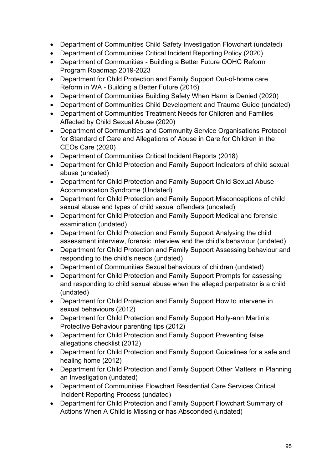- Department of Communities Child Safety Investigation Flowchart (undated)
- Department of Communities Critical Incident Reporting Policy (2020)
- Department of Communities Building a Better Future OOHC Reform Program Roadmap 2019-2023
- Department for Child Protection and Family Support Out-of-home care Reform in WA - Building a Better Future (2016)
- Department of Communities Building Safety When Harm is Denied (2020)
- Department of Communities Child Development and Trauma Guide (undated)
- Department of Communities Treatment Needs for Children and Families Affected by Child Sexual Abuse (2020)
- Department of Communities and Community Service Organisations Protocol for Standard of Care and Allegations of Abuse in Care for Children in the CEOs Care (2020)
- Department of Communities Critical Incident Reports (2018)
- Department for Child Protection and Family Support Indicators of child sexual abuse (undated)
- Department for Child Protection and Family Support Child Sexual Abuse Accommodation Syndrome (Undated)
- Department for Child Protection and Family Support Misconceptions of child sexual abuse and types of child sexual offenders (undated)
- Department for Child Protection and Family Support Medical and forensic examination (undated)
- Department for Child Protection and Family Support Analysing the child assessment interview, forensic interview and the child's behaviour (undated)
- Department for Child Protection and Family Support Assessing behaviour and responding to the child's needs (undated)
- Department of Communities Sexual behaviours of children (undated)
- Department for Child Protection and Family Support Prompts for assessing and responding to child sexual abuse when the alleged perpetrator is a child (undated)
- Department for Child Protection and Family Support How to intervene in sexual behaviours (2012)
- Department for Child Protection and Family Support Holly-ann Martin's Protective Behaviour parenting tips (2012)
- Department for Child Protection and Family Support Preventing false allegations checklist (2012)
- Department for Child Protection and Family Support Guidelines for a safe and healing home (2012)
- Department for Child Protection and Family Support Other Matters in Planning an Investigation (undated)
- Department of Communities Flowchart Residential Care Services Critical Incident Reporting Process (undated)
- Department for Child Protection and Family Support Flowchart Summary of Actions When A Child is Missing or has Absconded (undated)